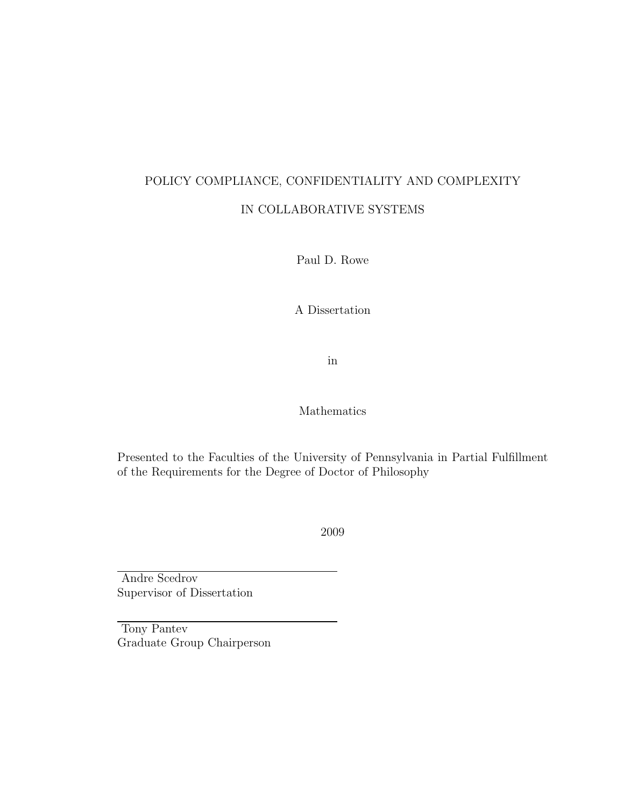## POLICY COMPLIANCE, CONFIDENTIALITY AND COMPLEXITY IN COLLABORATIVE SYSTEMS

Paul D. Rowe

A Dissertation

in

Mathematics

Presented to the Faculties of the University of Pennsylvania in Partial Fulfillment of the Requirements for the Degree of Doctor of Philosophy

2009

Andre Scedrov Supervisor of Dissertation

Tony Pantev Graduate Group Chairperson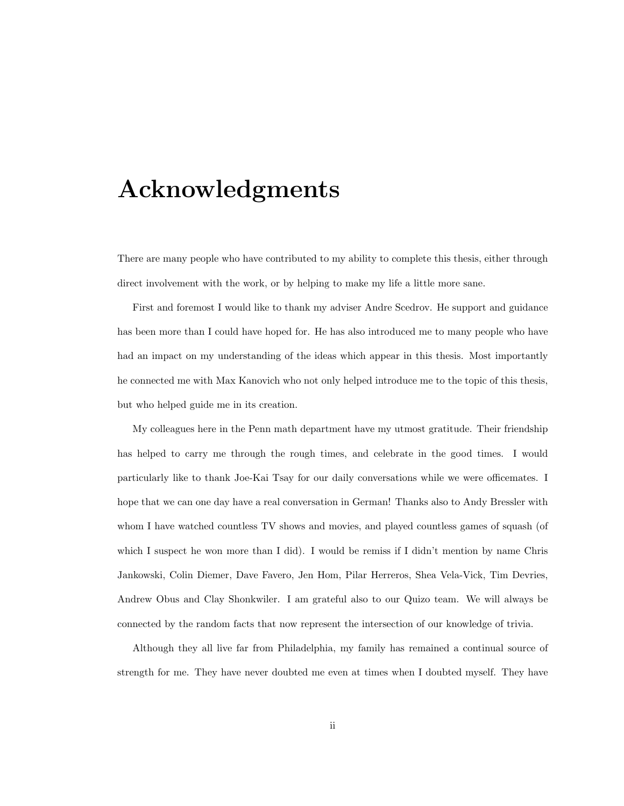# Acknowledgments

There are many people who have contributed to my ability to complete this thesis, either through direct involvement with the work, or by helping to make my life a little more sane.

First and foremost I would like to thank my adviser Andre Scedrov. He support and guidance has been more than I could have hoped for. He has also introduced me to many people who have had an impact on my understanding of the ideas which appear in this thesis. Most importantly he connected me with Max Kanovich who not only helped introduce me to the topic of this thesis, but who helped guide me in its creation.

My colleagues here in the Penn math department have my utmost gratitude. Their friendship has helped to carry me through the rough times, and celebrate in the good times. I would particularly like to thank Joe-Kai Tsay for our daily conversations while we were officemates. I hope that we can one day have a real conversation in German! Thanks also to Andy Bressler with whom I have watched countless TV shows and movies, and played countless games of squash (of which I suspect he won more than I did). I would be remiss if I didn't mention by name Chris Jankowski, Colin Diemer, Dave Favero, Jen Hom, Pilar Herreros, Shea Vela-Vick, Tim Devries, Andrew Obus and Clay Shonkwiler. I am grateful also to our Quizo team. We will always be connected by the random facts that now represent the intersection of our knowledge of trivia.

Although they all live far from Philadelphia, my family has remained a continual source of strength for me. They have never doubted me even at times when I doubted myself. They have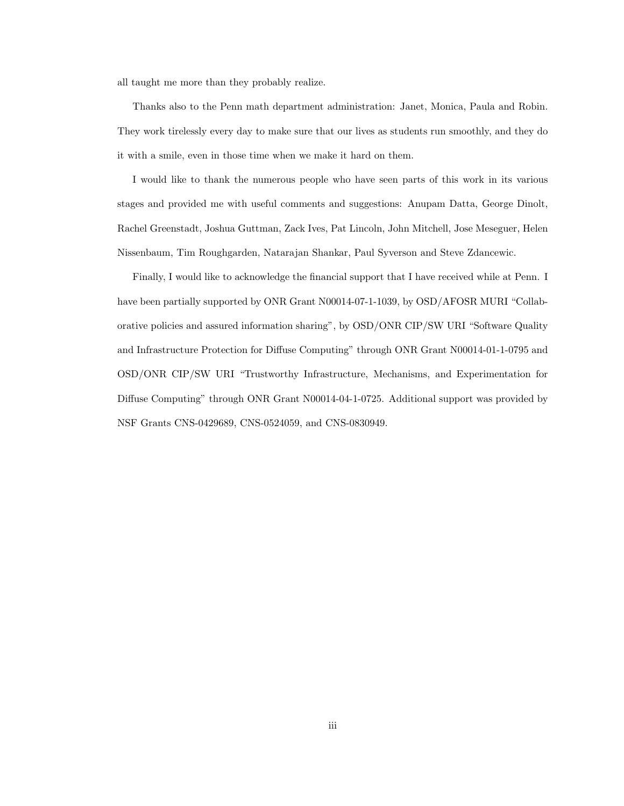all taught me more than they probably realize.

Thanks also to the Penn math department administration: Janet, Monica, Paula and Robin. They work tirelessly every day to make sure that our lives as students run smoothly, and they do it with a smile, even in those time when we make it hard on them.

I would like to thank the numerous people who have seen parts of this work in its various stages and provided me with useful comments and suggestions: Anupam Datta, George Dinolt, Rachel Greenstadt, Joshua Guttman, Zack Ives, Pat Lincoln, John Mitchell, Jose Meseguer, Helen Nissenbaum, Tim Roughgarden, Natarajan Shankar, Paul Syverson and Steve Zdancewic.

Finally, I would like to acknowledge the financial support that I have received while at Penn. I have been partially supported by ONR Grant N00014-07-1-1039, by OSD/AFOSR MURI "Collaborative policies and assured information sharing", by OSD/ONR CIP/SW URI "Software Quality and Infrastructure Protection for Diffuse Computing" through ONR Grant N00014-01-1-0795 and OSD/ONR CIP/SW URI "Trustworthy Infrastructure, Mechanisms, and Experimentation for Diffuse Computing" through ONR Grant N00014-04-1-0725. Additional support was provided by NSF Grants CNS-0429689, CNS-0524059, and CNS-0830949.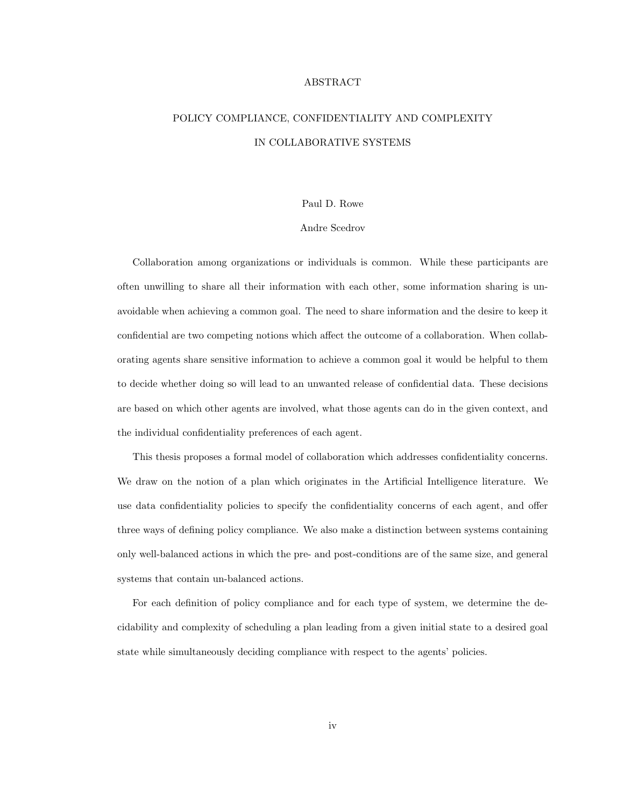#### ABSTRACT

## POLICY COMPLIANCE, CONFIDENTIALITY AND COMPLEXITY IN COLLABORATIVE SYSTEMS

#### Paul D. Rowe

#### Andre Scedrov

Collaboration among organizations or individuals is common. While these participants are often unwilling to share all their information with each other, some information sharing is unavoidable when achieving a common goal. The need to share information and the desire to keep it confidential are two competing notions which affect the outcome of a collaboration. When collaborating agents share sensitive information to achieve a common goal it would be helpful to them to decide whether doing so will lead to an unwanted release of confidential data. These decisions are based on which other agents are involved, what those agents can do in the given context, and the individual confidentiality preferences of each agent.

This thesis proposes a formal model of collaboration which addresses confidentiality concerns. We draw on the notion of a plan which originates in the Artificial Intelligence literature. We use data confidentiality policies to specify the confidentiality concerns of each agent, and offer three ways of defining policy compliance. We also make a distinction between systems containing only well-balanced actions in which the pre- and post-conditions are of the same size, and general systems that contain un-balanced actions.

For each definition of policy compliance and for each type of system, we determine the decidability and complexity of scheduling a plan leading from a given initial state to a desired goal state while simultaneously deciding compliance with respect to the agents' policies.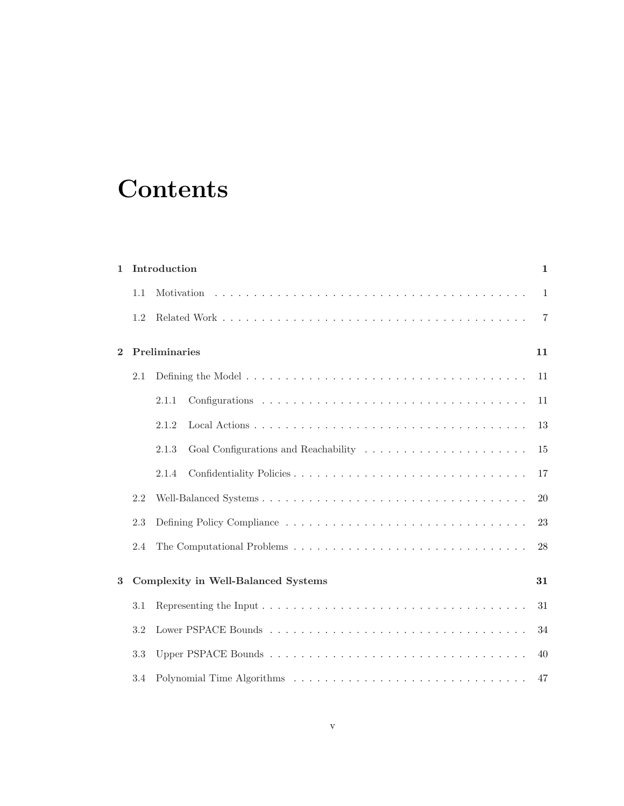# **Contents**

| 1            |     | Introduction<br>1                                                                                            |                |  |
|--------------|-----|--------------------------------------------------------------------------------------------------------------|----------------|--|
|              | 1.1 |                                                                                                              | $\mathbf{1}$   |  |
|              | 1.2 |                                                                                                              | $\overline{7}$ |  |
| $\mathbf{2}$ |     | Preliminaries<br>11                                                                                          |                |  |
|              | 2.1 |                                                                                                              | 11             |  |
|              |     | 2.1.1                                                                                                        | 11             |  |
|              |     | 2.1.2                                                                                                        | 13             |  |
|              |     | 2.1.3<br>Goal Configurations and Reachability                                                                | 15             |  |
|              |     | 2.1.4                                                                                                        | 17             |  |
|              | 2.2 |                                                                                                              | 20             |  |
|              | 2.3 |                                                                                                              |                |  |
|              | 2.4 |                                                                                                              |                |  |
| 3            |     | <b>Complexity in Well-Balanced Systems</b><br>31                                                             |                |  |
|              | 3.1 | Representing the Input $\dots \dots \dots \dots \dots \dots \dots \dots \dots \dots \dots \dots \dots \dots$ | 31             |  |
|              | 3.2 |                                                                                                              | 34             |  |
|              | 3.3 |                                                                                                              | 40             |  |
|              | 3.4 |                                                                                                              | 47             |  |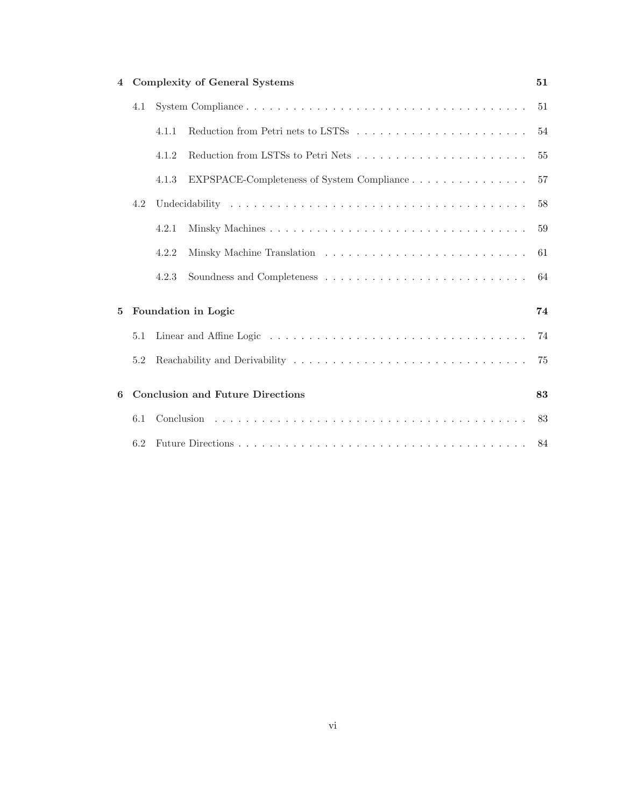| $\overline{\mathbf{4}}$ |     |       | <b>Complexity of General Systems</b>       | 51     |
|-------------------------|-----|-------|--------------------------------------------|--------|
|                         | 4.1 |       |                                            | $51\,$ |
|                         |     | 4.1.1 |                                            | $54\,$ |
|                         |     | 4.1.2 |                                            | $55\,$ |
|                         |     | 4.1.3 | EXPSPACE-Completeness of System Compliance | 57     |
|                         | 4.2 |       |                                            | 58     |
|                         |     | 4.2.1 |                                            | $59\,$ |
|                         |     | 4.2.2 |                                            | 61     |
|                         |     | 4.2.3 |                                            | 64     |
| 5                       |     |       | Foundation in Logic                        | 74     |
|                         | 5.1 |       |                                            | 74     |
|                         | 5.2 |       |                                            | 75     |
| 6                       |     |       | <b>Conclusion and Future Directions</b>    | 83     |
|                         | 6.1 |       |                                            | 83     |
|                         | 6.2 |       |                                            | 84     |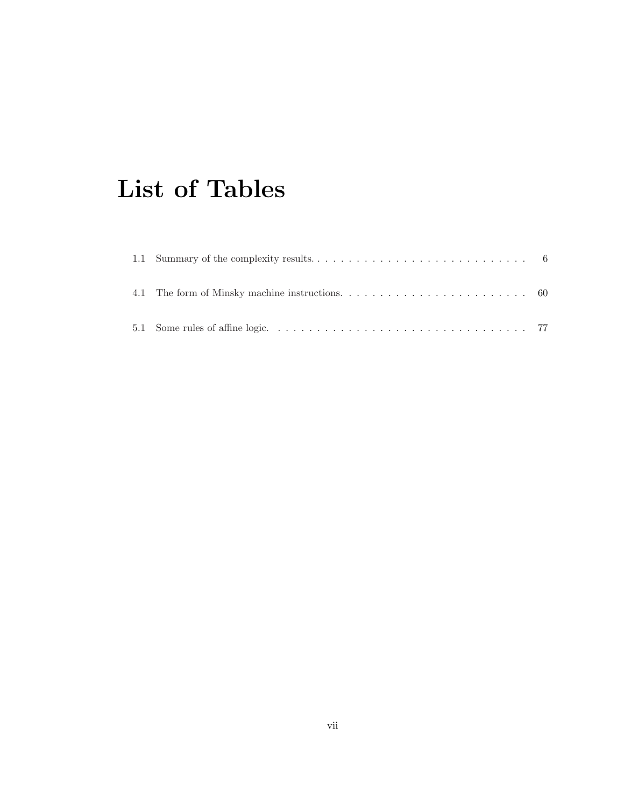# List of Tables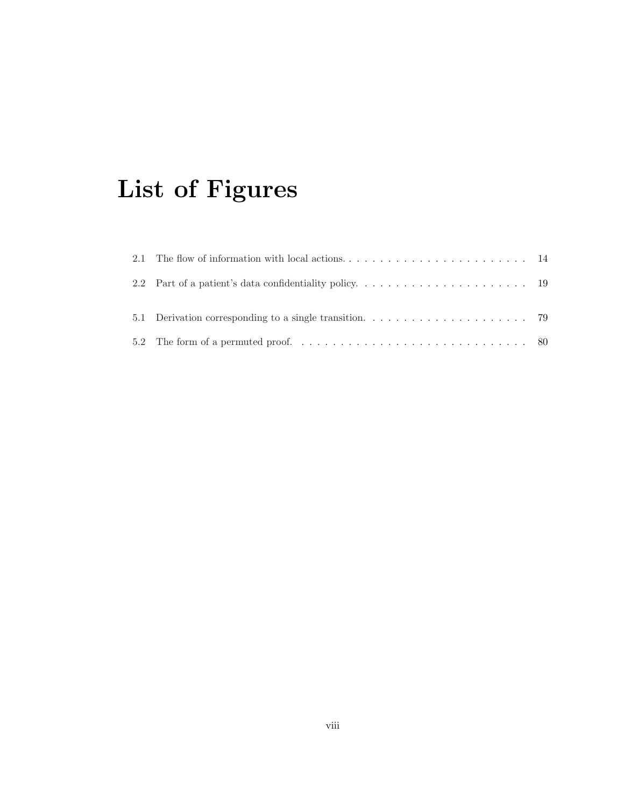# List of Figures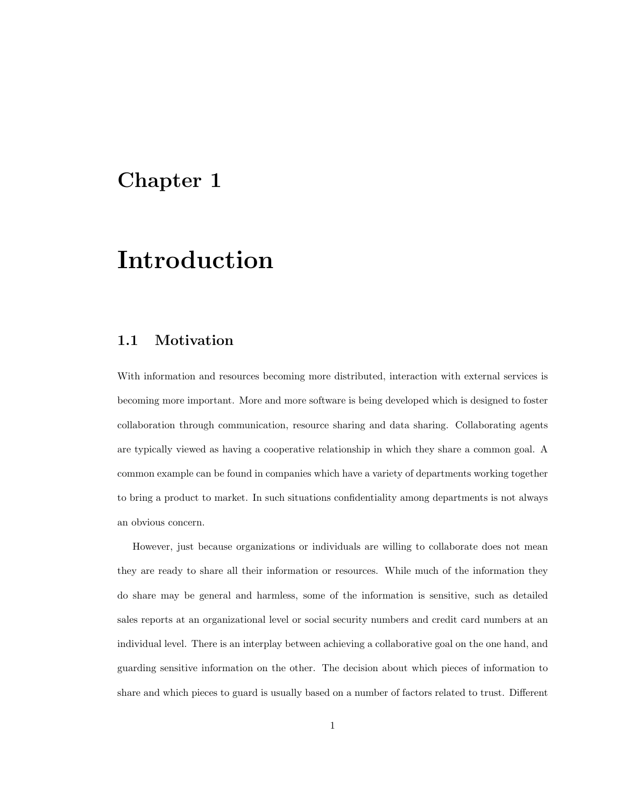## <span id="page-8-0"></span>Chapter 1

# Introduction

## <span id="page-8-1"></span>1.1 Motivation

With information and resources becoming more distributed, interaction with external services is becoming more important. More and more software is being developed which is designed to foster collaboration through communication, resource sharing and data sharing. Collaborating agents are typically viewed as having a cooperative relationship in which they share a common goal. A common example can be found in companies which have a variety of departments working together to bring a product to market. In such situations confidentiality among departments is not always an obvious concern.

However, just because organizations or individuals are willing to collaborate does not mean they are ready to share all their information or resources. While much of the information they do share may be general and harmless, some of the information is sensitive, such as detailed sales reports at an organizational level or social security numbers and credit card numbers at an individual level. There is an interplay between achieving a collaborative goal on the one hand, and guarding sensitive information on the other. The decision about which pieces of information to share and which pieces to guard is usually based on a number of factors related to trust. Different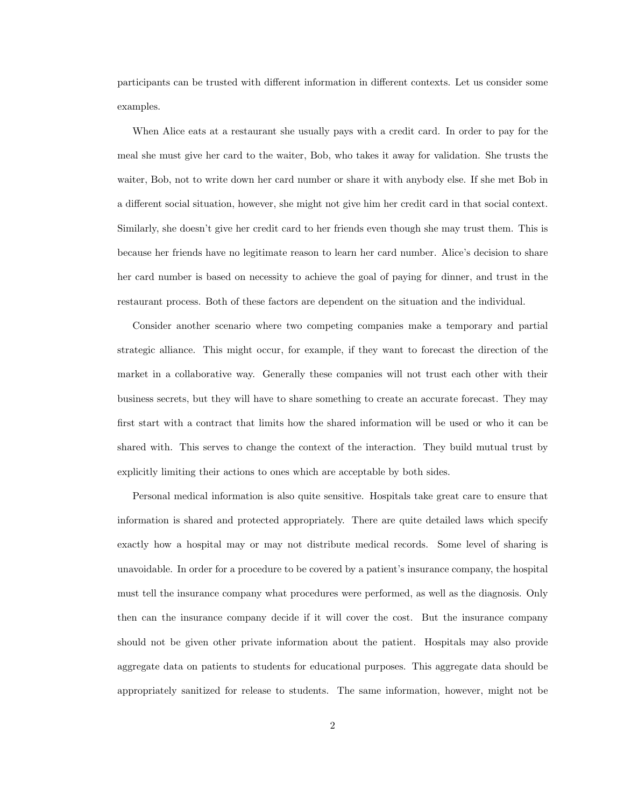participants can be trusted with different information in different contexts. Let us consider some examples.

When Alice eats at a restaurant she usually pays with a credit card. In order to pay for the meal she must give her card to the waiter, Bob, who takes it away for validation. She trusts the waiter, Bob, not to write down her card number or share it with anybody else. If she met Bob in a different social situation, however, she might not give him her credit card in that social context. Similarly, she doesn't give her credit card to her friends even though she may trust them. This is because her friends have no legitimate reason to learn her card number. Alice's decision to share her card number is based on necessity to achieve the goal of paying for dinner, and trust in the restaurant process. Both of these factors are dependent on the situation and the individual.

Consider another scenario where two competing companies make a temporary and partial strategic alliance. This might occur, for example, if they want to forecast the direction of the market in a collaborative way. Generally these companies will not trust each other with their business secrets, but they will have to share something to create an accurate forecast. They may first start with a contract that limits how the shared information will be used or who it can be shared with. This serves to change the context of the interaction. They build mutual trust by explicitly limiting their actions to ones which are acceptable by both sides.

Personal medical information is also quite sensitive. Hospitals take great care to ensure that information is shared and protected appropriately. There are quite detailed laws which specify exactly how a hospital may or may not distribute medical records. Some level of sharing is unavoidable. In order for a procedure to be covered by a patient's insurance company, the hospital must tell the insurance company what procedures were performed, as well as the diagnosis. Only then can the insurance company decide if it will cover the cost. But the insurance company should not be given other private information about the patient. Hospitals may also provide aggregate data on patients to students for educational purposes. This aggregate data should be appropriately sanitized for release to students. The same information, however, might not be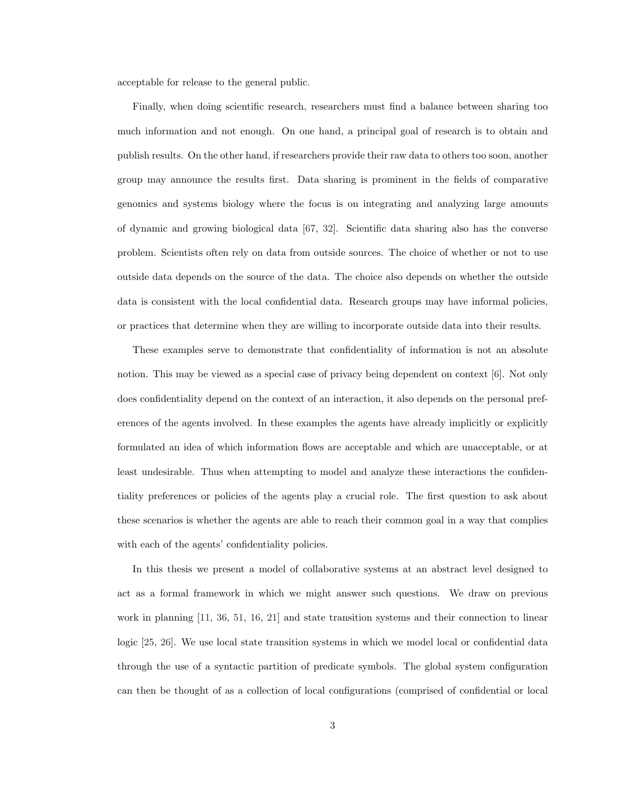acceptable for release to the general public.

Finally, when doing scientific research, researchers must find a balance between sharing too much information and not enough. On one hand, a principal goal of research is to obtain and publish results. On the other hand, if researchers provide their raw data to others too soon, another group may announce the results first. Data sharing is prominent in the fields of comparative genomics and systems biology where the focus is on integrating and analyzing large amounts of dynamic and growing biological data [\[67,](#page-99-0) [32\]](#page-96-0). Scientific data sharing also has the converse problem. Scientists often rely on data from outside sources. The choice of whether or not to use outside data depends on the source of the data. The choice also depends on whether the outside data is consistent with the local confidential data. Research groups may have informal policies, or practices that determine when they are willing to incorporate outside data into their results.

These examples serve to demonstrate that confidentiality of information is not an absolute notion. This may be viewed as a special case of privacy being dependent on context [\[6\]](#page-94-0). Not only does confidentiality depend on the context of an interaction, it also depends on the personal preferences of the agents involved. In these examples the agents have already implicitly or explicitly formulated an idea of which information flows are acceptable and which are unacceptable, or at least undesirable. Thus when attempting to model and analyze these interactions the confidentiality preferences or policies of the agents play a crucial role. The first question to ask about these scenarios is whether the agents are able to reach their common goal in a way that complies with each of the agents' confidentiality policies.

In this thesis we present a model of collaborative systems at an abstract level designed to act as a formal framework in which we might answer such questions. We draw on previous work in planning [\[11,](#page-95-0) [36,](#page-96-1) [51,](#page-98-0) [16,](#page-95-1) [21\]](#page-95-2) and state transition systems and their connection to linear logic [\[25,](#page-96-2) [26\]](#page-96-3). We use local state transition systems in which we model local or confidential data through the use of a syntactic partition of predicate symbols. The global system configuration can then be thought of as a collection of local configurations (comprised of confidential or local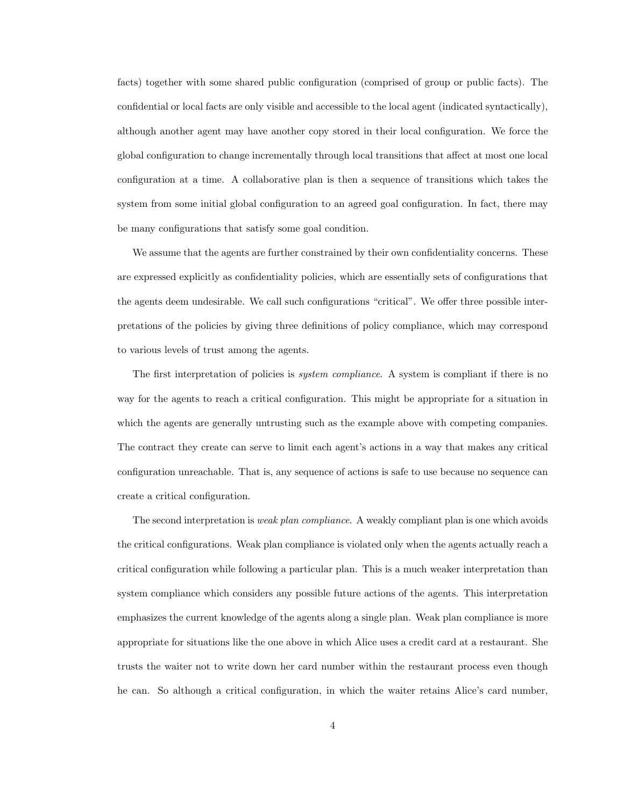facts) together with some shared public configuration (comprised of group or public facts). The confidential or local facts are only visible and accessible to the local agent (indicated syntactically), although another agent may have another copy stored in their local configuration. We force the global configuration to change incrementally through local transitions that affect at most one local configuration at a time. A collaborative plan is then a sequence of transitions which takes the system from some initial global configuration to an agreed goal configuration. In fact, there may be many configurations that satisfy some goal condition.

We assume that the agents are further constrained by their own confidentiality concerns. These are expressed explicitly as confidentiality policies, which are essentially sets of configurations that the agents deem undesirable. We call such configurations "critical". We offer three possible interpretations of the policies by giving three definitions of policy compliance, which may correspond to various levels of trust among the agents.

The first interpretation of policies is *system compliance*. A system is compliant if there is no way for the agents to reach a critical configuration. This might be appropriate for a situation in which the agents are generally untrusting such as the example above with competing companies. The contract they create can serve to limit each agent's actions in a way that makes any critical configuration unreachable. That is, any sequence of actions is safe to use because no sequence can create a critical configuration.

The second interpretation is *weak plan compliance*. A weakly compliant plan is one which avoids the critical configurations. Weak plan compliance is violated only when the agents actually reach a critical configuration while following a particular plan. This is a much weaker interpretation than system compliance which considers any possible future actions of the agents. This interpretation emphasizes the current knowledge of the agents along a single plan. Weak plan compliance is more appropriate for situations like the one above in which Alice uses a credit card at a restaurant. She trusts the waiter not to write down her card number within the restaurant process even though he can. So although a critical configuration, in which the waiter retains Alice's card number,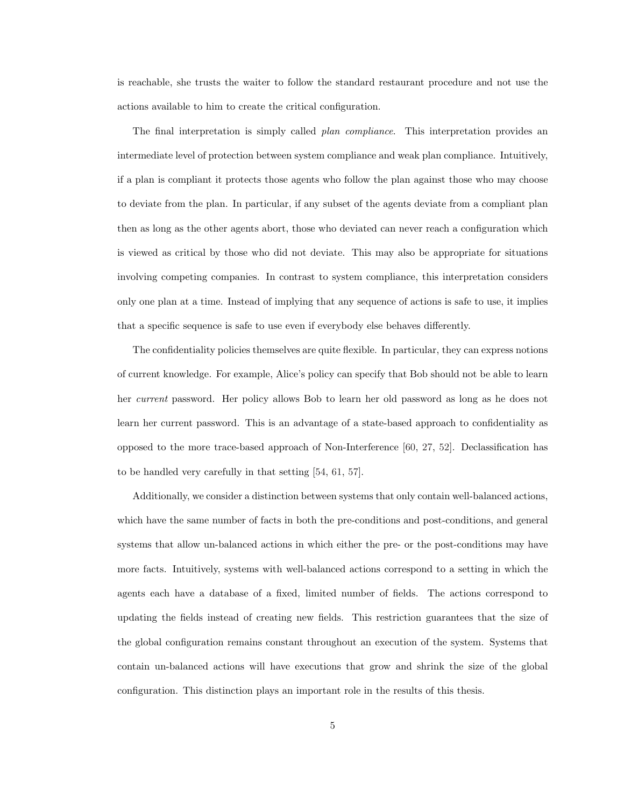is reachable, she trusts the waiter to follow the standard restaurant procedure and not use the actions available to him to create the critical configuration.

The final interpretation is simply called plan compliance. This interpretation provides an intermediate level of protection between system compliance and weak plan compliance. Intuitively, if a plan is compliant it protects those agents who follow the plan against those who may choose to deviate from the plan. In particular, if any subset of the agents deviate from a compliant plan then as long as the other agents abort, those who deviated can never reach a configuration which is viewed as critical by those who did not deviate. This may also be appropriate for situations involving competing companies. In contrast to system compliance, this interpretation considers only one plan at a time. Instead of implying that any sequence of actions is safe to use, it implies that a specific sequence is safe to use even if everybody else behaves differently.

The confidentiality policies themselves are quite flexible. In particular, they can express notions of current knowledge. For example, Alice's policy can specify that Bob should not be able to learn her current password. Her policy allows Bob to learn her old password as long as he does not learn her current password. This is an advantage of a state-based approach to confidentiality as opposed to the more trace-based approach of Non-Interference [\[60,](#page-98-1) [27,](#page-96-4) [52\]](#page-98-2). Declassification has to be handled very carefully in that setting [\[54,](#page-98-3) [61,](#page-98-4) [57\]](#page-98-5).

Additionally, we consider a distinction between systems that only contain well-balanced actions, which have the same number of facts in both the pre-conditions and post-conditions, and general systems that allow un-balanced actions in which either the pre- or the post-conditions may have more facts. Intuitively, systems with well-balanced actions correspond to a setting in which the agents each have a database of a fixed, limited number of fields. The actions correspond to updating the fields instead of creating new fields. This restriction guarantees that the size of the global configuration remains constant throughout an execution of the system. Systems that contain un-balanced actions will have executions that grow and shrink the size of the global configuration. This distinction plays an important role in the results of this thesis.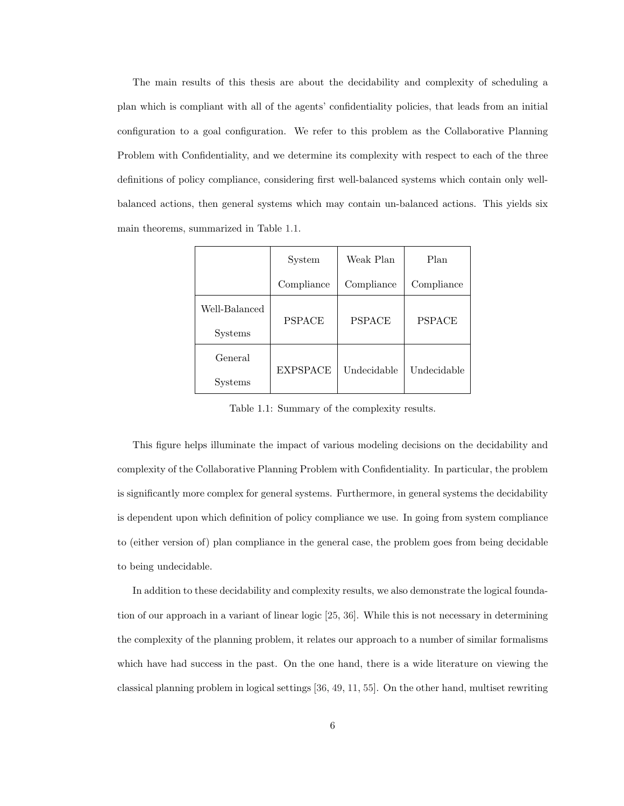The main results of this thesis are about the decidability and complexity of scheduling a plan which is compliant with all of the agents' confidentiality policies, that leads from an initial configuration to a goal configuration. We refer to this problem as the Collaborative Planning Problem with Confidentiality, and we determine its complexity with respect to each of the three definitions of policy compliance, considering first well-balanced systems which contain only wellbalanced actions, then general systems which may contain un-balanced actions. This yields six main theorems, summarized in Table [1.1.](#page-13-0)

|                | System          | Weak Plan     | Plan          |  |
|----------------|-----------------|---------------|---------------|--|
|                | Compliance      | Compliance    | Compliance    |  |
| Well-Balanced  | <b>PSPACE</b>   | <b>PSPACE</b> | <b>PSPACE</b> |  |
| <b>Systems</b> |                 |               |               |  |
| General        |                 |               |               |  |
| <b>Systems</b> | <b>EXPSPACE</b> | Undecidable   | Undecidable   |  |

<span id="page-13-0"></span>Table 1.1: Summary of the complexity results.

This figure helps illuminate the impact of various modeling decisions on the decidability and complexity of the Collaborative Planning Problem with Confidentiality. In particular, the problem is significantly more complex for general systems. Furthermore, in general systems the decidability is dependent upon which definition of policy compliance we use. In going from system compliance to (either version of) plan compliance in the general case, the problem goes from being decidable to being undecidable.

In addition to these decidability and complexity results, we also demonstrate the logical foundation of our approach in a variant of linear logic [\[25,](#page-96-2) [36\]](#page-96-1). While this is not necessary in determining the complexity of the planning problem, it relates our approach to a number of similar formalisms which have had success in the past. On the one hand, there is a wide literature on viewing the classical planning problem in logical settings [\[36,](#page-96-1) [49,](#page-97-0) [11,](#page-95-0) [55\]](#page-98-6). On the other hand, multiset rewriting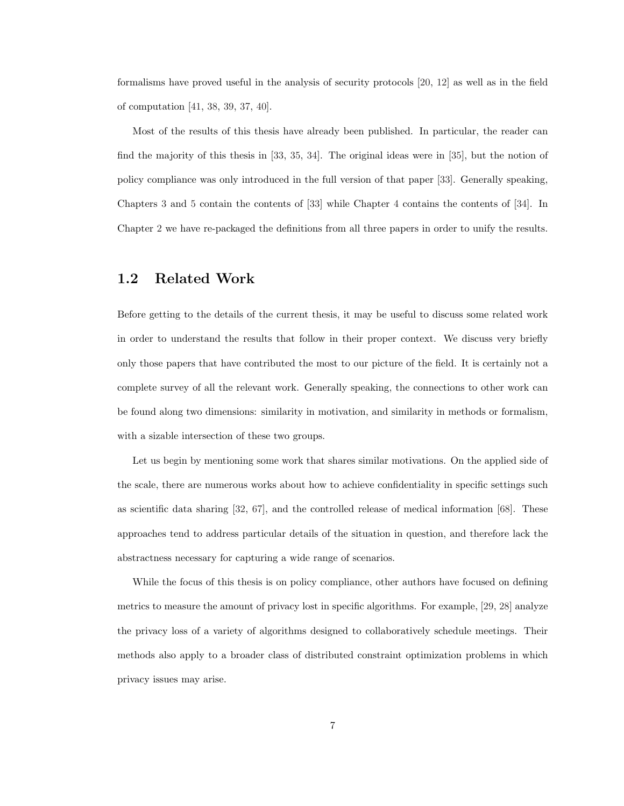formalisms have proved useful in the analysis of security protocols [\[20,](#page-95-3) [12\]](#page-95-4) as well as in the field of computation [\[41,](#page-97-1) [38,](#page-97-2) [39,](#page-97-3) [37,](#page-97-4) [40\]](#page-97-5).

Most of the results of this thesis have already been published. In particular, the reader can find the majority of this thesis in [\[33,](#page-96-5) [35,](#page-96-6) [34\]](#page-96-7). The original ideas were in [\[35\]](#page-96-6), but the notion of policy compliance was only introduced in the full version of that paper [\[33\]](#page-96-5). Generally speaking, Chapters [3](#page-38-0) and [5](#page-81-0) contain the contents of [\[33\]](#page-96-5) while Chapter [4](#page-58-0) contains the contents of [\[34\]](#page-96-7). In Chapter [2](#page-18-0) we have re-packaged the definitions from all three papers in order to unify the results.

### <span id="page-14-0"></span>1.2 Related Work

Before getting to the details of the current thesis, it may be useful to discuss some related work in order to understand the results that follow in their proper context. We discuss very briefly only those papers that have contributed the most to our picture of the field. It is certainly not a complete survey of all the relevant work. Generally speaking, the connections to other work can be found along two dimensions: similarity in motivation, and similarity in methods or formalism, with a sizable intersection of these two groups.

Let us begin by mentioning some work that shares similar motivations. On the applied side of the scale, there are numerous works about how to achieve confidentiality in specific settings such as scientific data sharing [\[32,](#page-96-0) [67\]](#page-99-0), and the controlled release of medical information [\[68\]](#page-99-1). These approaches tend to address particular details of the situation in question, and therefore lack the abstractness necessary for capturing a wide range of scenarios.

While the focus of this thesis is on policy compliance, other authors have focused on defining metrics to measure the amount of privacy lost in specific algorithms. For example, [\[29,](#page-96-8) [28\]](#page-96-9) analyze the privacy loss of a variety of algorithms designed to collaboratively schedule meetings. Their methods also apply to a broader class of distributed constraint optimization problems in which privacy issues may arise.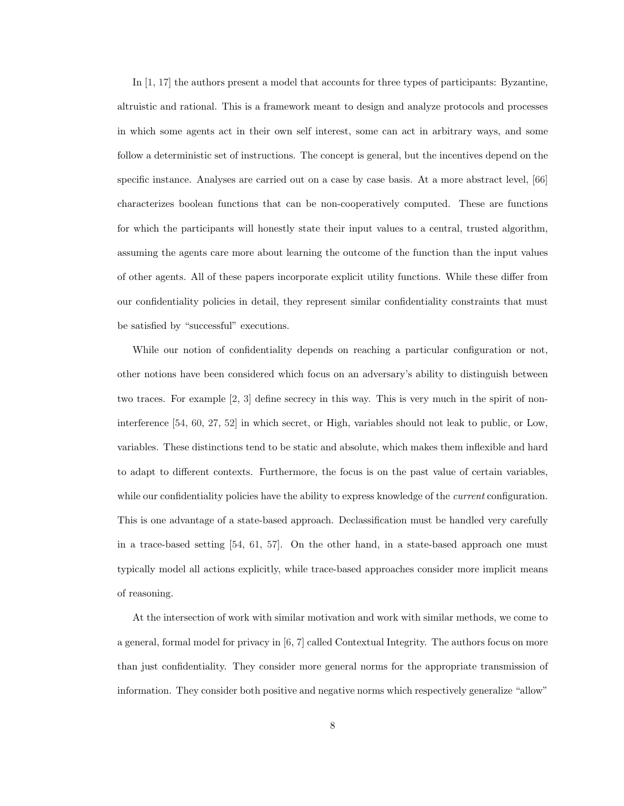In [\[1,](#page-94-1) [17\]](#page-95-5) the authors present a model that accounts for three types of participants: Byzantine, altruistic and rational. This is a framework meant to design and analyze protocols and processes in which some agents act in their own self interest, some can act in arbitrary ways, and some follow a deterministic set of instructions. The concept is general, but the incentives depend on the specific instance. Analyses are carried out on a case by case basis. At a more abstract level, [\[66\]](#page-99-2) characterizes boolean functions that can be non-cooperatively computed. These are functions for which the participants will honestly state their input values to a central, trusted algorithm, assuming the agents care more about learning the outcome of the function than the input values of other agents. All of these papers incorporate explicit utility functions. While these differ from our confidentiality policies in detail, they represent similar confidentiality constraints that must be satisfied by "successful" executions.

While our notion of confidentiality depends on reaching a particular configuration or not, other notions have been considered which focus on an adversary's ability to distinguish between two traces. For example [\[2,](#page-94-2) [3\]](#page-94-3) define secrecy in this way. This is very much in the spirit of noninterference [\[54,](#page-98-3) [60,](#page-98-1) [27,](#page-96-4) [52\]](#page-98-2) in which secret, or High, variables should not leak to public, or Low, variables. These distinctions tend to be static and absolute, which makes them inflexible and hard to adapt to different contexts. Furthermore, the focus is on the past value of certain variables, while our confidentiality policies have the ability to express knowledge of the *current* configuration. This is one advantage of a state-based approach. Declassification must be handled very carefully in a trace-based setting [\[54,](#page-98-3) [61,](#page-98-4) [57\]](#page-98-5). On the other hand, in a state-based approach one must typically model all actions explicitly, while trace-based approaches consider more implicit means of reasoning.

At the intersection of work with similar motivation and work with similar methods, we come to a general, formal model for privacy in [\[6,](#page-94-0) [7\]](#page-94-4) called Contextual Integrity. The authors focus on more than just confidentiality. They consider more general norms for the appropriate transmission of information. They consider both positive and negative norms which respectively generalize "allow"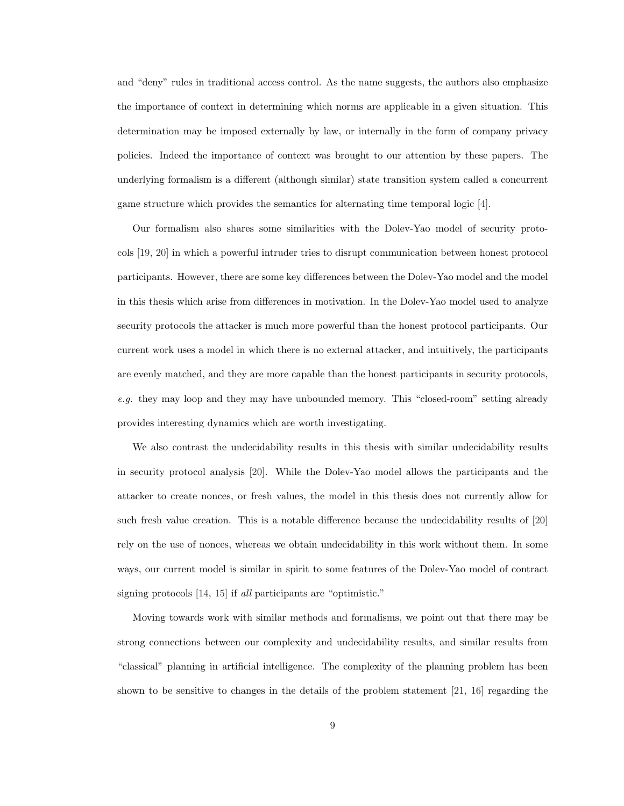and "deny" rules in traditional access control. As the name suggests, the authors also emphasize the importance of context in determining which norms are applicable in a given situation. This determination may be imposed externally by law, or internally in the form of company privacy policies. Indeed the importance of context was brought to our attention by these papers. The underlying formalism is a different (although similar) state transition system called a concurrent game structure which provides the semantics for alternating time temporal logic [\[4\]](#page-94-5).

Our formalism also shares some similarities with the Dolev-Yao model of security protocols [\[19,](#page-95-6) [20\]](#page-95-3) in which a powerful intruder tries to disrupt communication between honest protocol participants. However, there are some key differences between the Dolev-Yao model and the model in this thesis which arise from differences in motivation. In the Dolev-Yao model used to analyze security protocols the attacker is much more powerful than the honest protocol participants. Our current work uses a model in which there is no external attacker, and intuitively, the participants are evenly matched, and they are more capable than the honest participants in security protocols, e.g. they may loop and they may have unbounded memory. This "closed-room" setting already provides interesting dynamics which are worth investigating.

We also contrast the undecidability results in this thesis with similar undecidability results in security protocol analysis [\[20\]](#page-95-3). While the Dolev-Yao model allows the participants and the attacker to create nonces, or fresh values, the model in this thesis does not currently allow for such fresh value creation. This is a notable difference because the undecidability results of [\[20\]](#page-95-3) rely on the use of nonces, whereas we obtain undecidability in this work without them. In some ways, our current model is similar in spirit to some features of the Dolev-Yao model of contract signing protocols [\[14,](#page-95-7) [15\]](#page-95-8) if all participants are "optimistic."

Moving towards work with similar methods and formalisms, we point out that there may be strong connections between our complexity and undecidability results, and similar results from "classical" planning in artificial intelligence. The complexity of the planning problem has been shown to be sensitive to changes in the details of the problem statement [\[21,](#page-95-2) [16\]](#page-95-1) regarding the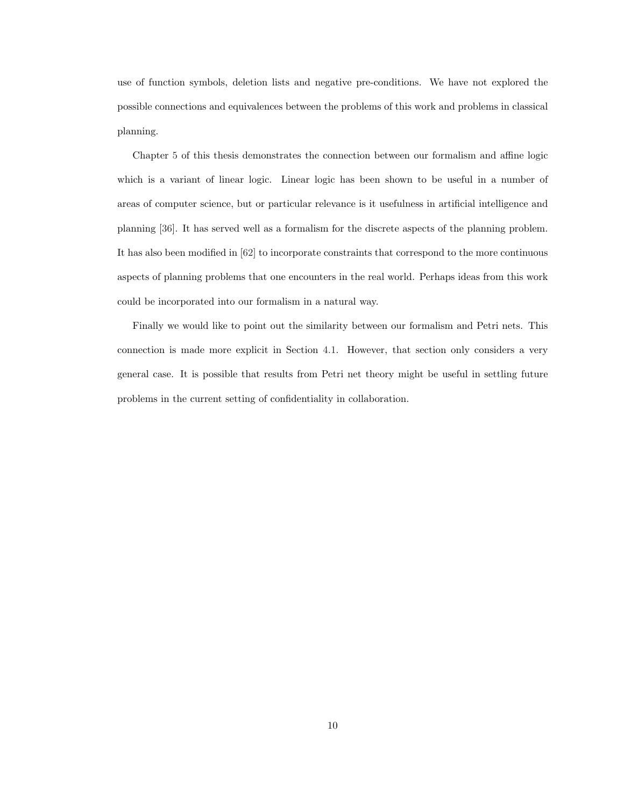use of function symbols, deletion lists and negative pre-conditions. We have not explored the possible connections and equivalences between the problems of this work and problems in classical planning.

Chapter [5](#page-81-0) of this thesis demonstrates the connection between our formalism and affine logic which is a variant of linear logic. Linear logic has been shown to be useful in a number of areas of computer science, but or particular relevance is it usefulness in artificial intelligence and planning [\[36\]](#page-96-1). It has served well as a formalism for the discrete aspects of the planning problem. It has also been modified in [\[62\]](#page-98-7) to incorporate constraints that correspond to the more continuous aspects of planning problems that one encounters in the real world. Perhaps ideas from this work could be incorporated into our formalism in a natural way.

Finally we would like to point out the similarity between our formalism and Petri nets. This connection is made more explicit in Section [4.1.](#page-58-1) However, that section only considers a very general case. It is possible that results from Petri net theory might be useful in settling future problems in the current setting of confidentiality in collaboration.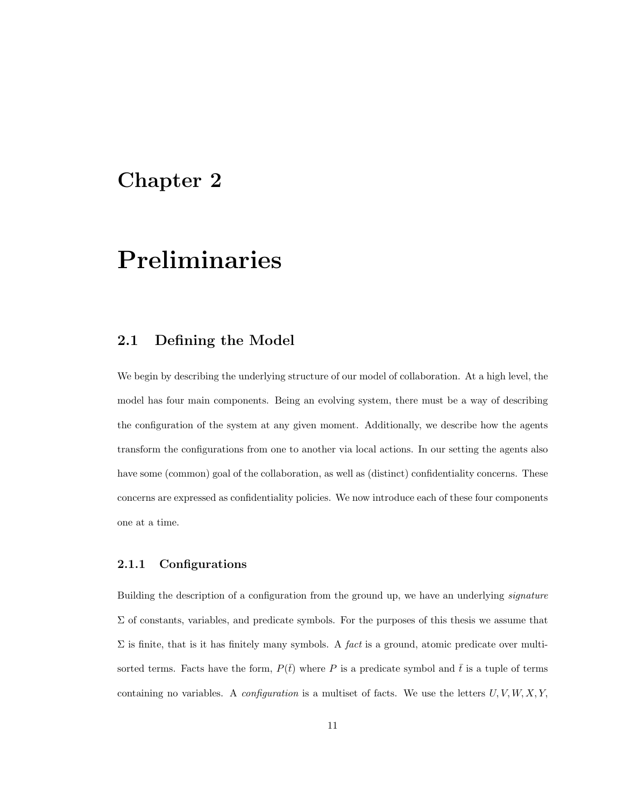## <span id="page-18-0"></span>Chapter 2

# Preliminaries

## <span id="page-18-1"></span>2.1 Defining the Model

We begin by describing the underlying structure of our model of collaboration. At a high level, the model has four main components. Being an evolving system, there must be a way of describing the configuration of the system at any given moment. Additionally, we describe how the agents transform the configurations from one to another via local actions. In our setting the agents also have some (common) goal of the collaboration, as well as (distinct) confidentiality concerns. These concerns are expressed as confidentiality policies. We now introduce each of these four components one at a time.

### <span id="page-18-2"></span>2.1.1 Configurations

Building the description of a configuration from the ground up, we have an underlying signature  $\Sigma$  of constants, variables, and predicate symbols. For the purposes of this thesis we assume that  $\Sigma$  is finite, that is it has finitely many symbols. A fact is a ground, atomic predicate over multisorted terms. Facts have the form,  $P(\bar{t})$  where P is a predicate symbol and  $\bar{t}$  is a tuple of terms containing no variables. A *configuration* is a multiset of facts. We use the letters  $U, V, W, X, Y$ ,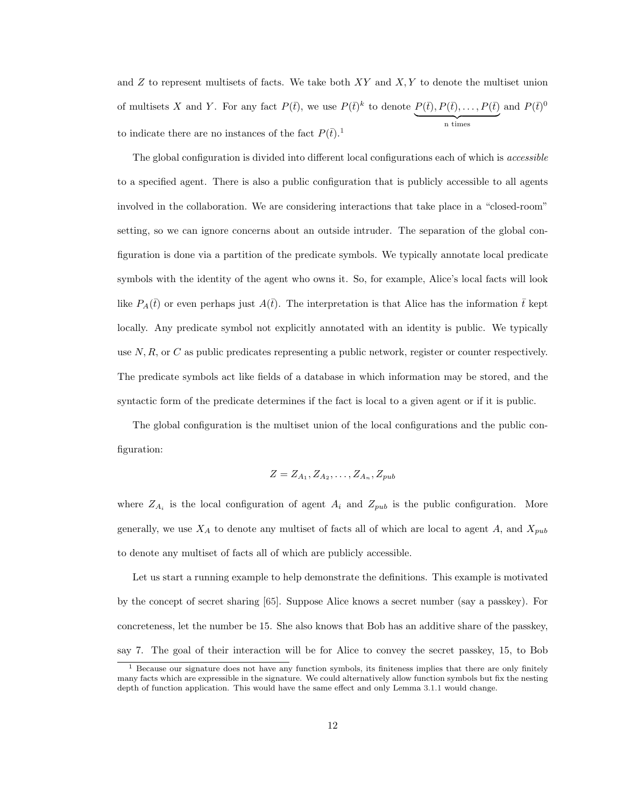and  $Z$  to represent multisets of facts. We take both  $XY$  and  $X, Y$  to denote the multiset union of multisets X and Y. For any fact  $P(\bar{t})$ , we use  $P(\bar{t})^k$  to denote  $P(\bar{t}), P(\bar{t}), \ldots, P(\bar{t})$  $\overbrace{\text{ }n \text{ times}}$ and  $P(\bar{t})^0$ to indicate there are no instances of the fact  $P(\bar{t})$ .<sup>[1](#page-19-0)</sup>

The global configuration is divided into different local configurations each of which is accessible to a specified agent. There is also a public configuration that is publicly accessible to all agents involved in the collaboration. We are considering interactions that take place in a "closed-room" setting, so we can ignore concerns about an outside intruder. The separation of the global configuration is done via a partition of the predicate symbols. We typically annotate local predicate symbols with the identity of the agent who owns it. So, for example, Alice's local facts will look like  $P_A(\bar{t})$  or even perhaps just  $A(\bar{t})$ . The interpretation is that Alice has the information  $\bar{t}$  kept locally. Any predicate symbol not explicitly annotated with an identity is public. We typically use  $N, R$ , or C as public predicates representing a public network, register or counter respectively. The predicate symbols act like fields of a database in which information may be stored, and the syntactic form of the predicate determines if the fact is local to a given agent or if it is public.

The global configuration is the multiset union of the local configurations and the public configuration:

$$
Z = Z_{A_1}, Z_{A_2}, \ldots, Z_{A_n}, Z_{pub}
$$

where  $Z_{A_i}$  is the local configuration of agent  $A_i$  and  $Z_{pub}$  is the public configuration. More generally, we use  $X_A$  to denote any multiset of facts all of which are local to agent A, and  $X_{pub}$ to denote any multiset of facts all of which are publicly accessible.

Let us start a running example to help demonstrate the definitions. This example is motivated by the concept of secret sharing [\[65\]](#page-99-3). Suppose Alice knows a secret number (say a passkey). For concreteness, let the number be 15. She also knows that Bob has an additive share of the passkey, say 7. The goal of their interaction will be for Alice to convey the secret passkey, 15, to Bob

<span id="page-19-0"></span><sup>&</sup>lt;sup>1</sup> Because our signature does not have any function symbols, its finiteness implies that there are only finitely many facts which are expressible in the signature. We could alternatively allow function symbols but fix the nesting depth of function application. This would have the same effect and only Lemma [3.1.1](#page-40-0) would change.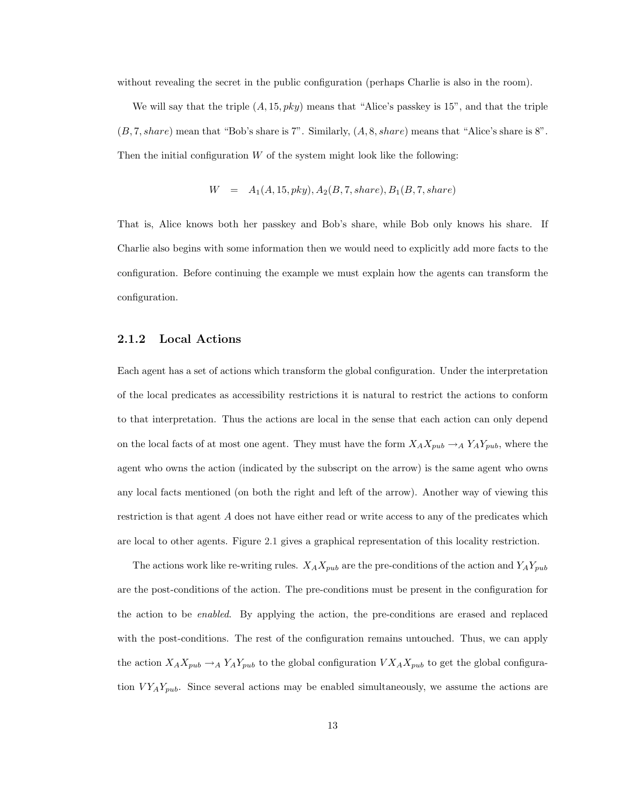without revealing the secret in the public configuration (perhaps Charlie is also in the room).

We will say that the triple  $(A, 15, \cancel{p}ky)$  means that "Alice's passkey is 15", and that the triple  $(B, 7, share)$  mean that "Bob's share is 7". Similarly,  $(A, 8, share)$  means that "Alice's share is 8". Then the initial configuration  $W$  of the system might look like the following:

$$
W = A_1(A, 15, pky), A_2(B, 7, share), B_1(B, 7, share)
$$

That is, Alice knows both her passkey and Bob's share, while Bob only knows his share. If Charlie also begins with some information then we would need to explicitly add more facts to the configuration. Before continuing the example we must explain how the agents can transform the configuration.

### <span id="page-20-0"></span>2.1.2 Local Actions

Each agent has a set of actions which transform the global configuration. Under the interpretation of the local predicates as accessibility restrictions it is natural to restrict the actions to conform to that interpretation. Thus the actions are local in the sense that each action can only depend on the local facts of at most one agent. They must have the form  $X_A X_{pub} \to_A Y_A Y_{pub}$ , where the agent who owns the action (indicated by the subscript on the arrow) is the same agent who owns any local facts mentioned (on both the right and left of the arrow). Another way of viewing this restriction is that agent A does not have either read or write access to any of the predicates which are local to other agents. Figure [2.1](#page-21-0) gives a graphical representation of this locality restriction.

The actions work like re-writing rules.  $X_A X_{pub}$  are the pre-conditions of the action and  $Y_A Y_{pub}$ are the post-conditions of the action. The pre-conditions must be present in the configuration for the action to be enabled. By applying the action, the pre-conditions are erased and replaced with the post-conditions. The rest of the configuration remains untouched. Thus, we can apply the action  $X_A X_{pub} \rightarrow_A Y_A Y_{pub}$  to the global configuration  $V X_A X_{pub}$  to get the global configuration  $V Y_A Y_{pub}$ . Since several actions may be enabled simultaneously, we assume the actions are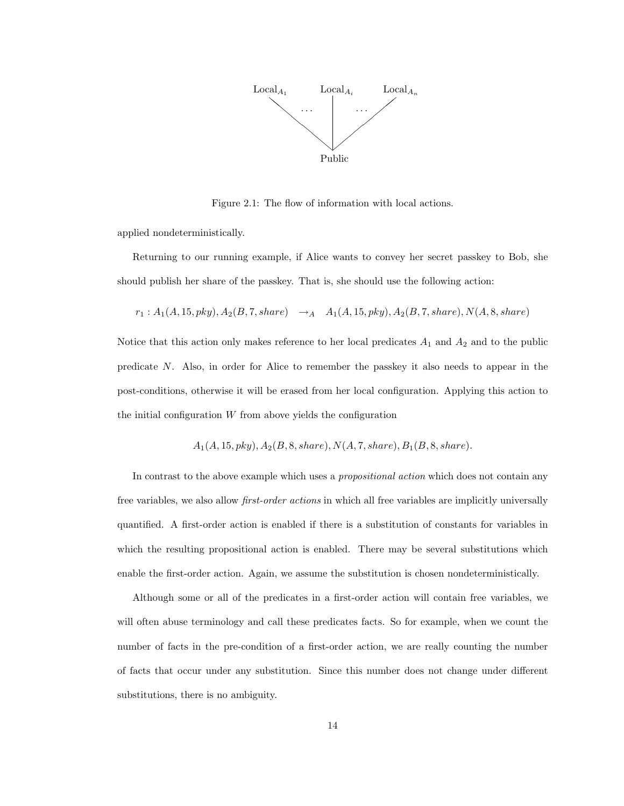

<span id="page-21-0"></span>Figure 2.1: The flow of information with local actions.

applied nondeterministically.

Returning to our running example, if Alice wants to convey her secret passkey to Bob, she should publish her share of the passkey. That is, she should use the following action:

$$
r_1: A_1(A, 15, pky), A_2(B, 7, share) \rightarrow_A A_1(A, 15, pky), A_2(B, 7, share), N(A, 8, share)
$$

Notice that this action only makes reference to her local predicates  $A_1$  and  $A_2$  and to the public predicate N. Also, in order for Alice to remember the passkey it also needs to appear in the post-conditions, otherwise it will be erased from her local configuration. Applying this action to the initial configuration  $W$  from above yields the configuration

$$
A_1(A, 15, pky), A_2(B, 8, share), N(A, 7, share), B_1(B, 8, share).
$$

In contrast to the above example which uses a *propositional action* which does not contain any free variables, we also allow first-order actions in which all free variables are implicitly universally quantified. A first-order action is enabled if there is a substitution of constants for variables in which the resulting propositional action is enabled. There may be several substitutions which enable the first-order action. Again, we assume the substitution is chosen nondeterministically.

Although some or all of the predicates in a first-order action will contain free variables, we will often abuse terminology and call these predicates facts. So for example, when we count the number of facts in the pre-condition of a first-order action, we are really counting the number of facts that occur under any substitution. Since this number does not change under different substitutions, there is no ambiguity.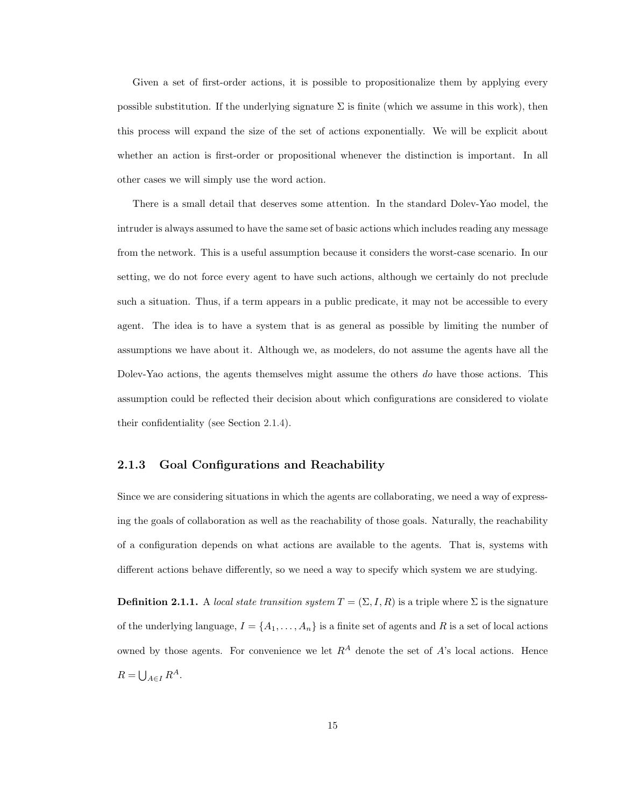Given a set of first-order actions, it is possible to propositionalize them by applying every possible substitution. If the underlying signature  $\Sigma$  is finite (which we assume in this work), then this process will expand the size of the set of actions exponentially. We will be explicit about whether an action is first-order or propositional whenever the distinction is important. In all other cases we will simply use the word action.

There is a small detail that deserves some attention. In the standard Dolev-Yao model, the intruder is always assumed to have the same set of basic actions which includes reading any message from the network. This is a useful assumption because it considers the worst-case scenario. In our setting, we do not force every agent to have such actions, although we certainly do not preclude such a situation. Thus, if a term appears in a public predicate, it may not be accessible to every agent. The idea is to have a system that is as general as possible by limiting the number of assumptions we have about it. Although we, as modelers, do not assume the agents have all the Dolev-Yao actions, the agents themselves might assume the others do have those actions. This assumption could be reflected their decision about which configurations are considered to violate their confidentiality (see Section [2.1.4\)](#page-24-0).

### <span id="page-22-0"></span>2.1.3 Goal Configurations and Reachability

Since we are considering situations in which the agents are collaborating, we need a way of expressing the goals of collaboration as well as the reachability of those goals. Naturally, the reachability of a configuration depends on what actions are available to the agents. That is, systems with different actions behave differently, so we need a way to specify which system we are studying.

**Definition 2.1.1.** A local state transition system  $T = (\Sigma, I, R)$  is a triple where  $\Sigma$  is the signature of the underlying language,  $I = \{A_1, \ldots, A_n\}$  is a finite set of agents and R is a set of local actions owned by those agents. For convenience we let  $R^A$  denote the set of A's local actions. Hence  $R = \bigcup_{A \in I} R^A.$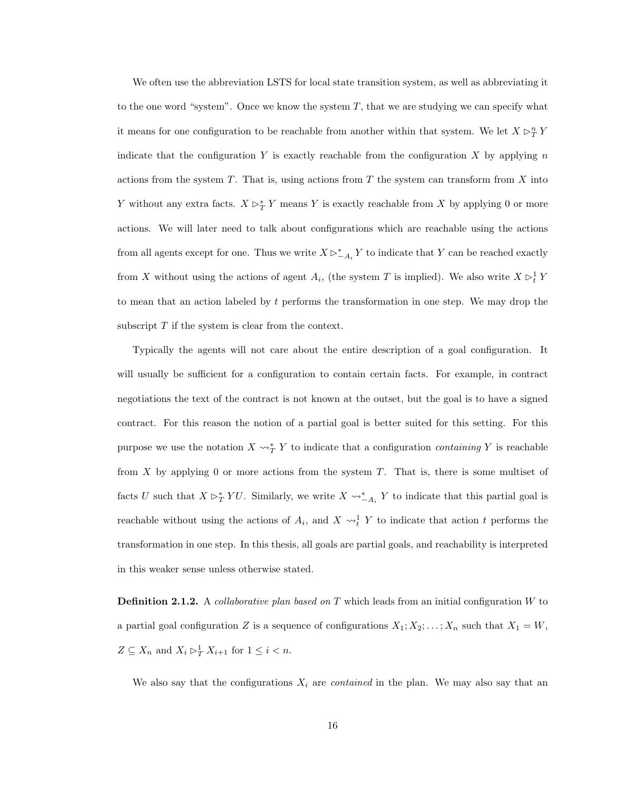We often use the abbreviation LSTS for local state transition system, as well as abbreviating it to the one word "system". Once we know the system  $T$ , that we are studying we can specify what it means for one configuration to be reachable from another within that system. We let  $X \rhd^n_T Y$ indicate that the configuration Y is exactly reachable from the configuration X by applying  $n$ actions from the system  $T$ . That is, using actions from  $T$  the system can transform from  $X$  into Y without any extra facts.  $X \rhd_T^* Y$  means Y is exactly reachable from X by applying 0 or more actions. We will later need to talk about configurations which are reachable using the actions from all agents except for one. Thus we write  $X \rhd_{-A_i}^* Y$  to indicate that Y can be reached exactly from X without using the actions of agent  $A_i$ , (the system T is implied). We also write  $X \rhd_t^1 Y$ to mean that an action labeled by  $t$  performs the transformation in one step. We may drop the subscript  $T$  if the system is clear from the context.

Typically the agents will not care about the entire description of a goal configuration. It will usually be sufficient for a configuration to contain certain facts. For example, in contract negotiations the text of the contract is not known at the outset, but the goal is to have a signed contract. For this reason the notion of a partial goal is better suited for this setting. For this purpose we use the notation  $X \leadsto_T^* Y$  to indicate that a configuration *containing* Y is reachable from X by applying 0 or more actions from the system T. That is, there is some multiset of facts U such that  $X \rhd_T^* YU$ . Similarly, we write  $X \rhd_{-A_i}^* Y$  to indicate that this partial goal is reachable without using the actions of  $A_i$ , and  $X \sim_t^1 Y$  to indicate that action t performs the transformation in one step. In this thesis, all goals are partial goals, and reachability is interpreted in this weaker sense unless otherwise stated.

**Definition 2.1.2.** A *collaborative plan based on T* which leads from an initial configuration W to a partial goal configuration Z is a sequence of configurations  $X_1; X_2; \ldots; X_n$  such that  $X_1 = W$ ,  $Z \subseteq X_n$  and  $X_i \rhd_T^1 X_{i+1}$  for  $1 \leq i < n$ .

We also say that the configurations  $X_i$  are *contained* in the plan. We may also say that an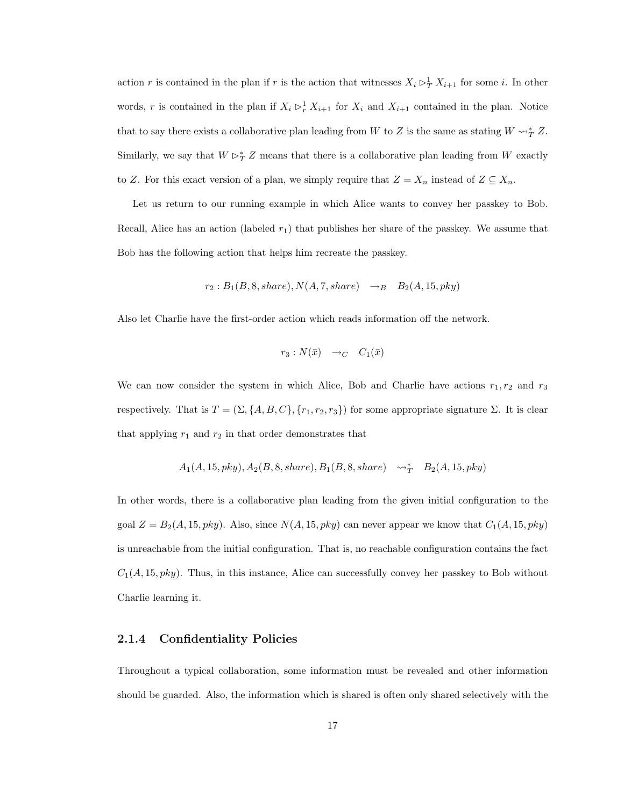action r is contained in the plan if r is the action that witnesses  $X_i \rhd_T^1 X_{i+1}$  for some i. In other words, r is contained in the plan if  $X_i \rhd_r^1 X_{i+1}$  for  $X_i$  and  $X_{i+1}$  contained in the plan. Notice that to say there exists a collaborative plan leading from W to Z is the same as stating  $W \rightsquigarrow_T^* Z$ . Similarly, we say that  $W \rhd_T^* Z$  means that there is a collaborative plan leading from W exactly to Z. For this exact version of a plan, we simply require that  $Z = X_n$  instead of  $Z \subseteq X_n$ .

Let us return to our running example in which Alice wants to convey her passkey to Bob. Recall, Alice has an action (labeled  $r_1$ ) that publishes her share of the passkey. We assume that Bob has the following action that helps him recreate the passkey.

$$
r_2: B_1(B, 8, share), N(A, 7, share) \rightarrow_B B_2(A, 15, phy)
$$

Also let Charlie have the first-order action which reads information off the network.

$$
r_3: N(\bar{x}) \longrightarrow_C C_1(\bar{x})
$$

We can now consider the system in which Alice, Bob and Charlie have actions  $r_1, r_2$  and  $r_3$ respectively. That is  $T = (\Sigma, \{A, B, C\}, \{r_1, r_2, r_3\})$  for some appropriate signature  $\Sigma$ . It is clear that applying  $r_1$  and  $r_2$  in that order demonstrates that

$$
A_1(A, 15, pky), A_2(B, 8, share), B_1(B, 8, share) \rightarrow^*_{T} B_2(A, 15, pky)
$$

In other words, there is a collaborative plan leading from the given initial configuration to the goal  $Z = B_2(A, 15, pky)$ . Also, since  $N(A, 15, pky)$  can never appear we know that  $C_1(A, 15, pky)$ is unreachable from the initial configuration. That is, no reachable configuration contains the fact  $C_1(A, 15, pky)$ . Thus, in this instance, Alice can successfully convey her passkey to Bob without Charlie learning it.

#### <span id="page-24-0"></span>2.1.4 Confidentiality Policies

Throughout a typical collaboration, some information must be revealed and other information should be guarded. Also, the information which is shared is often only shared selectively with the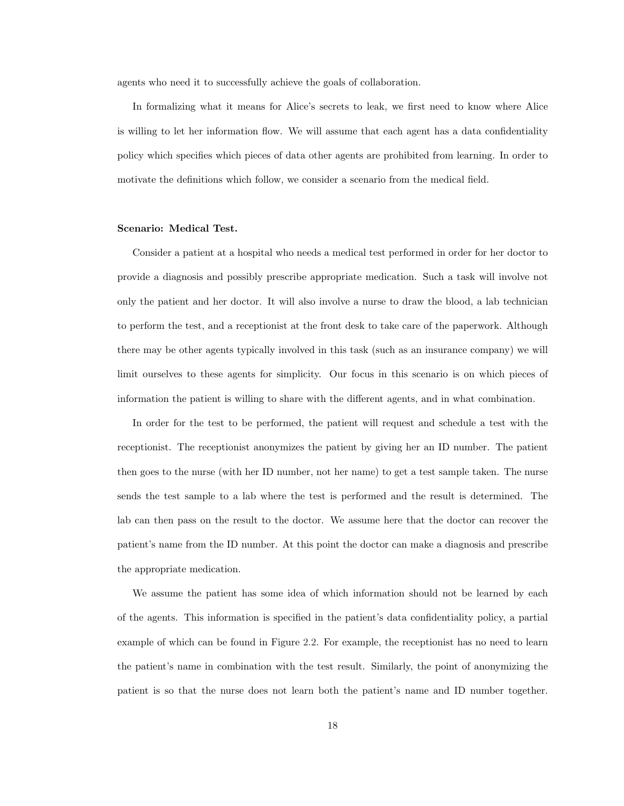agents who need it to successfully achieve the goals of collaboration.

In formalizing what it means for Alice's secrets to leak, we first need to know where Alice is willing to let her information flow. We will assume that each agent has a data confidentiality policy which specifies which pieces of data other agents are prohibited from learning. In order to motivate the definitions which follow, we consider a scenario from the medical field.

### Scenario: Medical Test.

Consider a patient at a hospital who needs a medical test performed in order for her doctor to provide a diagnosis and possibly prescribe appropriate medication. Such a task will involve not only the patient and her doctor. It will also involve a nurse to draw the blood, a lab technician to perform the test, and a receptionist at the front desk to take care of the paperwork. Although there may be other agents typically involved in this task (such as an insurance company) we will limit ourselves to these agents for simplicity. Our focus in this scenario is on which pieces of information the patient is willing to share with the different agents, and in what combination.

In order for the test to be performed, the patient will request and schedule a test with the receptionist. The receptionist anonymizes the patient by giving her an ID number. The patient then goes to the nurse (with her ID number, not her name) to get a test sample taken. The nurse sends the test sample to a lab where the test is performed and the result is determined. The lab can then pass on the result to the doctor. We assume here that the doctor can recover the patient's name from the ID number. At this point the doctor can make a diagnosis and prescribe the appropriate medication.

We assume the patient has some idea of which information should not be learned by each of the agents. This information is specified in the patient's data confidentiality policy, a partial example of which can be found in Figure [2.2.](#page-26-0) For example, the receptionist has no need to learn the patient's name in combination with the test result. Similarly, the point of anonymizing the patient is so that the nurse does not learn both the patient's name and ID number together.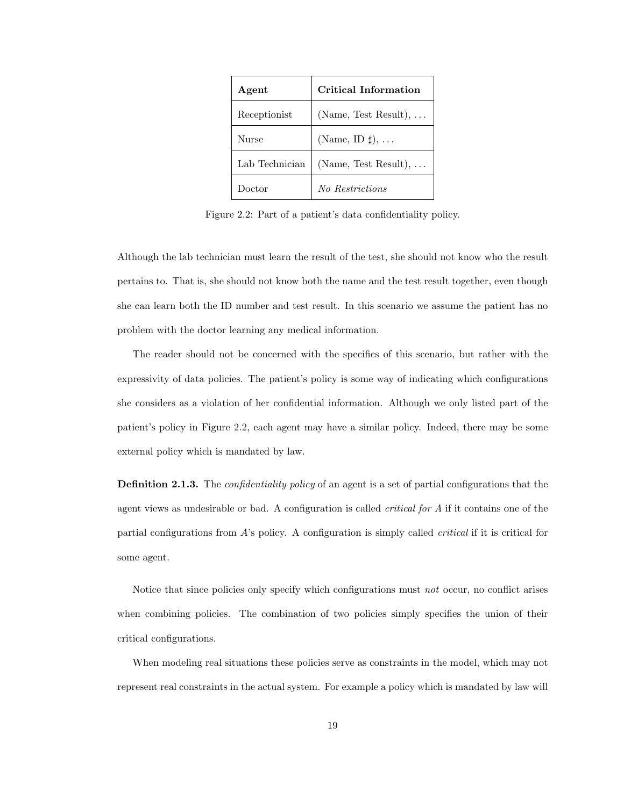| Agent          | <b>Critical Information</b>  |  |
|----------------|------------------------------|--|
| Receptionist   | (Name, Test Result), $\dots$ |  |
| Nurse          | (Name, ID $\sharp$ ),        |  |
| Lab Technician | (Name, Test Result), $\dots$ |  |
| Doctor         | No Restrictions              |  |

<span id="page-26-0"></span>Figure 2.2: Part of a patient's data confidentiality policy.

Although the lab technician must learn the result of the test, she should not know who the result pertains to. That is, she should not know both the name and the test result together, even though she can learn both the ID number and test result. In this scenario we assume the patient has no problem with the doctor learning any medical information.

The reader should not be concerned with the specifics of this scenario, but rather with the expressivity of data policies. The patient's policy is some way of indicating which configurations she considers as a violation of her confidential information. Although we only listed part of the patient's policy in Figure [2.2,](#page-26-0) each agent may have a similar policy. Indeed, there may be some external policy which is mandated by law.

**Definition 2.1.3.** The *confidentiality policy* of an agent is a set of partial configurations that the agent views as undesirable or bad. A configuration is called critical for A if it contains one of the partial configurations from A's policy. A configuration is simply called critical if it is critical for some agent.

Notice that since policies only specify which configurations must not occur, no conflict arises when combining policies. The combination of two policies simply specifies the union of their critical configurations.

When modeling real situations these policies serve as constraints in the model, which may not represent real constraints in the actual system. For example a policy which is mandated by law will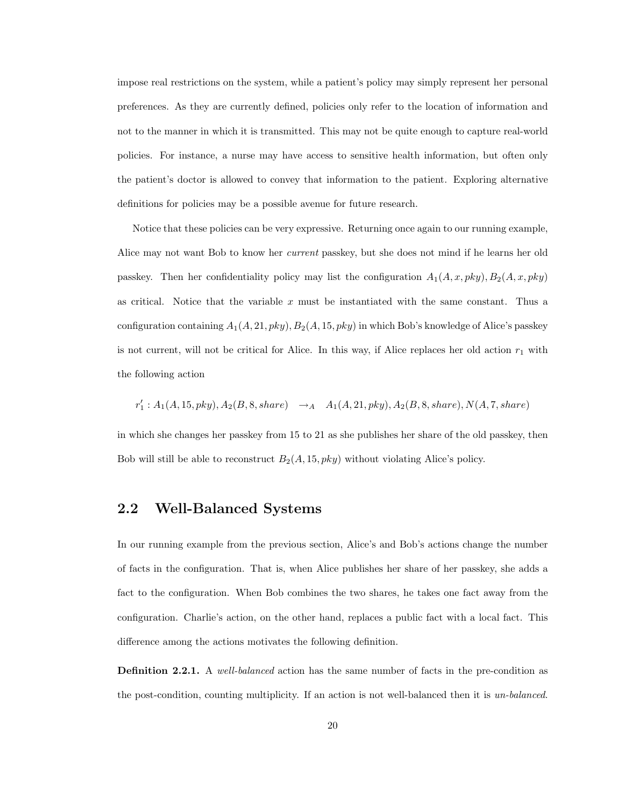impose real restrictions on the system, while a patient's policy may simply represent her personal preferences. As they are currently defined, policies only refer to the location of information and not to the manner in which it is transmitted. This may not be quite enough to capture real-world policies. For instance, a nurse may have access to sensitive health information, but often only the patient's doctor is allowed to convey that information to the patient. Exploring alternative definitions for policies may be a possible avenue for future research.

Notice that these policies can be very expressive. Returning once again to our running example, Alice may not want Bob to know her current passkey, but she does not mind if he learns her old passkey. Then her confidentiality policy may list the configuration  $A_1(A, x, pky), B_2(A, x, pky)$ as critical. Notice that the variable  $x$  must be instantiated with the same constant. Thus a configuration containing  $A_1(A, 21, pky), B_2(A, 15, pky)$  in which Bob's knowledge of Alice's passkey is not current, will not be critical for Alice. In this way, if Alice replaces her old action  $r_1$  with the following action

$$
r'_1: A_1(A,15, \allowbreak pky), A_2(B,8, \allowbreak share) \rightarrow_A \quad A_1(A,21, \allowbreak pky), A_2(B,8, \allowbreak share), N(A,7, \allowbreak share)
$$

in which she changes her passkey from 15 to 21 as she publishes her share of the old passkey, then Bob will still be able to reconstruct  $B_2(A, 15, pky)$  without violating Alice's policy.

### <span id="page-27-0"></span>2.2 Well-Balanced Systems

In our running example from the previous section, Alice's and Bob's actions change the number of facts in the configuration. That is, when Alice publishes her share of her passkey, she adds a fact to the configuration. When Bob combines the two shares, he takes one fact away from the configuration. Charlie's action, on the other hand, replaces a public fact with a local fact. This difference among the actions motivates the following definition.

Definition 2.2.1. A well-balanced action has the same number of facts in the pre-condition as the post-condition, counting multiplicity. If an action is not well-balanced then it is un-balanced.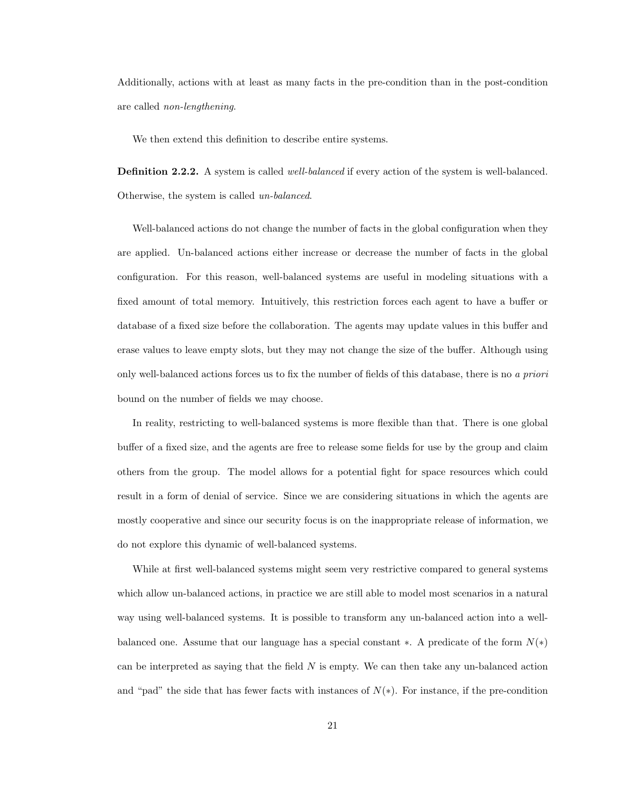Additionally, actions with at least as many facts in the pre-condition than in the post-condition are called non-lengthening.

We then extend this definition to describe entire systems.

Definition 2.2.2. A system is called well-balanced if every action of the system is well-balanced. Otherwise, the system is called un-balanced.

Well-balanced actions do not change the number of facts in the global configuration when they are applied. Un-balanced actions either increase or decrease the number of facts in the global configuration. For this reason, well-balanced systems are useful in modeling situations with a fixed amount of total memory. Intuitively, this restriction forces each agent to have a buffer or database of a fixed size before the collaboration. The agents may update values in this buffer and erase values to leave empty slots, but they may not change the size of the buffer. Although using only well-balanced actions forces us to fix the number of fields of this database, there is no a priori bound on the number of fields we may choose.

In reality, restricting to well-balanced systems is more flexible than that. There is one global buffer of a fixed size, and the agents are free to release some fields for use by the group and claim others from the group. The model allows for a potential fight for space resources which could result in a form of denial of service. Since we are considering situations in which the agents are mostly cooperative and since our security focus is on the inappropriate release of information, we do not explore this dynamic of well-balanced systems.

While at first well-balanced systems might seem very restrictive compared to general systems which allow un-balanced actions, in practice we are still able to model most scenarios in a natural way using well-balanced systems. It is possible to transform any un-balanced action into a wellbalanced one. Assume that our language has a special constant  $\ast$ . A predicate of the form  $N(\ast)$ can be interpreted as saying that the field  $N$  is empty. We can then take any un-balanced action and "pad" the side that has fewer facts with instances of  $N(*)$ . For instance, if the pre-condition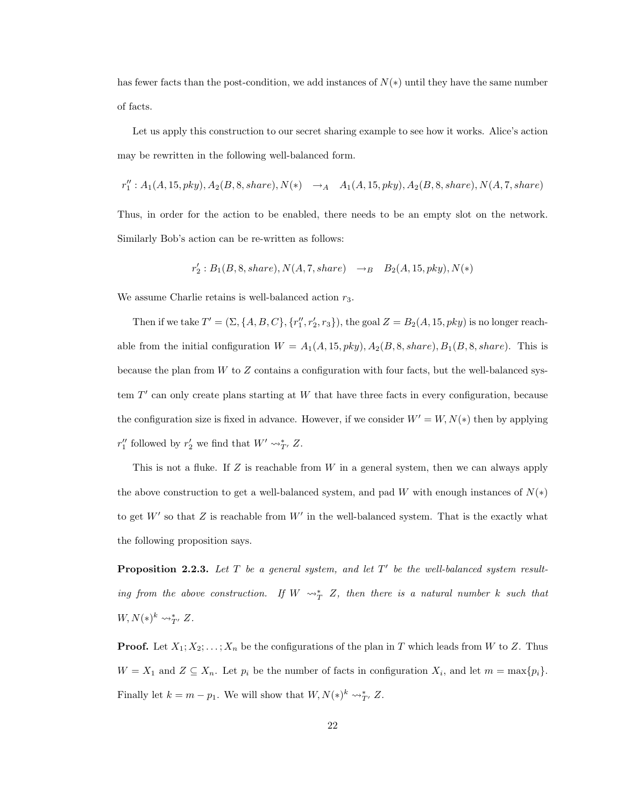has fewer facts than the post-condition, we add instances of  $N(*)$  until they have the same number of facts.

Let us apply this construction to our secret sharing example to see how it works. Alice's action may be rewritten in the following well-balanced form.

$$
r''_1 : A_1(A,15,pky), A_2(B,8,share), N(*) \rightarrow_A A_1(A,15,pky), A_2(B,8,share), N(A,7,share)
$$

Thus, in order for the action to be enabled, there needs to be an empty slot on the network. Similarly Bob's action can be re-written as follows:

$$
r'_2: B_1(B,8,share), N(A,7,share) \rightarrow_B B_2(A,15,pky), N(*)
$$

We assume Charlie retains is well-balanced action  $r_3$ .

Then if we take  $T' = (\Sigma, \{A, B, C\}, \{r''_1, r'_2, r_3\})$ , the goal  $Z = B_2(A, 15, pky)$  is no longer reachable from the initial configuration  $W = A_1(A, 15, pky), A_2(B, 8, share), B_1(B, 8, share).$  This is because the plan from  $W$  to  $Z$  contains a configuration with four facts, but the well-balanced system  $T'$  can only create plans starting at W that have three facts in every configuration, because the configuration size is fixed in advance. However, if we consider  $W' = W, N(*)$  then by applying  $r''_1$  followed by  $r'_2$  we find that  $W' \rightsquigarrow^*_{T'} Z$ .

This is not a fluke. If  $Z$  is reachable from  $W$  in a general system, then we can always apply the above construction to get a well-balanced system, and pad W with enough instances of  $N(*)$ to get  $W'$  so that Z is reachable from  $W'$  in the well-balanced system. That is the exactly what the following proposition says.

**Proposition 2.2.3.** Let  $T$  be a general system, and let  $T'$  be the well-balanced system resulting from the above construction. If  $W \rightsquigarrow_T^* Z$ , then there is a natural number k such that  $W, N(*)^k \rightsquigarrow^*_{T'} Z.$ 

**Proof.** Let  $X_1; X_2; \ldots; X_n$  be the configurations of the plan in T which leads from W to Z. Thus  $W = X_1$  and  $Z \subseteq X_n$ . Let  $p_i$  be the number of facts in configuration  $X_i$ , and let  $m = \max\{p_i\}$ . Finally let  $k = m - p_1$ . We will show that  $W, N(*)^k \leadsto^*_{T'} Z$ .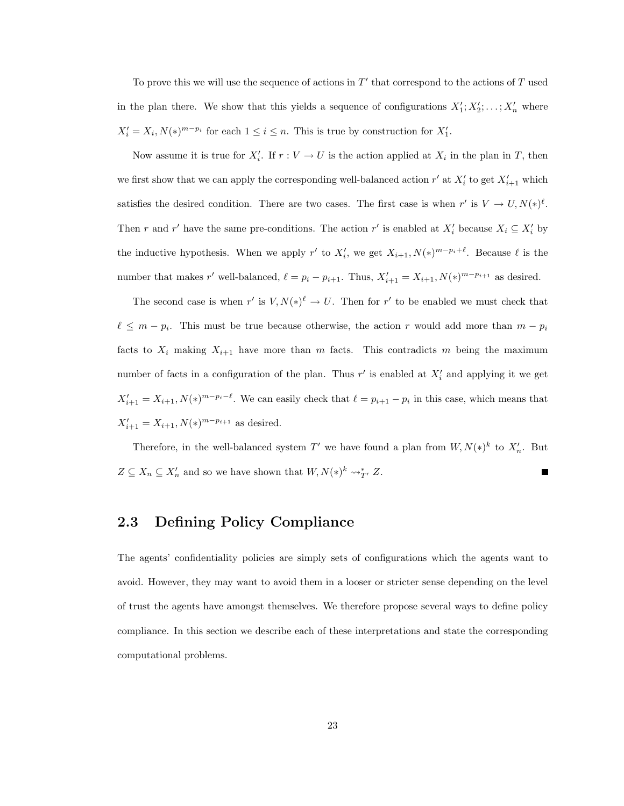To prove this we will use the sequence of actions in  $T'$  that correspond to the actions of  $T$  used in the plan there. We show that this yields a sequence of configurations  $X'_1; X'_2; \ldots; X'_n$  where  $X'_{i} = X_{i}, N(*)^{m-p_{i}}$  for each  $1 \leq i \leq n$ . This is true by construction for  $X'_{1}$ .

Now assume it is true for  $X_i'$ . If  $r : V \to U$  is the action applied at  $X_i$  in the plan in T, then we first show that we can apply the corresponding well-balanced action  $r'$  at  $X'_{i}$  to get  $X'_{i+1}$  which satisfies the desired condition. There are two cases. The first case is when  $r'$  is  $V \to U, N(*)^{\ell}$ . Then r and r' have the same pre-conditions. The action r' is enabled at  $X_i'$  because  $X_i \subseteq X_i'$  by the inductive hypothesis. When we apply r' to  $X'_i$ , we get  $X_{i+1}, N(*)^{m-p_i+\ell}$ . Because  $\ell$  is the number that makes r' well-balanced,  $\ell = p_i - p_{i+1}$ . Thus,  $X'_{i+1} = X_{i+1}$ ,  $N(*)^{m-p_{i+1}}$  as desired.

The second case is when  $r'$  is  $V, N(*)^{\ell} \to U$ . Then for  $r'$  to be enabled we must check that  $\ell \leq m - p_i$ . This must be true because otherwise, the action r would add more than  $m - p_i$ facts to  $X_i$  making  $X_{i+1}$  have more than m facts. This contradicts m being the maximum number of facts in a configuration of the plan. Thus  $r'$  is enabled at  $X'_{i}$  and applying it we get  $X'_{i+1} = X_{i+1}, N(*)^{m-p_i-\ell}$ . We can easily check that  $\ell = p_{i+1} - p_i$  in this case, which means that  $X'_{i+1} = X_{i+1}, N(*)^{m-p_{i+1}}$  as desired.

Therefore, in the well-balanced system  $T'$  we have found a plan from  $W, N(*)^k$  to  $X'_n$ . But  $Z \subseteq X_n \subseteq X'_n$  and so we have shown that  $W, N(*)^k \rightsquigarrow^*_{T'} Z$ .  $\blacksquare$ 

### <span id="page-30-0"></span>2.3 Defining Policy Compliance

<span id="page-30-1"></span>The agents' confidentiality policies are simply sets of configurations which the agents want to avoid. However, they may want to avoid them in a looser or stricter sense depending on the level of trust the agents have amongst themselves. We therefore propose several ways to define policy compliance. In this section we describe each of these interpretations and state the corresponding computational problems.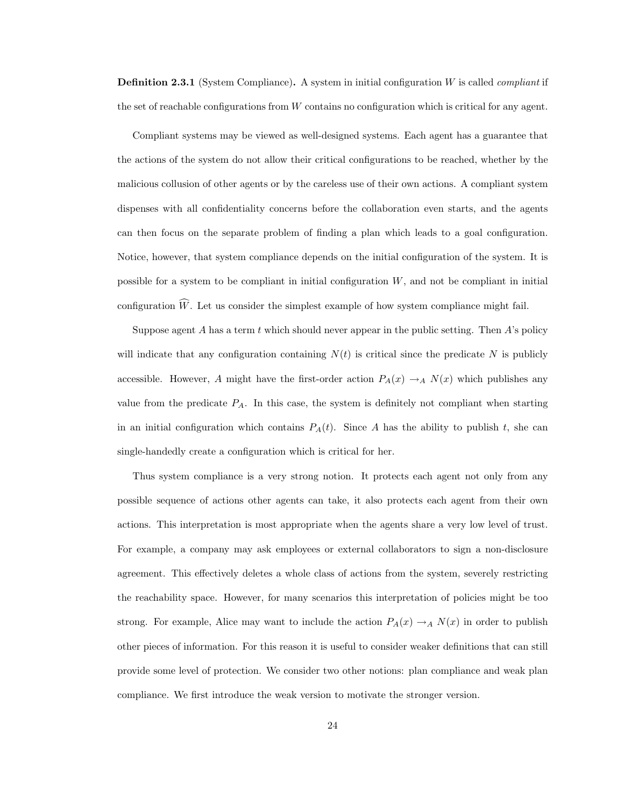**Definition 2.3.1** (System Compliance). A system in initial configuration  $W$  is called *compliant* if the set of reachable configurations from  $W$  contains no configuration which is critical for any agent.

Compliant systems may be viewed as well-designed systems. Each agent has a guarantee that the actions of the system do not allow their critical configurations to be reached, whether by the malicious collusion of other agents or by the careless use of their own actions. A compliant system dispenses with all confidentiality concerns before the collaboration even starts, and the agents can then focus on the separate problem of finding a plan which leads to a goal configuration. Notice, however, that system compliance depends on the initial configuration of the system. It is possible for a system to be compliant in initial configuration  $W$ , and not be compliant in initial configuration  $\widehat{W}$ . Let us consider the simplest example of how system compliance might fail.

Suppose agent  $A$  has a term  $t$  which should never appear in the public setting. Then  $A$ 's policy will indicate that any configuration containing  $N(t)$  is critical since the predicate N is publicly accessible. However, A might have the first-order action  $P_A(x) \to_A N(x)$  which publishes any value from the predicate  $P_A$ . In this case, the system is definitely not compliant when starting in an initial configuration which contains  $P_A(t)$ . Since A has the ability to publish t, she can single-handedly create a configuration which is critical for her.

Thus system compliance is a very strong notion. It protects each agent not only from any possible sequence of actions other agents can take, it also protects each agent from their own actions. This interpretation is most appropriate when the agents share a very low level of trust. For example, a company may ask employees or external collaborators to sign a non-disclosure agreement. This effectively deletes a whole class of actions from the system, severely restricting the reachability space. However, for many scenarios this interpretation of policies might be too strong. For example, Alice may want to include the action  $P_A(x) \to_A N(x)$  in order to publish other pieces of information. For this reason it is useful to consider weaker definitions that can still provide some level of protection. We consider two other notions: plan compliance and weak plan compliance. We first introduce the weak version to motivate the stronger version.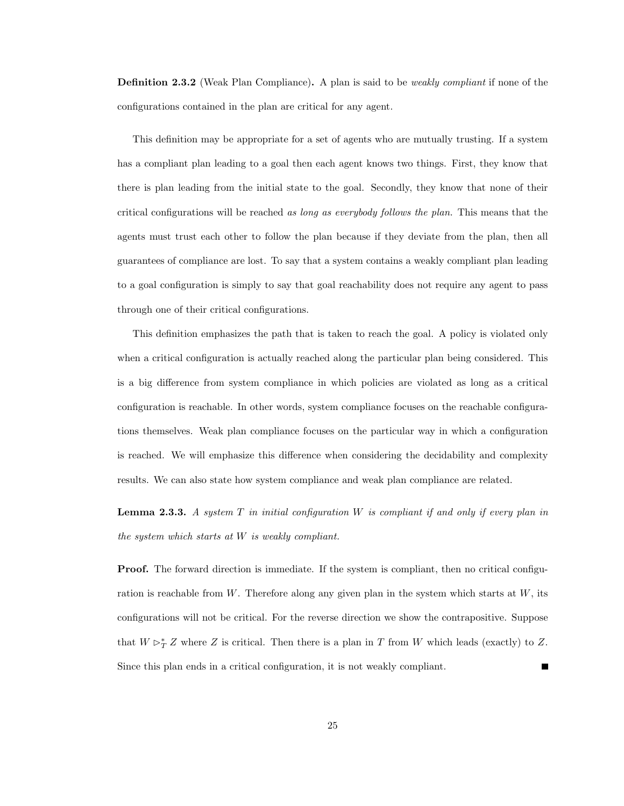**Definition 2.3.2** (Weak Plan Compliance). A plan is said to be *weakly compliant* if none of the configurations contained in the plan are critical for any agent.

This definition may be appropriate for a set of agents who are mutually trusting. If a system has a compliant plan leading to a goal then each agent knows two things. First, they know that there is plan leading from the initial state to the goal. Secondly, they know that none of their critical configurations will be reached as long as everybody follows the plan. This means that the agents must trust each other to follow the plan because if they deviate from the plan, then all guarantees of compliance are lost. To say that a system contains a weakly compliant plan leading to a goal configuration is simply to say that goal reachability does not require any agent to pass through one of their critical configurations.

This definition emphasizes the path that is taken to reach the goal. A policy is violated only when a critical configuration is actually reached along the particular plan being considered. This is a big difference from system compliance in which policies are violated as long as a critical configuration is reachable. In other words, system compliance focuses on the reachable configurations themselves. Weak plan compliance focuses on the particular way in which a configuration is reached. We will emphasize this difference when considering the decidability and complexity results. We can also state how system compliance and weak plan compliance are related.

<span id="page-32-0"></span>**Lemma 2.3.3.** A system  $T$  in initial configuration  $W$  is compliant if and only if every plan in the system which starts at W is weakly compliant.

**Proof.** The forward direction is immediate. If the system is compliant, then no critical configuration is reachable from  $W$ . Therefore along any given plan in the system which starts at  $W$ , its configurations will not be critical. For the reverse direction we show the contrapositive. Suppose that  $W \rhd_T^* Z$  where Z is critical. Then there is a plan in T from W which leads (exactly) to Z. Since this plan ends in a critical configuration, it is not weakly compliant. ۰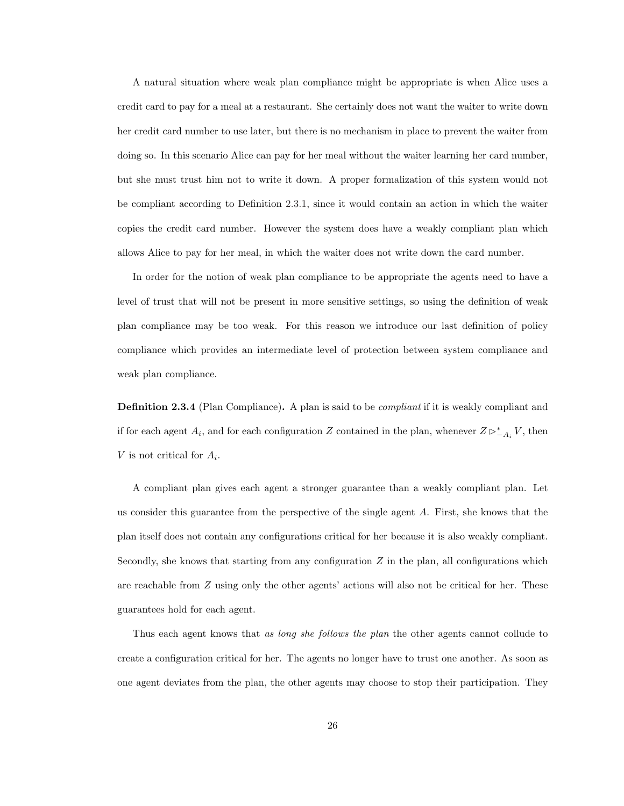A natural situation where weak plan compliance might be appropriate is when Alice uses a credit card to pay for a meal at a restaurant. She certainly does not want the waiter to write down her credit card number to use later, but there is no mechanism in place to prevent the waiter from doing so. In this scenario Alice can pay for her meal without the waiter learning her card number, but she must trust him not to write it down. A proper formalization of this system would not be compliant according to Definition [2.3.1,](#page-30-1) since it would contain an action in which the waiter copies the credit card number. However the system does have a weakly compliant plan which allows Alice to pay for her meal, in which the waiter does not write down the card number.

In order for the notion of weak plan compliance to be appropriate the agents need to have a level of trust that will not be present in more sensitive settings, so using the definition of weak plan compliance may be too weak. For this reason we introduce our last definition of policy compliance which provides an intermediate level of protection between system compliance and weak plan compliance.

Definition 2.3.4 (Plan Compliance). A plan is said to be compliant if it is weakly compliant and if for each agent  $A_i$ , and for each configuration Z contained in the plan, whenever  $Z \rhd_{-A_i}^* V$ , then V is not critical for  $A_i$ .

A compliant plan gives each agent a stronger guarantee than a weakly compliant plan. Let us consider this guarantee from the perspective of the single agent A. First, she knows that the plan itself does not contain any configurations critical for her because it is also weakly compliant. Secondly, she knows that starting from any configuration  $Z$  in the plan, all configurations which are reachable from Z using only the other agents' actions will also not be critical for her. These guarantees hold for each agent.

Thus each agent knows that as long she follows the plan the other agents cannot collude to create a configuration critical for her. The agents no longer have to trust one another. As soon as one agent deviates from the plan, the other agents may choose to stop their participation. They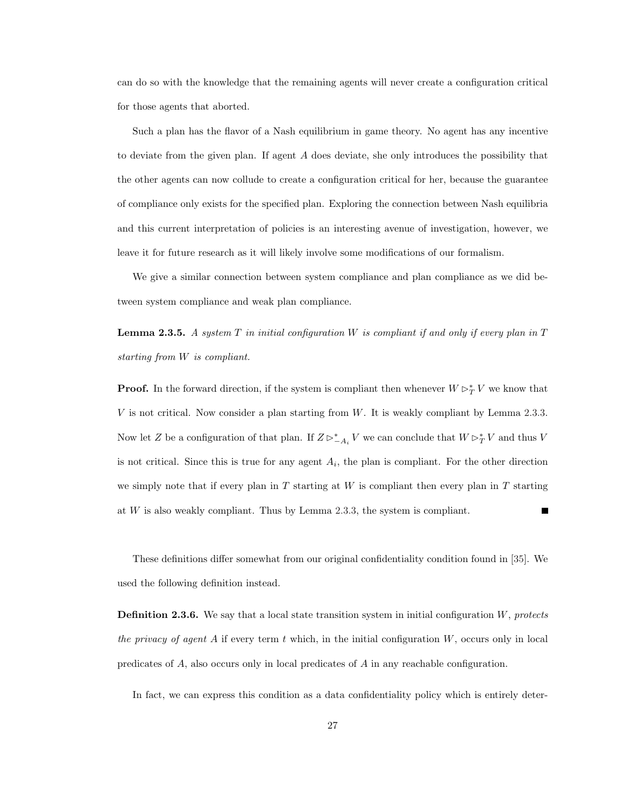can do so with the knowledge that the remaining agents will never create a configuration critical for those agents that aborted.

Such a plan has the flavor of a Nash equilibrium in game theory. No agent has any incentive to deviate from the given plan. If agent A does deviate, she only introduces the possibility that the other agents can now collude to create a configuration critical for her, because the guarantee of compliance only exists for the specified plan. Exploring the connection between Nash equilibria and this current interpretation of policies is an interesting avenue of investigation, however, we leave it for future research as it will likely involve some modifications of our formalism.

We give a similar connection between system compliance and plan compliance as we did between system compliance and weak plan compliance.

**Lemma 2.3.5.** A system  $T$  in initial configuration  $W$  is compliant if and only if every plan in  $T$ starting from W is compliant.

**Proof.** In the forward direction, if the system is compliant then whenever  $W \rightharpoonup_T^* V$  we know that V is not critical. Now consider a plan starting from W. It is weakly compliant by Lemma [2.3.3.](#page-32-0) Now let Z be a configuration of that plan. If  $Z \rhd_{-A_i}^* V$  we can conclude that  $W \rhd_T^* V$  and thus V is not critical. Since this is true for any agent  $A_i$ , the plan is compliant. For the other direction we simply note that if every plan in  $T$  starting at  $W$  is compliant then every plan in  $T$  starting at W is also weakly compliant. Thus by Lemma [2.3.3,](#page-32-0) the system is compliant.

These definitions differ somewhat from our original confidentiality condition found in [\[35\]](#page-96-6). We used the following definition instead.

**Definition 2.3.6.** We say that a local state transition system in initial configuration  $W$ , protects the privacy of agent A if every term t which, in the initial configuration  $W$ , occurs only in local predicates of A, also occurs only in local predicates of A in any reachable configuration.

In fact, we can express this condition as a data confidentiality policy which is entirely deter-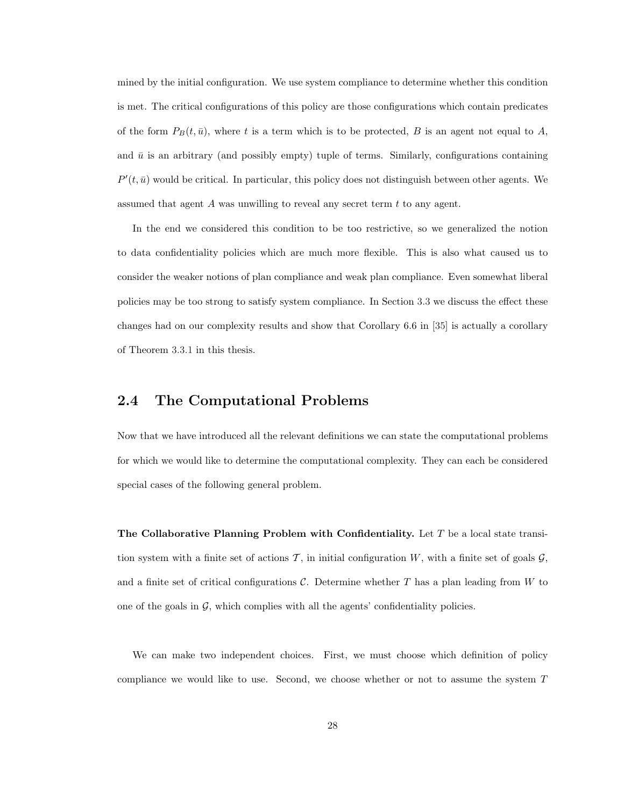mined by the initial configuration. We use system compliance to determine whether this condition is met. The critical configurations of this policy are those configurations which contain predicates of the form  $P_B(t, \bar{u})$ , where t is a term which is to be protected, B is an agent not equal to A, and  $\bar{u}$  is an arbitrary (and possibly empty) tuple of terms. Similarly, configurations containing  $P'(t, \bar{u})$  would be critical. In particular, this policy does not distinguish between other agents. We assumed that agent  $A$  was unwilling to reveal any secret term  $t$  to any agent.

In the end we considered this condition to be too restrictive, so we generalized the notion to data confidentiality policies which are much more flexible. This is also what caused us to consider the weaker notions of plan compliance and weak plan compliance. Even somewhat liberal policies may be too strong to satisfy system compliance. In Section [3.3](#page-47-0) we discuss the effect these changes had on our complexity results and show that Corollary 6.6 in [\[35\]](#page-96-6) is actually a corollary of Theorem [3.3.1](#page-47-1) in this thesis.

### <span id="page-35-0"></span>2.4 The Computational Problems

Now that we have introduced all the relevant definitions we can state the computational problems for which we would like to determine the computational complexity. They can each be considered special cases of the following general problem.

The Collaborative Planning Problem with Confidentiality. Let  $T$  be a local state transition system with a finite set of actions  $\mathcal T$ , in initial configuration W, with a finite set of goals  $\mathcal G$ , and a finite set of critical configurations  $\mathcal{C}$ . Determine whether T has a plan leading from W to one of the goals in  $\mathcal{G}$ , which complies with all the agents' confidentiality policies.

We can make two independent choices. First, we must choose which definition of policy compliance we would like to use. Second, we choose whether or not to assume the system T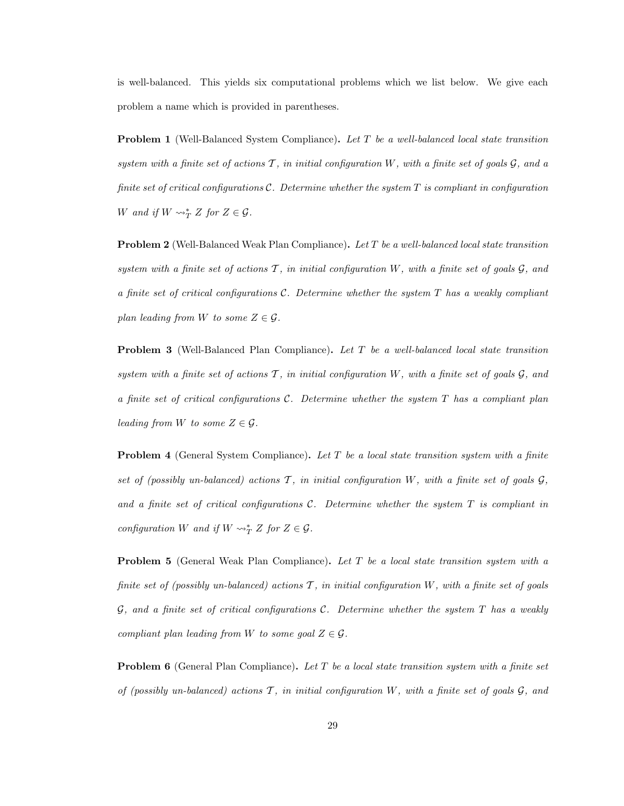is well-balanced. This yields six computational problems which we list below. We give each problem a name which is provided in parentheses.

**Problem 1** (Well-Balanced System Compliance). Let T be a well-balanced local state transition system with a finite set of actions  $\mathcal T$ , in initial configuration W, with a finite set of goals  $\mathcal G$ , and a finite set of critical configurations  $\mathcal{C}$ . Determine whether the system T is compliant in configuration W and if  $W \rightsquigarrow_T^* Z$  for  $Z \in \mathcal{G}$ .

Problem 2 (Well-Balanced Weak Plan Compliance). Let T be a well-balanced local state transition system with a finite set of actions  $\mathcal T$ , in initial configuration W, with a finite set of goals  $\mathcal G$ , and a finite set of critical configurations  $\mathcal{C}$ . Determine whether the system  $T$  has a weakly compliant plan leading from W to some  $Z \in \mathcal{G}$ .

Problem 3 (Well-Balanced Plan Compliance). Let T be a well-balanced local state transition system with a finite set of actions  $\mathcal T$ , in initial configuration W, with a finite set of goals  $\mathcal G$ , and a finite set of critical configurations  $\mathcal{C}$ . Determine whether the system T has a compliant plan leading from W to some  $Z \in \mathcal{G}$ .

**Problem 4** (General System Compliance). Let T be a local state transition system with a finite set of (possibly un-balanced) actions  $T$ , in initial configuration W, with a finite set of goals  $G$ , and a finite set of critical configurations  $C$ . Determine whether the system  $T$  is compliant in configuration W and if  $W \rightsquigarrow_T^* Z$  for  $Z \in \mathcal{G}$ .

Problem 5 (General Weak Plan Compliance). Let T be a local state transition system with a finite set of (possibly un-balanced) actions  $\mathcal{T}$ , in initial configuration W, with a finite set of goals  $G$ , and a finite set of critical configurations  $C$ . Determine whether the system  $T$  has a weakly compliant plan leading from W to some goal  $Z \in \mathcal{G}$ .

**Problem 6** (General Plan Compliance). Let T be a local state transition system with a finite set of (possibly un-balanced) actions  $\mathcal{T}$ , in initial configuration W, with a finite set of goals  $\mathcal{G}$ , and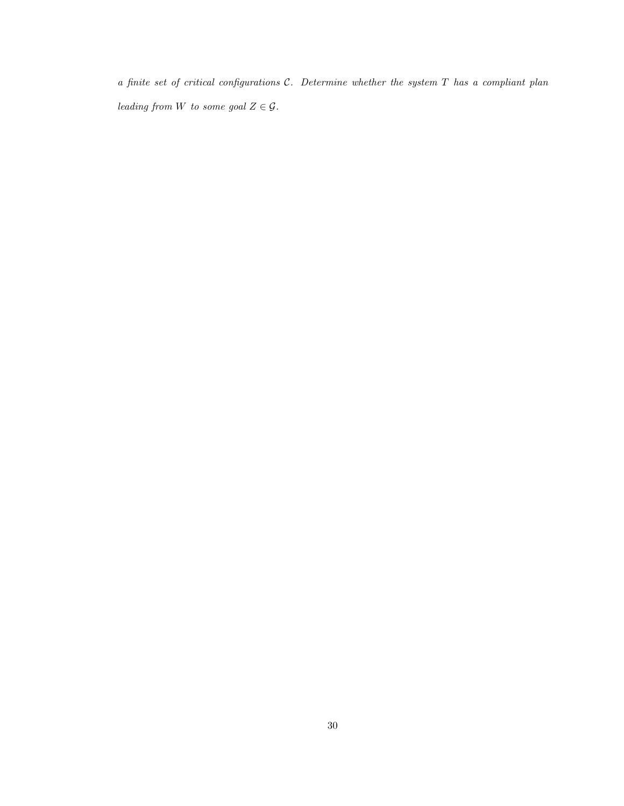a finite set of critical configurations  $C$ . Determine whether the system  $T$  has a compliant plan leading from W to some goal  $Z \in \mathcal{G}$ .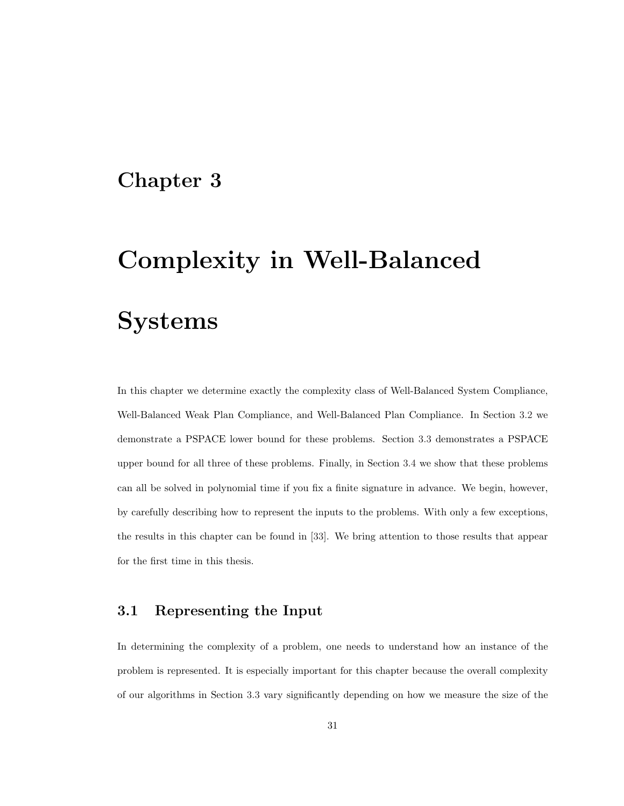# Chapter 3

# Complexity in Well-Balanced

# Systems

In this chapter we determine exactly the complexity class of Well-Balanced System Compliance, Well-Balanced Weak Plan Compliance, and Well-Balanced Plan Compliance. In Section [3.2](#page-41-0) we demonstrate a PSPACE lower bound for these problems. Section [3.3](#page-47-0) demonstrates a PSPACE upper bound for all three of these problems. Finally, in Section [3.4](#page-54-0) we show that these problems can all be solved in polynomial time if you fix a finite signature in advance. We begin, however, by carefully describing how to represent the inputs to the problems. With only a few exceptions, the results in this chapter can be found in [\[33\]](#page-96-0). We bring attention to those results that appear for the first time in this thesis.

# <span id="page-38-0"></span>3.1 Representing the Input

In determining the complexity of a problem, one needs to understand how an instance of the problem is represented. It is especially important for this chapter because the overall complexity of our algorithms in Section [3.3](#page-47-0) vary significantly depending on how we measure the size of the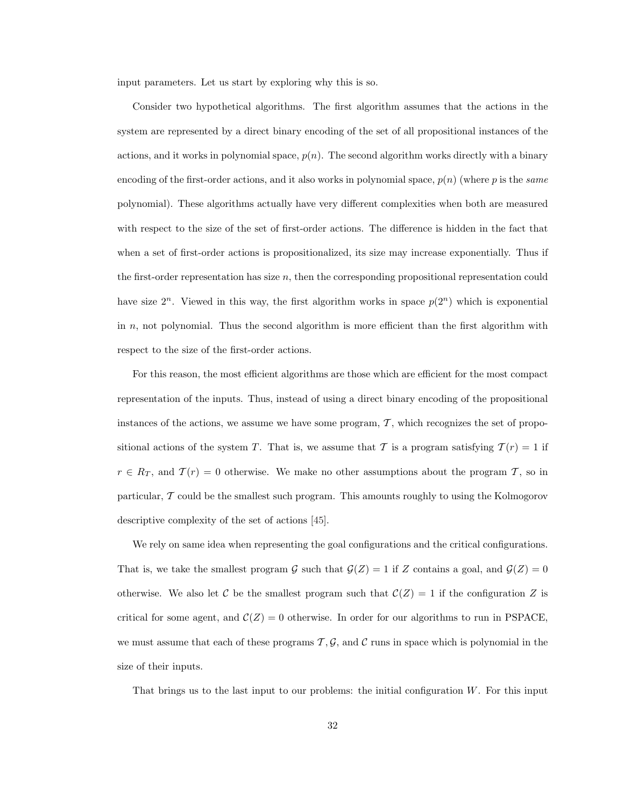input parameters. Let us start by exploring why this is so.

Consider two hypothetical algorithms. The first algorithm assumes that the actions in the system are represented by a direct binary encoding of the set of all propositional instances of the actions, and it works in polynomial space,  $p(n)$ . The second algorithm works directly with a binary encoding of the first-order actions, and it also works in polynomial space,  $p(n)$  (where p is the same polynomial). These algorithms actually have very different complexities when both are measured with respect to the size of the set of first-order actions. The difference is hidden in the fact that when a set of first-order actions is propositionalized, its size may increase exponentially. Thus if the first-order representation has size  $n$ , then the corresponding propositional representation could have size  $2^n$ . Viewed in this way, the first algorithm works in space  $p(2^n)$  which is exponential in  $n$ , not polynomial. Thus the second algorithm is more efficient than the first algorithm with respect to the size of the first-order actions.

For this reason, the most efficient algorithms are those which are efficient for the most compact representation of the inputs. Thus, instead of using a direct binary encoding of the propositional instances of the actions, we assume we have some program,  $\mathcal{T}$ , which recognizes the set of propositional actions of the system T. That is, we assume that T is a program satisfying  $T(r) = 1$  if  $r \in R_T$ , and  $\mathcal{T}(r) = 0$  otherwise. We make no other assumptions about the program  $\mathcal{T}$ , so in particular, T could be the smallest such program. This amounts roughly to using the Kolmogorov descriptive complexity of the set of actions [\[45\]](#page-97-0).

We rely on same idea when representing the goal configurations and the critical configurations. That is, we take the smallest program G such that  $\mathcal{G}(Z) = 1$  if Z contains a goal, and  $\mathcal{G}(Z) = 0$ otherwise. We also let C be the smallest program such that  $C(Z) = 1$  if the configuration Z is critical for some agent, and  $\mathcal{C}(Z) = 0$  otherwise. In order for our algorithms to run in PSPACE, we must assume that each of these programs  $\mathcal{T}, \mathcal{G}$ , and C runs in space which is polynomial in the size of their inputs.

That brings us to the last input to our problems: the initial configuration  $W$ . For this input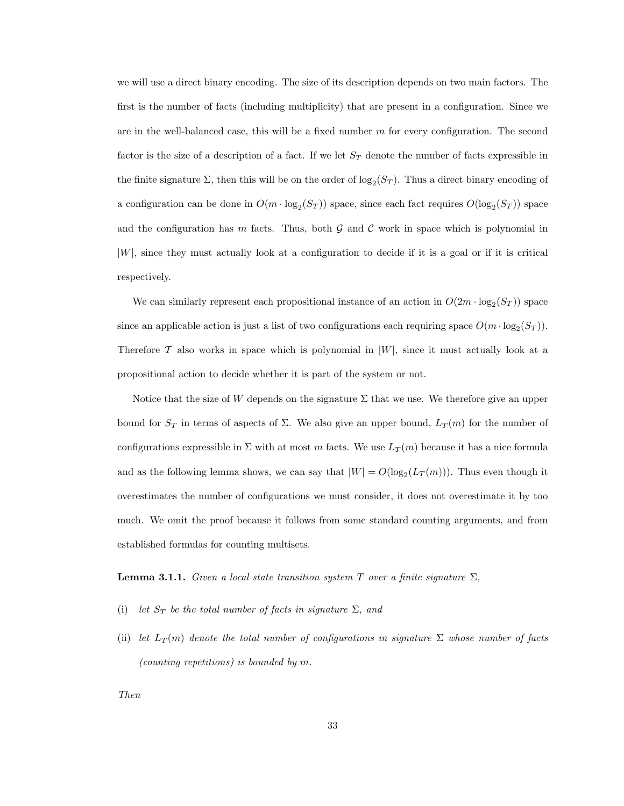we will use a direct binary encoding. The size of its description depends on two main factors. The first is the number of facts (including multiplicity) that are present in a configuration. Since we are in the well-balanced case, this will be a fixed number m for every configuration. The second factor is the size of a description of a fact. If we let  $S_T$  denote the number of facts expressible in the finite signature  $\Sigma$ , then this will be on the order of  $\log_2(S_T)$ . Thus a direct binary encoding of a configuration can be done in  $O(m \cdot \log_2(S_T))$  space, since each fact requires  $O(\log_2(S_T))$  space and the configuration has m facts. Thus, both  $G$  and  $C$  work in space which is polynomial in  $|W|$ , since they must actually look at a configuration to decide if it is a goal or if it is critical respectively.

We can similarly represent each propositional instance of an action in  $O(2m \cdot \log_2(S_T))$  space since an applicable action is just a list of two configurations each requiring space  $O(m \cdot \log_2(S_T))$ . Therefore  $\mathcal T$  also works in space which is polynomial in  $|W|$ , since it must actually look at a propositional action to decide whether it is part of the system or not.

Notice that the size of W depends on the signature  $\Sigma$  that we use. We therefore give an upper bound for  $S_T$  in terms of aspects of  $\Sigma$ . We also give an upper bound,  $L_T(m)$  for the number of configurations expressible in  $\Sigma$  with at most m facts. We use  $L_T(m)$  because it has a nice formula and as the following lemma shows, we can say that  $|W| = O(\log_2(L_T(m)))$ . Thus even though it overestimates the number of configurations we must consider, it does not overestimate it by too much. We omit the proof because it follows from some standard counting arguments, and from established formulas for counting multisets.

<span id="page-40-0"></span>**Lemma 3.1.1.** Given a local state transition system T over a finite signature  $\Sigma$ ,

- (i) let  $S_T$  be the total number of facts in signature  $\Sigma$ , and
- (ii) let  $L_T(m)$  denote the total number of configurations in signature  $\Sigma$  whose number of facts (counting repetitions) is bounded by m.

Then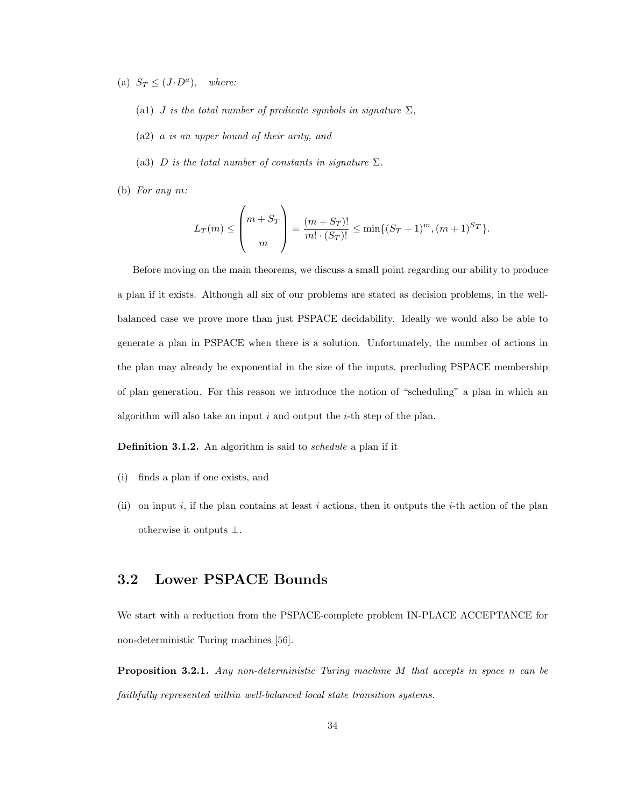- (a)  $S_T \leq (J \cdot D^a)$ , where:
	- (a1) *J* is the total number of predicate symbols in signature  $\Sigma$ ,
	- (a2) a is an upper bound of their arity, and
	- (a3) D is the total number of constants in signature  $\Sigma$ .
- (b) For any m:

$$
L_T(m) \le \begin{pmatrix} m + S_T \\ m \end{pmatrix} = \frac{(m + S_T)!}{m! \cdot (S_T)!} \le \min\{(S_T + 1)^m, (m + 1)^{S_T}\}.
$$

Before moving on the main theorems, we discuss a small point regarding our ability to produce a plan if it exists. Although all six of our problems are stated as decision problems, in the wellbalanced case we prove more than just PSPACE decidability. Ideally we would also be able to generate a plan in PSPACE when there is a solution. Unfortunately, the number of actions in the plan may already be exponential in the size of the inputs, precluding PSPACE membership of plan generation. For this reason we introduce the notion of "scheduling" a plan in which an algorithm will also take an input  $i$  and output the  $i$ -th step of the plan.

Definition 3.1.2. An algorithm is said to *schedule* a plan if it

- (i) finds a plan if one exists, and
- (ii) on input i, if the plan contains at least i actions, then it outputs the i-th action of the plan otherwise it outputs ⊥.

### <span id="page-41-0"></span>3.2 Lower PSPACE Bounds

We start with a reduction from the PSPACE-complete problem IN-PLACE ACCEPTANCE for non-deterministic Turing machines [\[56\]](#page-98-0).

<span id="page-41-1"></span>**Proposition 3.2.1.** Any non-deterministic Turing machine  $M$  that accepts in space n can be faithfully represented within well-balanced local state transition systems.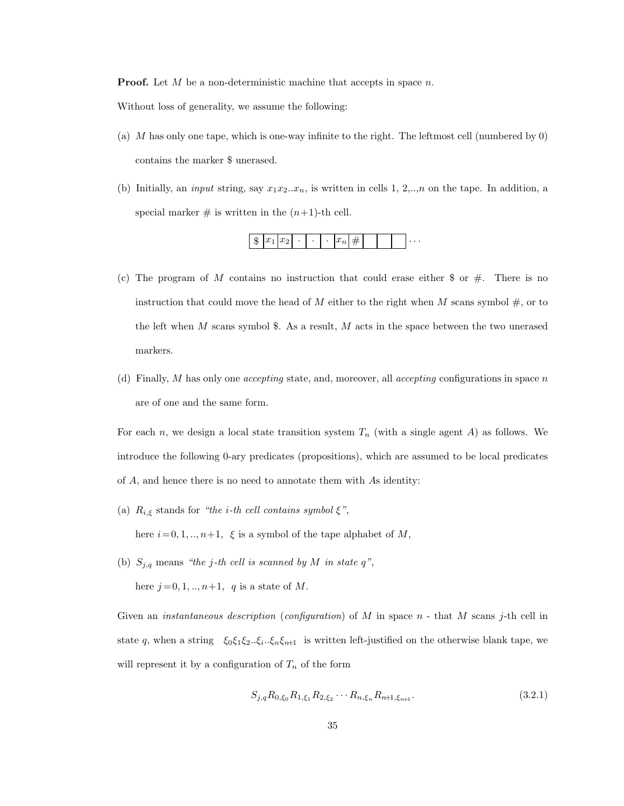**Proof.** Let  $M$  be a non-deterministic machine that accepts in space  $n$ .

Without loss of generality, we assume the following:

- (a) M has only one tape, which is one-way infinite to the right. The leftmost cell (numbered by 0) contains the marker \$ unerased.
- (b) Initially, an *input* string, say  $x_1x_2...x_n$ , is written in cells 1, 2,..,*n* on the tape. In addition, a special marker  $\#$  is written in the  $(n+1)$ -th cell.



- (c) The program of M contains no instruction that could erase either  $\gamma$  or  $\#$ . There is no instruction that could move the head of M either to the right when M scans symbol  $\#$ , or to the left when  $M$  scans symbol \$. As a result,  $M$  acts in the space between the two unerased markers.
- (d) Finally, M has only one *accepting* state, and, moreover, all *accepting* configurations in space n are of one and the same form.

For each n, we design a local state transition system  $T_n$  (with a single agent A) as follows. We introduce the following 0-ary predicates (propositions), which are assumed to be local predicates of A, and hence there is no need to annotate them with As identity:

- (a)  $R_{i,\xi}$  stands for "the *i*-th cell contains symbol  $\xi$ ", here  $i=0,1, ..., n+1$ ,  $\xi$  is a symbol of the tape alphabet of M,
- (b)  $S_{j,q}$  means "the j-th cell is scanned by M in state q", here  $j = 0, 1, ..., n+1$ , q is a state of M.

Given an *instantaneous description* (*configuration*) of  $M$  in space  $n$  - that  $M$  scans j-th cell in state q, when a string  $\xi_0 \xi_1 \xi_2 \dots \xi_i \dots \xi_n \xi_{n+1}$  is written left-justified on the otherwise blank tape, we will represent it by a configuration of  $T_n$  of the form

<span id="page-42-0"></span>
$$
S_{j,q}R_{0,\xi_0}R_{1,\xi_1}R_{2,\xi_2}\cdots R_{n,\xi_n}R_{n+1,\xi_{n+1}}.\tag{3.2.1}
$$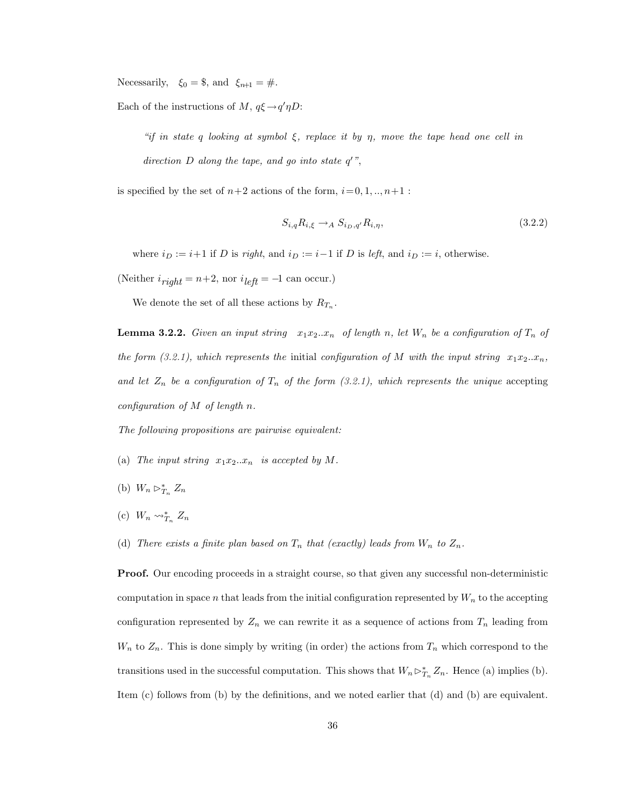Necessarily,  $\xi_0 = \$$ , and  $\xi_{n+1} = #$ .

Each of the instructions of M,  $q\xi \rightarrow q'\eta D$ :

"if in state q looking at symbol  $\xi$ , replace it by  $\eta$ , move the tape head one cell in direction  $D$  along the tape, and go into state  $q'$ ",

is specified by the set of  $n+2$  actions of the form,  $i=0, 1, ..., n+1$ :

<span id="page-43-0"></span>
$$
S_{i,q}R_{i,\xi} \to_A S_{i_D,q'}R_{i,\eta},\tag{3.2.2}
$$

where  $i_D := i+1$  if D is right, and  $i_D := i-1$  if D is left, and  $i_D := i$ , otherwise.

(Neither  $i_{right} = n+2$ , nor  $i_{left} = -1$  can occur.)

<span id="page-43-1"></span>We denote the set of all these actions by  $R_{T_n}$ .

**Lemma 3.2.2.** Given an input string  $x_1x_2...x_n$  of length n, let  $W_n$  be a configuration of  $T_n$  of the form [\(3.2.1\)](#page-42-0), which represents the initial configuration of M with the input string  $x_1x_2...x_n$ , and let  $Z_n$  be a configuration of  $T_n$  of the form [\(3.2.1\)](#page-42-0), which represents the unique accepting configuration of  $M$  of length  $n$ .

The following propositions are pairwise equivalent:

- (a) The input string  $x_1x_2...x_n$  is accepted by M.
- (b)  $W_n \rhd_{T_n}^* Z_n$
- (c)  $W_n \rightsquigarrow_{T_n}^* Z_n$
- (d) There exists a finite plan based on  $T_n$  that (exactly) leads from  $W_n$  to  $Z_n$ .

**Proof.** Our encoding proceeds in a straight course, so that given any successful non-deterministic computation in space n that leads from the initial configuration represented by  $W_n$  to the accepting configuration represented by  $Z_n$  we can rewrite it as a sequence of actions from  $T_n$  leading from  $W_n$  to  $Z_n$ . This is done simply by writing (in order) the actions from  $T_n$  which correspond to the transitions used in the successful computation. This shows that  $W_n \rhd_{T_n}^* Z_n$ . Hence (a) implies (b). Item (c) follows from (b) by the definitions, and we noted earlier that (d) and (b) are equivalent.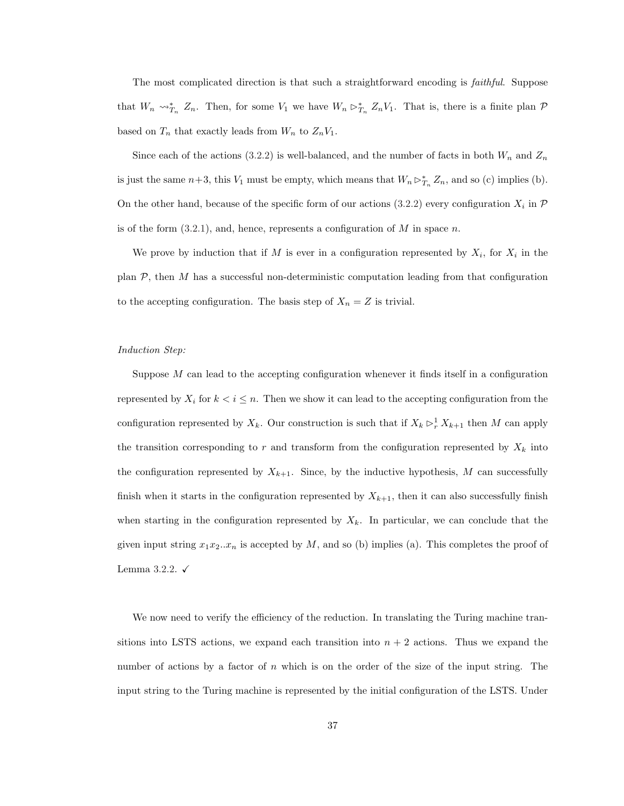The most complicated direction is that such a straightforward encoding is *faithful*. Suppose that  $W_n \rightsquigarrow_{T_n}^* Z_n$ . Then, for some  $V_1$  we have  $W_n \triangleright_{T_n}^* Z_n V_1$ . That is, there is a finite plan  $\mathcal P$ based on  $T_n$  that exactly leads from  $W_n$  to  $Z_nV_1$ .

Since each of the actions [\(3.2.2\)](#page-43-0) is well-balanced, and the number of facts in both  $W_n$  and  $Z_n$ is just the same  $n+3$ , this  $V_1$  must be empty, which means that  $W_n \rhd_{T_n}^* Z_n$ , and so (c) implies (b). On the other hand, because of the specific form of our actions [\(3.2.2\)](#page-43-0) every configuration  $X_i$  in  $\mathcal P$ is of the form  $(3.2.1)$ , and, hence, represents a configuration of M in space n.

We prove by induction that if M is ever in a configuration represented by  $X_i$ , for  $X_i$  in the plan  $P$ , then M has a successful non-deterministic computation leading from that configuration to the accepting configuration. The basis step of  $X_n = Z$  is trivial.

### Induction Step:

Suppose  $M$  can lead to the accepting configuration whenever it finds itself in a configuration represented by  $X_i$  for  $k < i \leq n$ . Then we show it can lead to the accepting configuration from the configuration represented by  $X_k$ . Our construction is such that if  $X_k \rhd_r^1 X_{k+1}$  then M can apply the transition corresponding to r and transform from the configuration represented by  $X_k$  into the configuration represented by  $X_{k+1}$ . Since, by the inductive hypothesis, M can successfully finish when it starts in the configuration represented by  $X_{k+1}$ , then it can also successfully finish when starting in the configuration represented by  $X_k$ . In particular, we can conclude that the given input string  $x_1x_2...x_n$  is accepted by M, and so (b) implies (a). This completes the proof of Lemma [3.2.2.](#page-43-1)  $\checkmark$ 

We now need to verify the efficiency of the reduction. In translating the Turing machine transitions into LSTS actions, we expand each transition into  $n + 2$  actions. Thus we expand the number of actions by a factor of  $n$  which is on the order of the size of the input string. The input string to the Turing machine is represented by the initial configuration of the LSTS. Under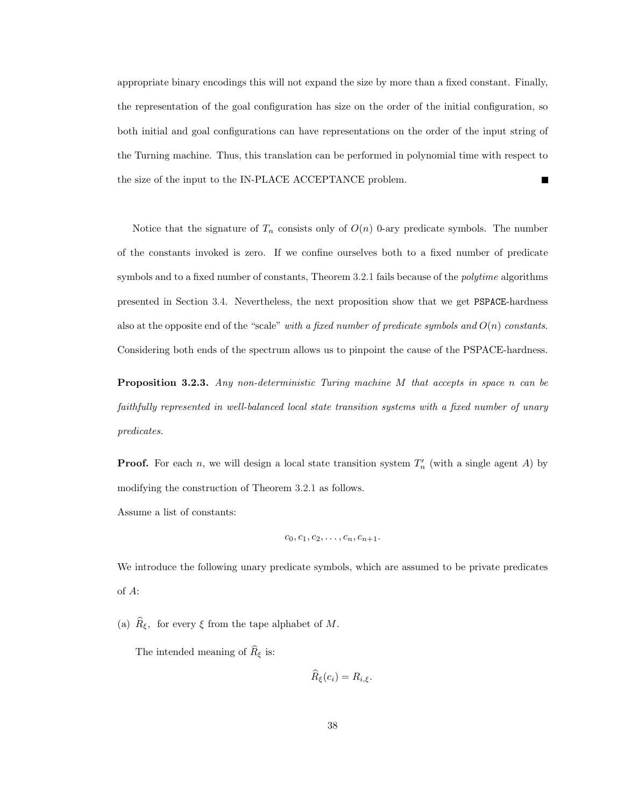appropriate binary encodings this will not expand the size by more than a fixed constant. Finally, the representation of the goal configuration has size on the order of the initial configuration, so both initial and goal configurations can have representations on the order of the input string of the Turning machine. Thus, this translation can be performed in polynomial time with respect to the size of the input to the IN-PLACE ACCEPTANCE problem. П

Notice that the signature of  $T_n$  consists only of  $O(n)$  0-ary predicate symbols. The number of the constants invoked is zero. If we confine ourselves both to a fixed number of predicate symbols and to a fixed number of constants, Theorem [3.2.1](#page-41-1) fails because of the *polytime* algorithms presented in Section [3.4.](#page-54-0) Nevertheless, the next proposition show that we get PSPACE-hardness also at the opposite end of the "scale" with a fixed number of predicate symbols and  $O(n)$  constants. Considering both ends of the spectrum allows us to pinpoint the cause of the PSPACE-hardness.

<span id="page-45-0"></span>**Proposition 3.2.3.** Any non-deterministic Turing machine  $M$  that accepts in space n can be faithfully represented in well-balanced local state transition systems with a fixed number of unary predicates.

**Proof.** For each n, we will design a local state transition system  $T'_n$  (with a single agent A) by modifying the construction of Theorem [3.2.1](#page-41-1) as follows.

Assume a list of constants:

$$
c_0, c_1, c_2, \ldots, c_n, c_{n+1}.
$$

We introduce the following unary predicate symbols, which are assumed to be private predicates of A:

(a)  $\widehat{R}_{\xi}$ , for every  $\xi$  from the tape alphabet of M.

The intended meaning of  $\widehat{R}_{\xi}$  is:

$$
\widehat{R}_{\xi}(c_i)=R_{i,\xi}.
$$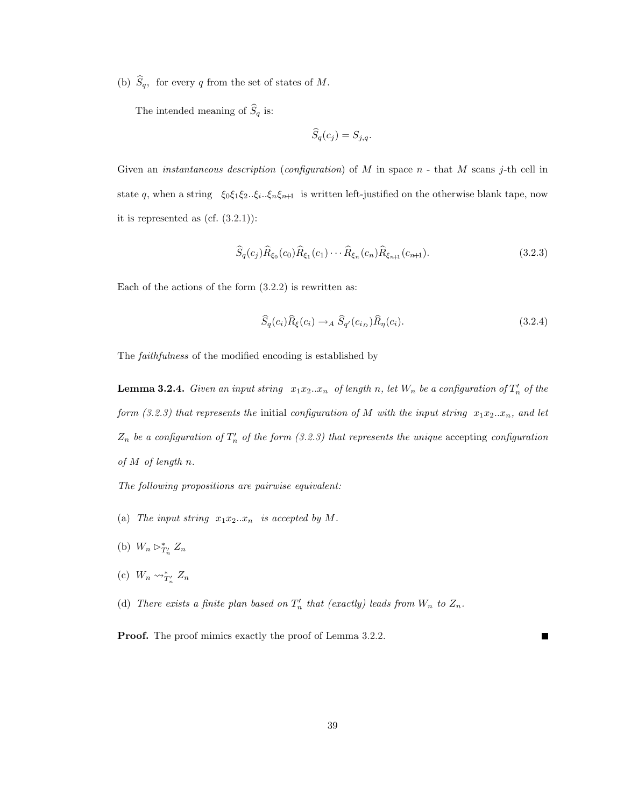(b)  $\widehat{S}_q$ , for every q from the set of states of M.

The intended meaning of  $\widehat{S}_q$  is:

$$
\widehat{S}_q(c_j) = S_{j,q}.
$$

Given an *instantaneous description* (*configuration*) of  $M$  in space  $n$  - that  $M$  scans j-th cell in state q, when a string  $\xi_0\xi_1\xi_2...\xi_i.\xi_n\xi_{n+1}$  is written left-justified on the otherwise blank tape, now it is represented as  $(cf. (3.2.1))$  $(cf. (3.2.1))$  $(cf. (3.2.1))$ :

<span id="page-46-0"></span>
$$
\widehat{S}_q(c_j)\widehat{R}_{\xi_0}(c_0)\widehat{R}_{\xi_1}(c_1)\cdots\widehat{R}_{\xi_n}(c_n)\widehat{R}_{\xi_{n+1}}(c_{n+1}).
$$
\n(3.2.3)

Each of the actions of the form [\(3.2.2\)](#page-43-0) is rewritten as:

$$
\widehat{S}_q(c_i)\widehat{R}_\xi(c_i) \to_A \widehat{S}_{q'}(c_{i_D})\widehat{R}_\eta(c_i). \tag{3.2.4}
$$

The faithfulness of the modified encoding is established by

**Lemma 3.2.4.** Given an input string  $x_1x_2...x_n$  of length n, let  $W_n$  be a configuration of  $T'_n$  of the form [\(3.2.3\)](#page-46-0) that represents the initial configuration of M with the input string  $x_1x_2...x_n$ , and let  $Z_n$  be a configuration of  $T'_n$  of the form [\(3.2.3\)](#page-46-0) that represents the unique accepting configuration of M of length n.

The following propositions are pairwise equivalent:

- (a) The input string  $x_1x_2...x_n$  is accepted by M.
- (b)  $W_n \rhd_{T'_n}^* Z_n$
- (c)  $W_n \rightsquigarrow^*_{T'_n} Z_n$
- (d) There exists a finite plan based on  $T'_n$  that (exactly) leads from  $W_n$  to  $Z_n$ .

Proof. The proof mimics exactly the proof of Lemma [3.2.2.](#page-43-1)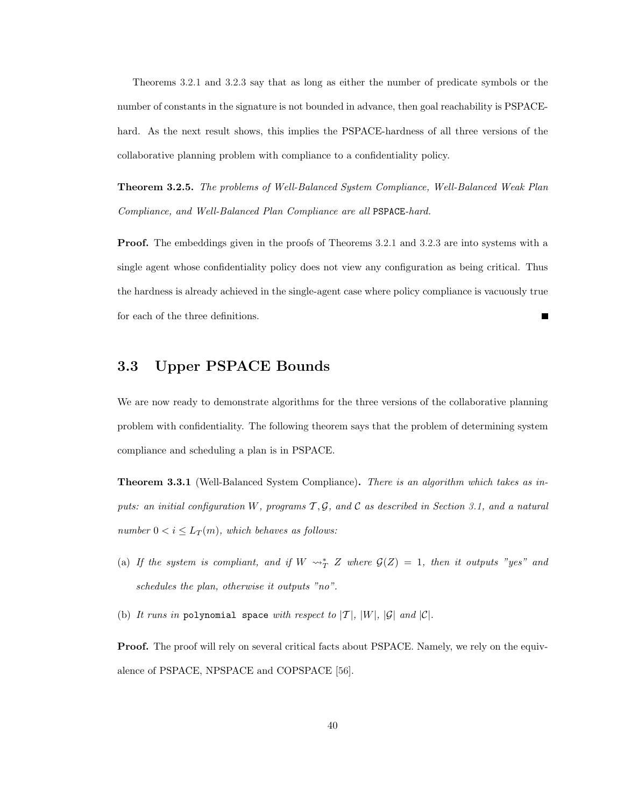Theorems [3.2.1](#page-41-1) and [3.2.3](#page-45-0) say that as long as either the number of predicate symbols or the number of constants in the signature is not bounded in advance, then goal reachability is PSPACEhard. As the next result shows, this implies the PSPACE-hardness of all three versions of the collaborative planning problem with compliance to a confidentiality policy.

<span id="page-47-1"></span>Theorem 3.2.5. The problems of Well-Balanced System Compliance, Well-Balanced Weak Plan Compliance, and Well-Balanced Plan Compliance are all PSPACE-hard.

Proof. The embeddings given in the proofs of Theorems [3.2.1](#page-41-1) and [3.2.3](#page-45-0) are into systems with a single agent whose confidentiality policy does not view any configuration as being critical. Thus the hardness is already achieved in the single-agent case where policy compliance is vacuously true for each of the three definitions. П

# <span id="page-47-0"></span>3.3 Upper PSPACE Bounds

We are now ready to demonstrate algorithms for the three versions of the collaborative planning problem with confidentiality. The following theorem says that the problem of determining system compliance and scheduling a plan is in PSPACE.

<span id="page-47-2"></span>Theorem 3.3.1 (Well-Balanced System Compliance). There is an algorithm which takes as inputs: an initial configuration W, programs  $T, \mathcal{G}$ , and C as described in Section [3.1,](#page-38-0) and a natural number  $0 < i \leq L_T(m)$ , which behaves as follows:

- (a) If the system is compliant, and if  $W \rightsquigarrow_T^* Z$  where  $\mathcal{G}(Z) = 1$ , then it outputs "yes" and schedules the plan, otherwise it outputs "no".
- (b) It runs in polynomial space with respect to  $|T|$ ,  $|W|$ ,  $|G|$  and  $|C|$ .

Proof. The proof will rely on several critical facts about PSPACE. Namely, we rely on the equivalence of PSPACE, NPSPACE and COPSPACE [\[56\]](#page-98-0).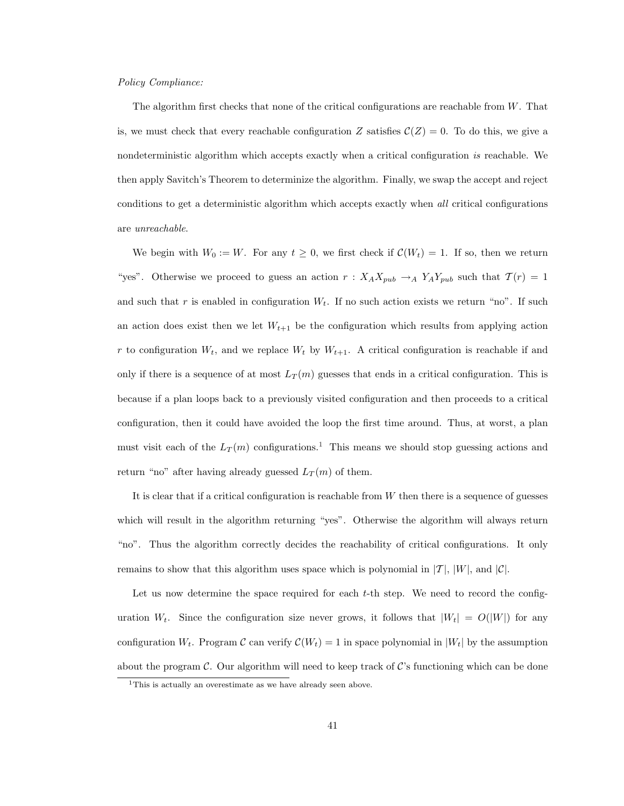### Policy Compliance:

The algorithm first checks that none of the critical configurations are reachable from  $W$ . That is, we must check that every reachable configuration Z satisfies  $\mathcal{C}(Z) = 0$ . To do this, we give a nondeterministic algorithm which accepts exactly when a critical configuration is reachable. We then apply Savitch's Theorem to determinize the algorithm. Finally, we swap the accept and reject conditions to get a deterministic algorithm which accepts exactly when all critical configurations are unreachable.

We begin with  $W_0 := W$ . For any  $t \geq 0$ , we first check if  $\mathcal{C}(W_t) = 1$ . If so, then we return "yes". Otherwise we proceed to guess an action  $r : X_A X_{pub} \to_A Y_A Y_{pub}$  such that  $\mathcal{T}(r) = 1$ and such that r is enabled in configuration  $W_t$ . If no such action exists we return "no". If such an action does exist then we let  $W_{t+1}$  be the configuration which results from applying action r to configuration  $W_t$ , and we replace  $W_t$  by  $W_{t+1}$ . A critical configuration is reachable if and only if there is a sequence of at most  $L_T(m)$  guesses that ends in a critical configuration. This is because if a plan loops back to a previously visited configuration and then proceeds to a critical configuration, then it could have avoided the loop the first time around. Thus, at worst, a plan must visit each of the  $L_T(m)$  configurations.<sup>[1](#page-48-0)</sup> This means we should stop guessing actions and return "no" after having already guessed  $L_T(m)$  of them.

It is clear that if a critical configuration is reachable from  $W$  then there is a sequence of guesses which will result in the algorithm returning "yes". Otherwise the algorithm will always return "no". Thus the algorithm correctly decides the reachability of critical configurations. It only remains to show that this algorithm uses space which is polynomial in  $|T|$ ,  $|W|$ , and  $|C|$ .

Let us now determine the space required for each t-th step. We need to record the configuration  $W_t$ . Since the configuration size never grows, it follows that  $|W_t| = O(|W|)$  for any configuration  $W_t$ . Program C can verify  $\mathcal{C}(W_t) = 1$  in space polynomial in  $|W_t|$  by the assumption about the program  $\mathcal{C}$ . Our algorithm will need to keep track of  $\mathcal{C}$ 's functioning which can be done

<span id="page-48-0"></span><sup>&</sup>lt;sup>1</sup>This is actually an overestimate as we have already seen above.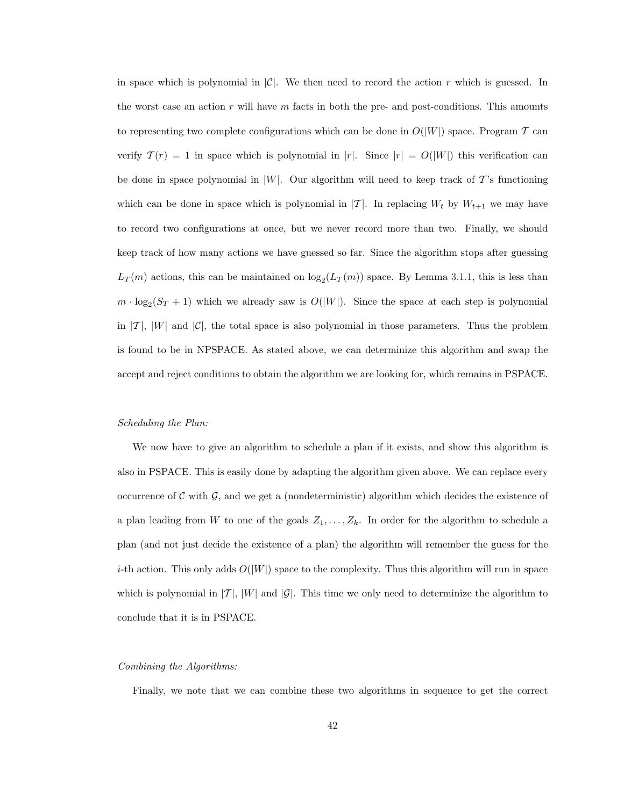in space which is polynomial in  $|\mathcal{C}|$ . We then need to record the action r which is guessed. In the worst case an action  $r$  will have  $m$  facts in both the pre- and post-conditions. This amounts to representing two complete configurations which can be done in  $O(|W|)$  space. Program T can verify  $T(r) = 1$  in space which is polynomial in |r|. Since  $|r| = O(|W|)$  this verification can be done in space polynomial in  $|W|$ . Our algorithm will need to keep track of T's functioning which can be done in space which is polynomial in  $|T|$ . In replacing  $W_t$  by  $W_{t+1}$  we may have to record two configurations at once, but we never record more than two. Finally, we should keep track of how many actions we have guessed so far. Since the algorithm stops after guessing  $L_T(m)$  actions, this can be maintained on  $\log_2(L_T(m))$  space. By Lemma [3.1.1,](#page-40-0) this is less than  $m \cdot \log_2(S_T + 1)$  which we already saw is  $O(|W|)$ . Since the space at each step is polynomial in  $|T|$ ,  $|W|$  and  $|C|$ , the total space is also polynomial in those parameters. Thus the problem is found to be in NPSPACE. As stated above, we can determinize this algorithm and swap the accept and reject conditions to obtain the algorithm we are looking for, which remains in PSPACE.

### Scheduling the Plan:

We now have to give an algorithm to schedule a plan if it exists, and show this algorithm is also in PSPACE. This is easily done by adapting the algorithm given above. We can replace every occurrence of  $\mathcal C$  with  $\mathcal G$ , and we get a (nondeterministic) algorithm which decides the existence of a plan leading from W to one of the goals  $Z_1, \ldots, Z_k$ . In order for the algorithm to schedule a plan (and not just decide the existence of a plan) the algorithm will remember the guess for the *i*-th action. This only adds  $O(|W|)$  space to the complexity. Thus this algorithm will run in space which is polynomial in  $|T|$ ,  $|W|$  and  $|G|$ . This time we only need to determinize the algorithm to conclude that it is in PSPACE.

### Combining the Algorithms:

Finally, we note that we can combine these two algorithms in sequence to get the correct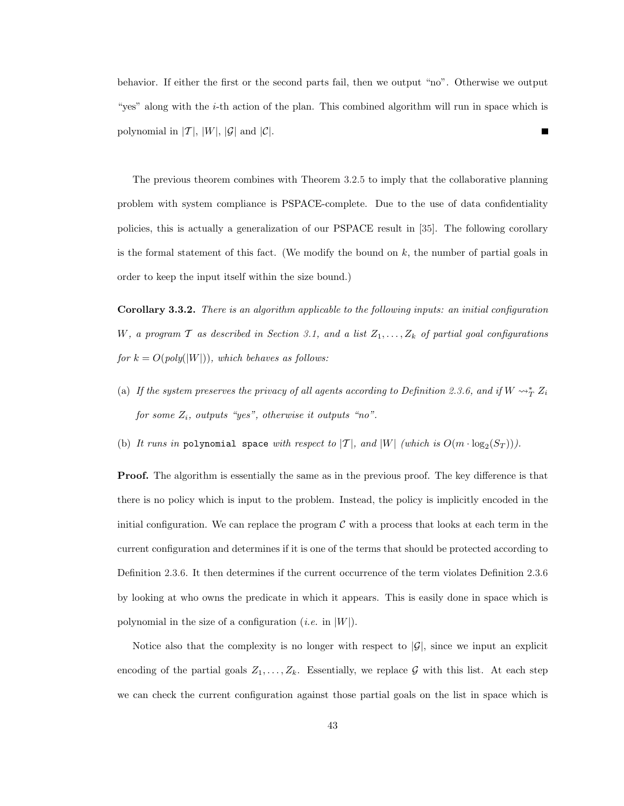behavior. If either the first or the second parts fail, then we output "no". Otherwise we output "yes" along with the  $i$ -th action of the plan. This combined algorithm will run in space which is polynomial in  $|T|, |W|, |\mathcal{G}|$  and  $|\mathcal{C}|$ .

The previous theorem combines with Theorem [3.2.5](#page-47-1) to imply that the collaborative planning problem with system compliance is PSPACE-complete. Due to the use of data confidentiality policies, this is actually a generalization of our PSPACE result in [\[35\]](#page-96-1). The following corollary is the formal statement of this fact. (We modify the bound on  $k$ , the number of partial goals in order to keep the input itself within the size bound.)

Corollary 3.3.2. There is an algorithm applicable to the following inputs: an initial configuration W, a program T as described in Section [3.1,](#page-38-0) and a list  $Z_1, \ldots, Z_k$  of partial goal configurations for  $k = O(poly(|W|))$ , which behaves as follows:

- (a) If the system preserves the privacy of all agents according to Definition [2.3.6,](#page-34-0) and if  $W \rightsquigarrow_T^* Z_i$ for some  $Z_i$ , outputs "yes", otherwise it outputs "no".
- (b) It runs in polynomial space with respect to  $|T|$ , and  $|W|$  (which is  $O(m \cdot \log_2(S_T)))$ .

Proof. The algorithm is essentially the same as in the previous proof. The key difference is that there is no policy which is input to the problem. Instead, the policy is implicitly encoded in the initial configuration. We can replace the program  $\mathcal C$  with a process that looks at each term in the current configuration and determines if it is one of the terms that should be protected according to Definition [2.3.6.](#page-34-0) It then determines if the current occurrence of the term violates Definition [2.3.6](#page-34-0) by looking at who owns the predicate in which it appears. This is easily done in space which is polynomial in the size of a configuration (*i.e.* in  $|W|$ ).

Notice also that the complexity is no longer with respect to  $|\mathcal{G}|$ , since we input an explicit encoding of the partial goals  $Z_1, \ldots, Z_k$ . Essentially, we replace G with this list. At each step we can check the current configuration against those partial goals on the list in space which is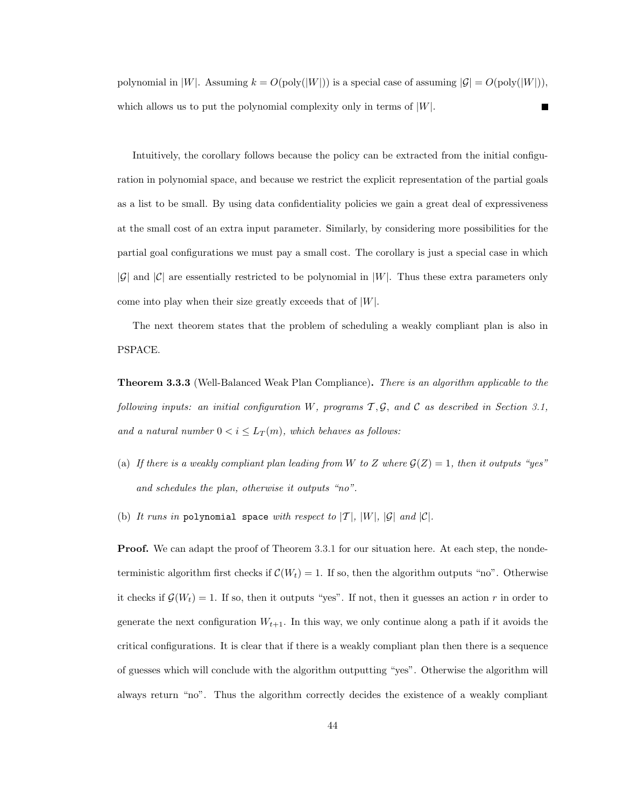polynomial in  $|W|$ . Assuming  $k = O(poly(|W|))$  is a special case of assuming  $|\mathcal{G}| = O(poly(|W|)),$ which allows us to put the polynomial complexity only in terms of  $|W|$ .  $\blacksquare$ 

Intuitively, the corollary follows because the policy can be extracted from the initial configuration in polynomial space, and because we restrict the explicit representation of the partial goals as a list to be small. By using data confidentiality policies we gain a great deal of expressiveness at the small cost of an extra input parameter. Similarly, by considering more possibilities for the partial goal configurations we must pay a small cost. The corollary is just a special case in which  $|\mathcal{G}|$  and  $|\mathcal{C}|$  are essentially restricted to be polynomial in  $|W|$ . Thus these extra parameters only come into play when their size greatly exceeds that of  $|W|$ .

The next theorem states that the problem of scheduling a weakly compliant plan is also in PSPACE.

<span id="page-51-0"></span>Theorem 3.3.3 (Well-Balanced Weak Plan Compliance). There is an algorithm applicable to the following inputs: an initial configuration W, programs  $T, \mathcal{G}$ , and  $\mathcal{C}$  as described in Section [3.1,](#page-38-0) and a natural number  $0 < i \leq L_T(m)$ , which behaves as follows:

- (a) If there is a weakly compliant plan leading from W to Z where  $\mathcal{G}(Z) = 1$ , then it outputs "yes" and schedules the plan, otherwise it outputs "no".
- (b) It runs in polynomial space with respect to  $|T|$ ,  $|W|$ ,  $|G|$  and  $|C|$ .

**Proof.** We can adapt the proof of Theorem [3.3.1](#page-47-2) for our situation here. At each step, the nondeterministic algorithm first checks if  $C(W_t) = 1$ . If so, then the algorithm outputs "no". Otherwise it checks if  $\mathcal{G}(W_t) = 1$ . If so, then it outputs "yes". If not, then it guesses an action r in order to generate the next configuration  $W_{t+1}$ . In this way, we only continue along a path if it avoids the critical configurations. It is clear that if there is a weakly compliant plan then there is a sequence of guesses which will conclude with the algorithm outputting "yes". Otherwise the algorithm will always return "no". Thus the algorithm correctly decides the existence of a weakly compliant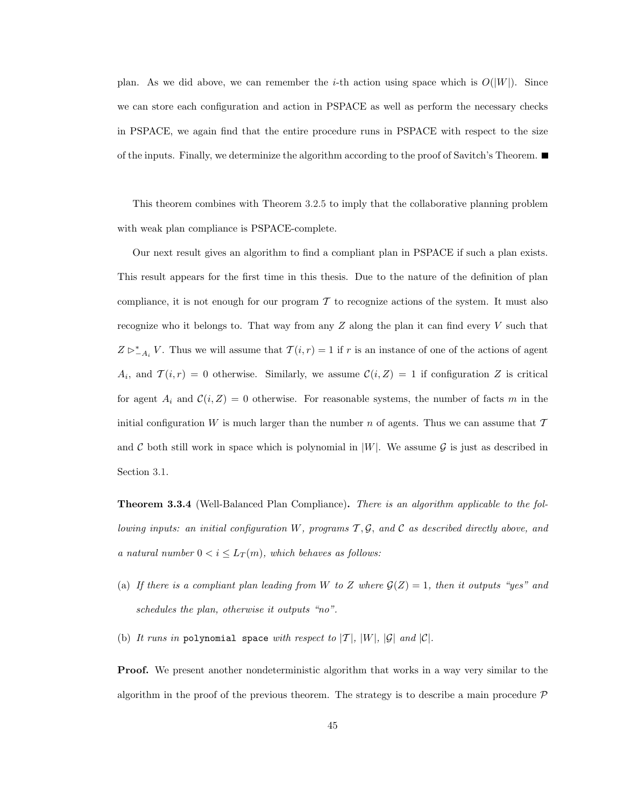plan. As we did above, we can remember the *i*-th action using space which is  $O(|W|)$ . Since we can store each configuration and action in PSPACE as well as perform the necessary checks in PSPACE, we again find that the entire procedure runs in PSPACE with respect to the size of the inputs. Finally, we determinize the algorithm according to the proof of Savitch's Theorem.

This theorem combines with Theorem [3.2.5](#page-47-1) to imply that the collaborative planning problem with weak plan compliance is PSPACE-complete.

Our next result gives an algorithm to find a compliant plan in PSPACE if such a plan exists. This result appears for the first time in this thesis. Due to the nature of the definition of plan compliance, it is not enough for our program  $\mathcal T$  to recognize actions of the system. It must also recognize who it belongs to. That way from any  $Z$  along the plan it can find every  $V$  such that  $Z \rhd_{-A_i}^* V$ . Thus we will assume that  $\mathcal{T}(i,r) = 1$  if r is an instance of one of the actions of agent  $A_i$ , and  $\mathcal{T}(i,r) = 0$  otherwise. Similarly, we assume  $\mathcal{C}(i,Z) = 1$  if configuration Z is critical for agent  $A_i$  and  $\mathcal{C}(i, Z) = 0$  otherwise. For reasonable systems, the number of facts m in the initial configuration W is much larger than the number n of agents. Thus we can assume that  $\mathcal T$ and C both still work in space which is polynomial in  $|W|$ . We assume G is just as described in Section [3.1.](#page-38-0)

<span id="page-52-0"></span>**Theorem 3.3.4** (Well-Balanced Plan Compliance). There is an algorithm applicable to the following inputs: an initial configuration  $W$ , programs  $\mathcal{T}, \mathcal{G}$ , and  $\mathcal{C}$  as described directly above, and a natural number  $0 < i \leq L_T(m)$ , which behaves as follows:

- (a) If there is a compliant plan leading from W to Z where  $\mathcal{G}(Z) = 1$ , then it outputs "yes" and schedules the plan, otherwise it outputs "no".
- (b) It runs in polynomial space with respect to  $|T|$ ,  $|W|$ ,  $|G|$  and  $|C|$ .

Proof. We present another nondeterministic algorithm that works in a way very similar to the algorithm in the proof of the previous theorem. The strategy is to describe a main procedure  $\mathcal P$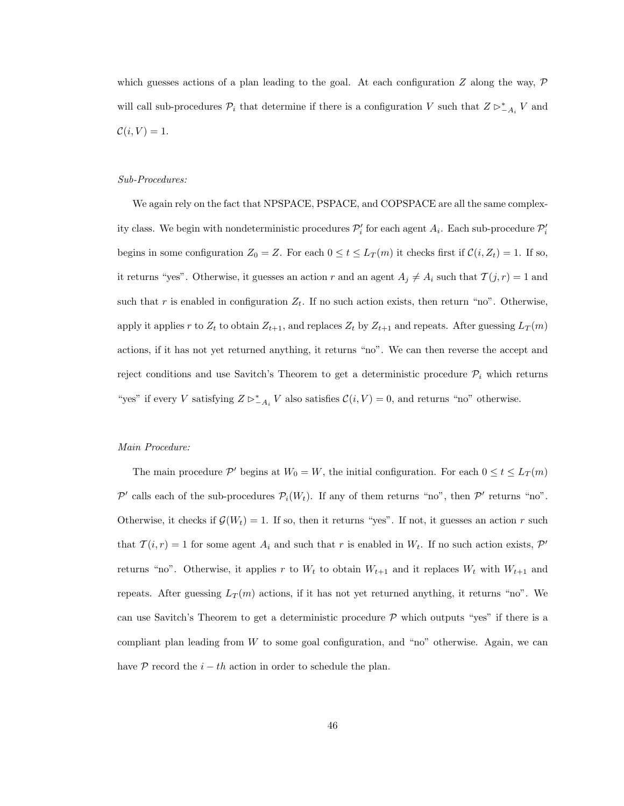which guesses actions of a plan leading to the goal. At each configuration  $Z$  along the way,  $\mathcal P$ will call sub-procedures  $\mathcal{P}_i$  that determine if there is a configuration V such that  $Z \rhd_{-A_i}^* V$  and  $\mathcal{C}(i, V) = 1.$ 

### Sub-Procedures:

We again rely on the fact that NPSPACE, PSPACE, and COPSPACE are all the same complexity class. We begin with nondeterministic procedures  $\mathcal{P}'_i$  for each agent  $A_i$ . Each sub-procedure  $\mathcal{P}'_i$ begins in some configuration  $Z_0 = Z$ . For each  $0 \le t \le L_T(m)$  it checks first if  $\mathcal{C}(i, Z_t) = 1$ . If so, it returns "yes". Otherwise, it guesses an action r and an agent  $A_j \neq A_i$  such that  $\mathcal{T}(j, r) = 1$  and such that r is enabled in configuration  $Z_t$ . If no such action exists, then return "no". Otherwise, apply it applies r to  $Z_t$  to obtain  $Z_{t+1}$ , and replaces  $Z_t$  by  $Z_{t+1}$  and repeats. After guessing  $L_T(m)$ actions, if it has not yet returned anything, it returns "no". We can then reverse the accept and reject conditions and use Savitch's Theorem to get a deterministic procedure  $\mathcal{P}_i$  which returns "yes" if every V satisfying  $Z \rhd_{-A_i}^* V$  also satisfies  $\mathcal{C}(i, V) = 0$ , and returns "no" otherwise.

### Main Procedure:

The main procedure  $\mathcal{P}'$  begins at  $W_0 = W$ , the initial configuration. For each  $0 \le t \le L_T(m)$  $\mathcal{P}'$  calls each of the sub-procedures  $\mathcal{P}_i(W_t)$ . If any of them returns "no", then  $\mathcal{P}'$  returns "no". Otherwise, it checks if  $\mathcal{G}(W_t) = 1$ . If so, then it returns "yes". If not, it guesses an action r such that  $\mathcal{T}(i,r) = 1$  for some agent  $A_i$  and such that r is enabled in  $W_t$ . If no such action exists,  $\mathcal{P}'$ returns "no". Otherwise, it applies r to  $W_t$  to obtain  $W_{t+1}$  and it replaces  $W_t$  with  $W_{t+1}$  and repeats. After guessing  $L_T(m)$  actions, if it has not yet returned anything, it returns "no". We can use Savitch's Theorem to get a deterministic procedure  $\mathcal P$  which outputs "yes" if there is a compliant plan leading from  $W$  to some goal configuration, and "no" otherwise. Again, we can have  $P$  record the  $i - th$  action in order to schedule the plan.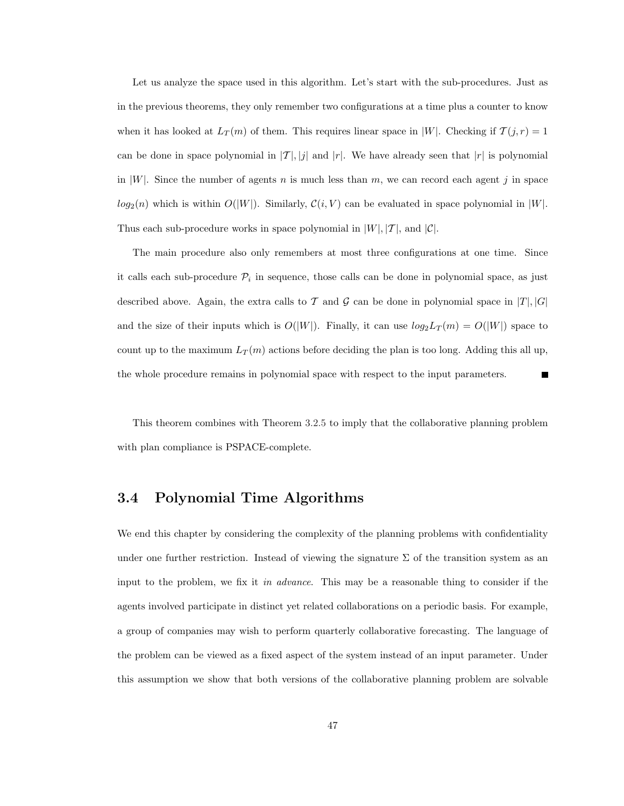Let us analyze the space used in this algorithm. Let's start with the sub-procedures. Just as in the previous theorems, they only remember two configurations at a time plus a counter to know when it has looked at  $L_T(m)$  of them. This requires linear space in |W|. Checking if  $\mathcal{T}(j,r) = 1$ can be done in space polynomial in  $|T|, |j|$  and  $|r|$ . We have already seen that  $|r|$  is polynomial in  $|W|$ . Since the number of agents n is much less than m, we can record each agent j in space  $log_2(n)$  which is within  $O(|W|)$ . Similarly,  $C(i, V)$  can be evaluated in space polynomial in  $|W|$ . Thus each sub-procedure works in space polynomial in  $|W|, |\mathcal{T}|$ , and  $|\mathcal{C}|$ .

The main procedure also only remembers at most three configurations at one time. Since it calls each sub-procedure  $\mathcal{P}_i$  in sequence, those calls can be done in polynomial space, as just described above. Again, the extra calls to T and G can be done in polynomial space in  $|T|, |G|$ and the size of their inputs which is  $O(|W|)$ . Finally, it can use  $log_2L_T(m) = O(|W|)$  space to count up to the maximum  $L_T(m)$  actions before deciding the plan is too long. Adding this all up, the whole procedure remains in polynomial space with respect to the input parameters.  $\blacksquare$ 

This theorem combines with Theorem [3.2.5](#page-47-1) to imply that the collaborative planning problem with plan compliance is PSPACE-complete.

# <span id="page-54-0"></span>3.4 Polynomial Time Algorithms

We end this chapter by considering the complexity of the planning problems with confidentiality under one further restriction. Instead of viewing the signature  $\Sigma$  of the transition system as an input to the problem, we fix it in advance. This may be a reasonable thing to consider if the agents involved participate in distinct yet related collaborations on a periodic basis. For example, a group of companies may wish to perform quarterly collaborative forecasting. The language of the problem can be viewed as a fixed aspect of the system instead of an input parameter. Under this assumption we show that both versions of the collaborative planning problem are solvable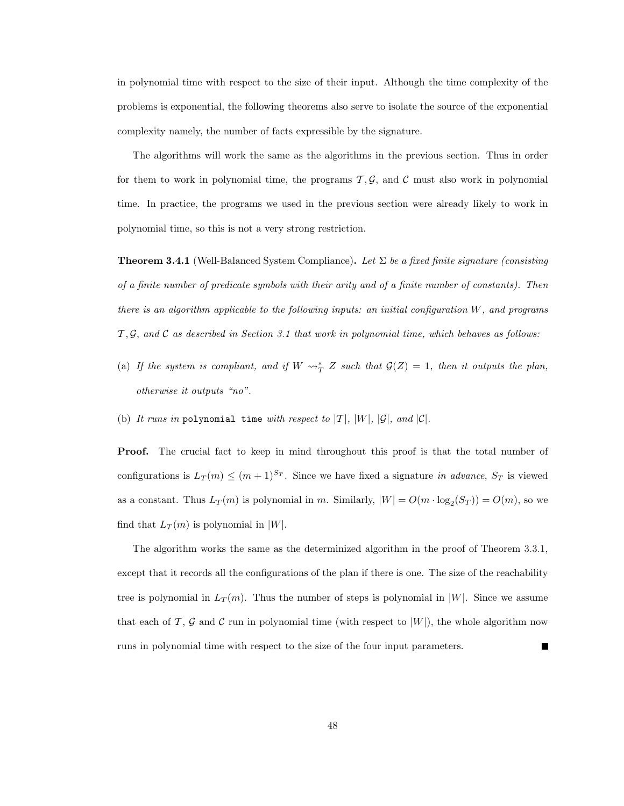in polynomial time with respect to the size of their input. Although the time complexity of the problems is exponential, the following theorems also serve to isolate the source of the exponential complexity namely, the number of facts expressible by the signature.

The algorithms will work the same as the algorithms in the previous section. Thus in order for them to work in polynomial time, the programs  $\mathcal{T}, \mathcal{G}$ , and  $\mathcal{C}$  must also work in polynomial time. In practice, the programs we used in the previous section were already likely to work in polynomial time, so this is not a very strong restriction.

**Theorem 3.4.1** (Well-Balanced System Compliance). Let  $\Sigma$  be a fixed finite signature (consisting of a finite number of predicate symbols with their arity and of a finite number of constants). Then there is an algorithm applicable to the following inputs: an initial configuration W, and programs  $\mathcal{T}, \mathcal{G},$  and  $\mathcal{C}$  as described in Section [3.1](#page-38-0) that work in polynomial time, which behaves as follows:

- (a) If the system is compliant, and if  $W \rightsquigarrow_T^* Z$  such that  $\mathcal{G}(Z) = 1$ , then it outputs the plan, otherwise it outputs "no".
- (b) It runs in polynomial time with respect to  $|T|$ ,  $|W|$ ,  $|G|$ , and  $|C|$ .

Proof. The crucial fact to keep in mind throughout this proof is that the total number of configurations is  $L_T(m) \leq (m+1)^{S_T}$ . Since we have fixed a signature in advance,  $S_T$  is viewed as a constant. Thus  $L_T(m)$  is polynomial in m. Similarly,  $|W| = O(m \cdot \log_2(S_T)) = O(m)$ , so we find that  $L_T(m)$  is polynomial in |W|.

The algorithm works the same as the determinized algorithm in the proof of Theorem [3.3.1,](#page-47-2) except that it records all the configurations of the plan if there is one. The size of the reachability tree is polynomial in  $L_T(m)$ . Thus the number of steps is polynomial in |W|. Since we assume that each of T, G and C run in polynomial time (with respect to  $|W|$ ), the whole algorithm now runs in polynomial time with respect to the size of the four input parameters.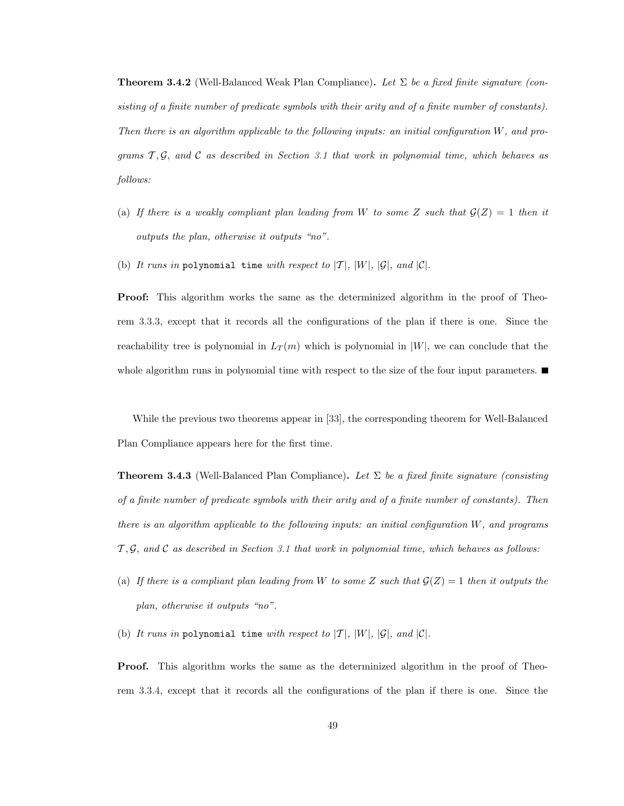**Theorem 3.4.2** (Well-Balanced Weak Plan Compliance). Let  $\Sigma$  be a fixed finite signature (consisting of a finite number of predicate symbols with their arity and of a finite number of constants). Then there is an algorithm applicable to the following inputs: an initial configuration W, and programs  $T, \mathcal{G}$ , and  $\mathcal{C}$  as described in Section [3.1](#page-38-0) that work in polynomial time, which behaves as follows:

- (a) If there is a weakly compliant plan leading from W to some Z such that  $\mathcal{G}(Z) = 1$  then it outputs the plan, otherwise it outputs "no".
- (b) It runs in polynomial time with respect to  $|T|$ ,  $|W|$ ,  $|G|$ , and  $|C|$ .

Proof: This algorithm works the same as the determinized algorithm in the proof of Theorem [3.3.3,](#page-51-0) except that it records all the configurations of the plan if there is one. Since the reachability tree is polynomial in  $L_T(m)$  which is polynomial in  $|W|$ , we can conclude that the whole algorithm runs in polynomial time with respect to the size of the four input parameters.  $\blacksquare$ 

While the previous two theorems appear in [\[33\]](#page-96-0), the corresponding theorem for Well-Balanced Plan Compliance appears here for the first time.

**Theorem 3.4.3** (Well-Balanced Plan Compliance). Let  $\Sigma$  be a fixed finite signature (consisting of a finite number of predicate symbols with their arity and of a finite number of constants). Then there is an algorithm applicable to the following inputs: an initial configuration W, and programs  $\mathcal{T}, \mathcal{G},$  and  $\mathcal{C}$  as described in Section [3.1](#page-38-0) that work in polynomial time, which behaves as follows:

(a) If there is a compliant plan leading from W to some Z such that  $\mathcal{G}(Z) = 1$  then it outputs the plan, otherwise it outputs "no".

(b) It runs in polynomial time with respect to  $|T|$ ,  $|W|$ ,  $|G|$ , and  $|C|$ .

Proof. This algorithm works the same as the determinized algorithm in the proof of Theorem [3.3.4,](#page-52-0) except that it records all the configurations of the plan if there is one. Since the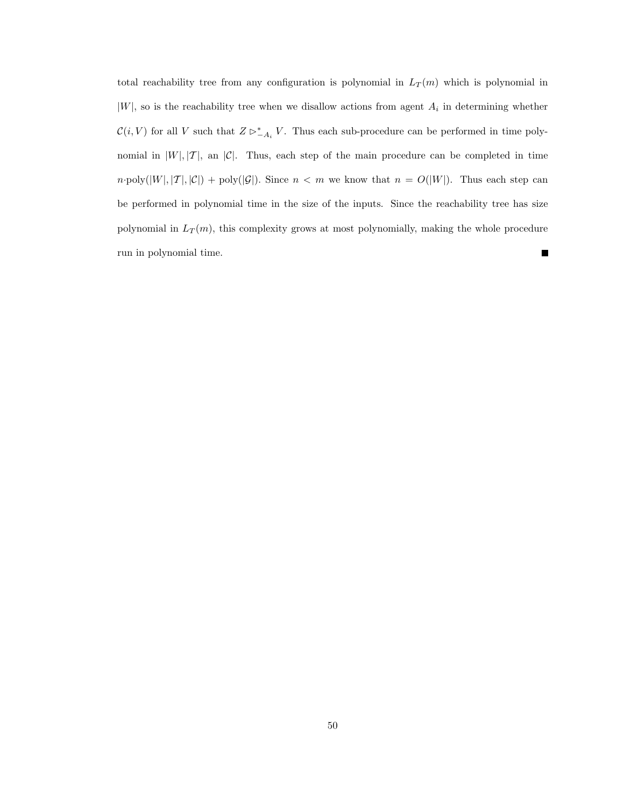total reachability tree from any configuration is polynomial in  $L_T(m)$  which is polynomial in  $|W|$ , so is the reachability tree when we disallow actions from agent  $A_i$  in determining whether  $\mathcal{C}(i, V)$  for all V such that  $Z \rhd^*_{-A_i} V$ . Thus each sub-procedure can be performed in time polynomial in  $|W|, |T|$ , an  $|C|$ . Thus, each step of the main procedure can be completed in time  $n\cdot poly(|W|, |T|, |\mathcal{C}|) + poly(|\mathcal{G}|)$ . Since  $n < m$  we know that  $n = O(|W|)$ . Thus each step can be performed in polynomial time in the size of the inputs. Since the reachability tree has size polynomial in  $L_T(m)$ , this complexity grows at most polynomially, making the whole procedure run in polynomial time. Е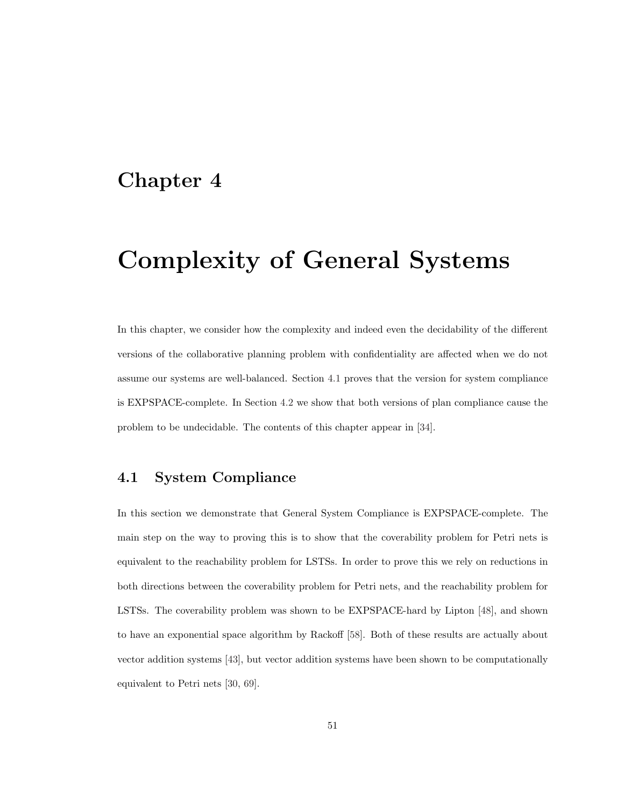# Chapter 4

# Complexity of General Systems

In this chapter, we consider how the complexity and indeed even the decidability of the different versions of the collaborative planning problem with confidentiality are affected when we do not assume our systems are well-balanced. Section [4.1](#page-58-0) proves that the version for system compliance is EXPSPACE-complete. In Section [4.2](#page-65-0) we show that both versions of plan compliance cause the problem to be undecidable. The contents of this chapter appear in [\[34\]](#page-96-2).

# <span id="page-58-0"></span>4.1 System Compliance

In this section we demonstrate that General System Compliance is EXPSPACE-complete. The main step on the way to proving this is to show that the coverability problem for Petri nets is equivalent to the reachability problem for LSTSs. In order to prove this we rely on reductions in both directions between the coverability problem for Petri nets, and the reachability problem for LSTSs. The coverability problem was shown to be EXPSPACE-hard by Lipton [\[48\]](#page-97-1), and shown to have an exponential space algorithm by Rackoff [\[58\]](#page-98-1). Both of these results are actually about vector addition systems [\[43\]](#page-97-2), but vector addition systems have been shown to be computationally equivalent to Petri nets [\[30,](#page-96-3) [69\]](#page-99-0).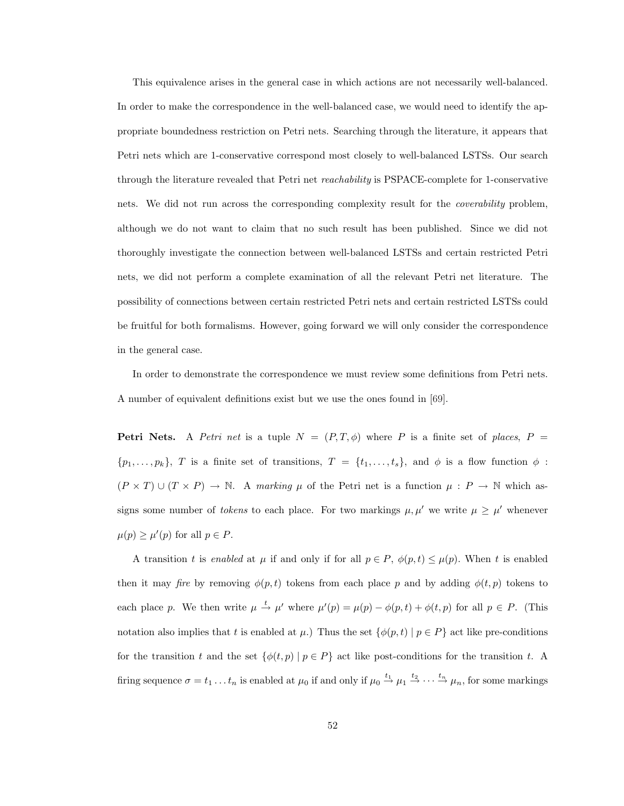This equivalence arises in the general case in which actions are not necessarily well-balanced. In order to make the correspondence in the well-balanced case, we would need to identify the appropriate boundedness restriction on Petri nets. Searching through the literature, it appears that Petri nets which are 1-conservative correspond most closely to well-balanced LSTSs. Our search through the literature revealed that Petri net reachability is PSPACE-complete for 1-conservative nets. We did not run across the corresponding complexity result for the coverability problem, although we do not want to claim that no such result has been published. Since we did not thoroughly investigate the connection between well-balanced LSTSs and certain restricted Petri nets, we did not perform a complete examination of all the relevant Petri net literature. The possibility of connections between certain restricted Petri nets and certain restricted LSTSs could be fruitful for both formalisms. However, going forward we will only consider the correspondence in the general case.

In order to demonstrate the correspondence we must review some definitions from Petri nets. A number of equivalent definitions exist but we use the ones found in [\[69\]](#page-99-0).

**Petri Nets.** A Petri net is a tuple  $N = (P, T, \phi)$  where P is a finite set of places, P =  $\{p_1,\ldots,p_k\},\ T$  is a finite set of transitions,  $T = \{t_1,\ldots,t_s\},\$  and  $\phi$  is a flow function  $\phi$ :  $(P \times T) \cup (T \times P) \rightarrow \mathbb{N}$ . A marking  $\mu$  of the Petri net is a function  $\mu : P \rightarrow \mathbb{N}$  which assigns some number of tokens to each place. For two markings  $\mu, \mu'$  we write  $\mu \geq \mu'$  whenever  $\mu(p) \geq \mu'(p)$  for all  $p \in P$ .

A transition t is enabled at  $\mu$  if and only if for all  $p \in P$ ,  $\phi(p, t) \leq \mu(p)$ . When t is enabled then it may fire by removing  $\phi(p, t)$  tokens from each place p and by adding  $\phi(t, p)$  tokens to each place p. We then write  $\mu \stackrel{t}{\rightarrow} \mu'$  where  $\mu'(p) = \mu(p) - \phi(p, t) + \phi(t, p)$  for all  $p \in P$ . (This notation also implies that t is enabled at  $\mu$ .) Thus the set  $\{\phi(p, t) | p \in P\}$  act like pre-conditions for the transition t and the set  $\{\phi(t,p) | p \in P\}$  act like post-conditions for the transition t. A firing sequence  $\sigma = t_1 \ldots t_n$  is enabled at  $\mu_0$  if and only if  $\mu_0 \stackrel{t_1}{\rightarrow} \mu_1 \stackrel{t_2}{\rightarrow} \cdots \stackrel{t_n}{\rightarrow} \mu_n$ , for some markings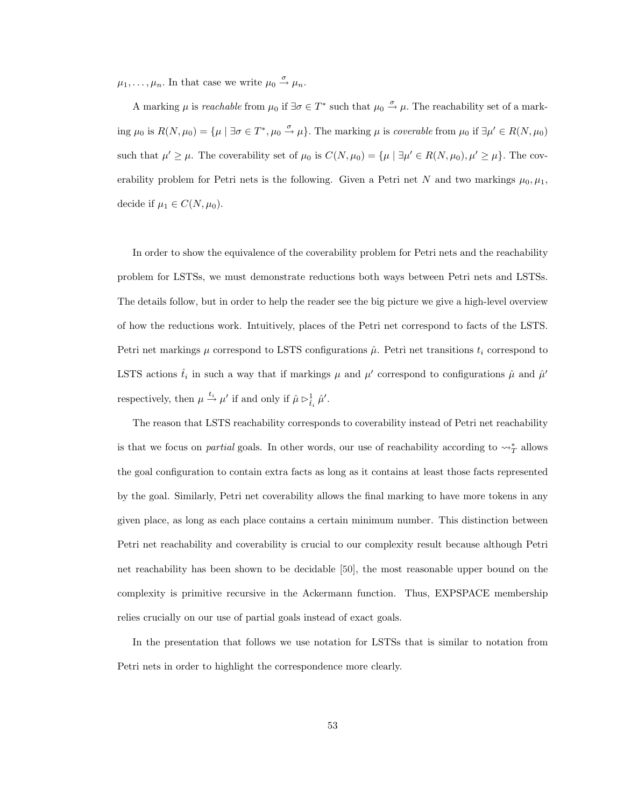$\mu_1, \ldots, \mu_n$ . In that case we write  $\mu_0 \stackrel{\sigma}{\rightarrow} \mu_n$ .

A marking  $\mu$  is *reachable* from  $\mu_0$  if  $\exists \sigma \in T^*$  such that  $\mu_0 \stackrel{\sigma}{\to} \mu$ . The reachability set of a marking  $\mu_0$  is  $R(N, \mu_0) = {\mu \mid \exists \sigma \in T^*, \mu_0 \stackrel{\sigma}{\to} \mu}.$  The marking  $\mu$  is coverable from  $\mu_0$  if  $\exists \mu' \in R(N, \mu_0)$ such that  $\mu' \geq \mu$ . The coverability set of  $\mu_0$  is  $C(N, \mu_0) = {\mu | \exists \mu' \in R(N, \mu_0), \mu' \geq \mu}.$  The coverability problem for Petri nets is the following. Given a Petri net N and two markings  $\mu_0, \mu_1$ , decide if  $\mu_1 \in C(N, \mu_0)$ .

In order to show the equivalence of the coverability problem for Petri nets and the reachability problem for LSTSs, we must demonstrate reductions both ways between Petri nets and LSTSs. The details follow, but in order to help the reader see the big picture we give a high-level overview of how the reductions work. Intuitively, places of the Petri net correspond to facts of the LSTS. Petri net markings  $\mu$  correspond to LSTS configurations  $\hat{\mu}$ . Petri net transitions  $t_i$  correspond to LSTS actions  $\hat{t}_i$  in such a way that if markings  $\mu$  and  $\mu'$  correspond to configurations  $\hat{\mu}$  and  $\hat{\mu}'$ respectively, then  $\mu \stackrel{t_i}{\rightarrow} \mu'$  if and only if  $\hat{\mu} \rhd^1_{\hat{t}_i} \hat{\mu}'.$ 

The reason that LSTS reachability corresponds to coverability instead of Petri net reachability is that we focus on *partial* goals. In other words, our use of reachability according to  $\leadsto_T^*$  allows the goal configuration to contain extra facts as long as it contains at least those facts represented by the goal. Similarly, Petri net coverability allows the final marking to have more tokens in any given place, as long as each place contains a certain minimum number. This distinction between Petri net reachability and coverability is crucial to our complexity result because although Petri net reachability has been shown to be decidable [\[50\]](#page-98-2), the most reasonable upper bound on the complexity is primitive recursive in the Ackermann function. Thus, EXPSPACE membership relies crucially on our use of partial goals instead of exact goals.

In the presentation that follows we use notation for LSTSs that is similar to notation from Petri nets in order to highlight the correspondence more clearly.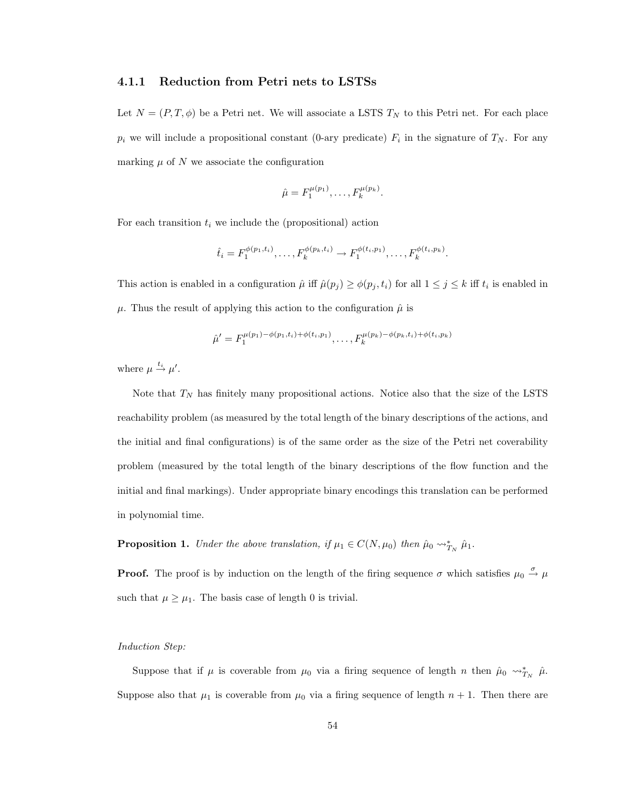### 4.1.1 Reduction from Petri nets to LSTSs

Let  $N = (P, T, \phi)$  be a Petri net. We will associate a LSTS  $T_N$  to this Petri net. For each place  $p_i$  we will include a propositional constant (0-ary predicate)  $F_i$  in the signature of  $T_N$ . For any marking  $\mu$  of  $N$  we associate the configuration

$$
\hat{\mu} = F_1^{\mu(p_1)}, \dots, F_k^{\mu(p_k)}.
$$

For each transition  $t_i$  we include the (propositional) action

$$
\hat{t}_i = F_1^{\phi(p_1, t_i)}, \dots, F_k^{\phi(p_k, t_i)} \to F_1^{\phi(t_i, p_1)}, \dots, F_k^{\phi(t_i, p_k)}.
$$

This action is enabled in a configuration  $\hat{\mu}$  iff  $\hat{\mu}(p_j) \ge \phi(p_j, t_i)$  for all  $1 \le j \le k$  iff  $t_i$  is enabled in  $\mu$ . Thus the result of applying this action to the configuration  $\hat{\mu}$  is

$$
\hat{\mu}' = F_1^{\mu(p_1) - \phi(p_1, t_i) + \phi(t_i, p_1)}, \dots, F_k^{\mu(p_k) - \phi(p_k, t_i) + \phi(t_i, p_k)}
$$

where  $\mu \stackrel{t_i}{\rightarrow} \mu'$ .

Note that  $T_N$  has finitely many propositional actions. Notice also that the size of the LSTS reachability problem (as measured by the total length of the binary descriptions of the actions, and the initial and final configurations) is of the same order as the size of the Petri net coverability problem (measured by the total length of the binary descriptions of the flow function and the initial and final markings). Under appropriate binary encodings this translation can be performed in polynomial time.

**Proposition 1.** Under the above translation, if  $\mu_1 \in C(N, \mu_0)$  then  $\hat{\mu}_0 \rightsquigarrow_{T_N}^* \hat{\mu}_1$ .

**Proof.** The proof is by induction on the length of the firing sequence  $\sigma$  which satisfies  $\mu_0 \stackrel{\sigma}{\rightarrow} \mu$ such that  $\mu \geq \mu_1$ . The basis case of length 0 is trivial.

### Induction Step:

Suppose that if  $\mu$  is coverable from  $\mu_0$  via a firing sequence of length n then  $\hat{\mu}_0 \leadsto_{T_N}^* \hat{\mu}$ . Suppose also that  $\mu_1$  is coverable from  $\mu_0$  via a firing sequence of length  $n + 1$ . Then there are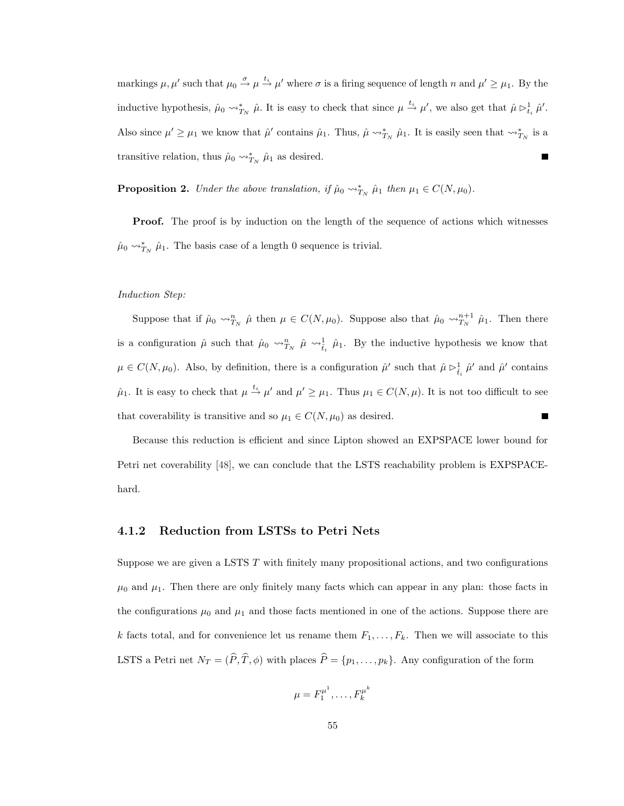markings  $\mu, \mu'$  such that  $\mu_0 \stackrel{\sigma}{\to} \mu \stackrel{t_i}{\to} \mu'$  where  $\sigma$  is a firing sequence of length n and  $\mu' \ge \mu_1$ . By the inductive hypothesis,  $\hat{\mu}_0 \leadsto_{T_N}^* \hat{\mu}$ . It is easy to check that since  $\mu \stackrel{t_i}{\rightarrow} \mu'$ , we also get that  $\hat{\mu} \triangleright_{t_i}^1 \hat{\mu}'$ . Also since  $\mu' \ge \mu_1$  we know that  $\hat{\mu}'$  contains  $\hat{\mu}_1$ . Thus,  $\hat{\mu} \leadsto_{T_N}^* \hat{\mu}_1$ . It is easily seen that  $\leadsto_{T_N}^*$  is a transitive relation, thus  $\hat{\mu}_0 \leadsto_{T_N}^* \hat{\mu}_1$  as desired.

**Proposition 2.** Under the above translation, if  $\hat{\mu}_0 \rightsquigarrow_{T_N}^* \hat{\mu}_1$  then  $\mu_1 \in C(N, \mu_0)$ .

**Proof.** The proof is by induction on the length of the sequence of actions which witnesses  $\hat{\mu}_0 \leadsto_{T_N}^* \hat{\mu}_1$ . The basis case of a length 0 sequence is trivial.

#### Induction Step:

Suppose that if  $\hat{\mu}_0 \rightsquigarrow_{T_N}^n \hat{\mu}$  then  $\mu \in C(N, \mu_0)$ . Suppose also that  $\hat{\mu}_0 \rightsquigarrow_{T_N}^{\eta+1} \hat{\mu}_1$ . Then there is a configuration  $\hat{\mu}$  such that  $\hat{\mu}_0 \leadsto_{T_N}^n \hat{\mu} \leadsto_{\hat{t}_i}^1 \hat{\mu}_1$ . By the inductive hypothesis we know that  $\mu \in C(N, \mu_0)$ . Also, by definition, there is a configuration  $\hat{\mu}'$  such that  $\hat{\mu} \rhd_{\hat{t}_i}^1 \hat{\mu}'$  and  $\hat{\mu}'$  contains  $\hat{\mu}_1$ . It is easy to check that  $\mu \stackrel{t_i}{\rightarrow} \mu'$  and  $\mu' \ge \mu_1$ . Thus  $\mu_1 \in C(N, \mu)$ . It is not too difficult to see that coverability is transitive and so  $\mu_1 \in C(N, \mu_0)$  as desired.

Because this reduction is efficient and since Lipton showed an EXPSPACE lower bound for Petri net coverability [\[48\]](#page-97-1), we can conclude that the LSTS reachability problem is EXPSPACEhard.

### 4.1.2 Reduction from LSTSs to Petri Nets

Suppose we are given a LSTS  $T$  with finitely many propositional actions, and two configurations  $\mu_0$  and  $\mu_1$ . Then there are only finitely many facts which can appear in any plan: those facts in the configurations  $\mu_0$  and  $\mu_1$  and those facts mentioned in one of the actions. Suppose there are k facts total, and for convenience let us rename them  $F_1, \ldots, F_k$ . Then we will associate to this LSTS a Petri net  $N_T = (\hat{P}, \hat{T}, \phi)$  with places  $\hat{P} = \{p_1, \ldots, p_k\}$ . Any configuration of the form

$$
\mu = F_1^{\mu^1}, \dots, F_k^{\mu^k}
$$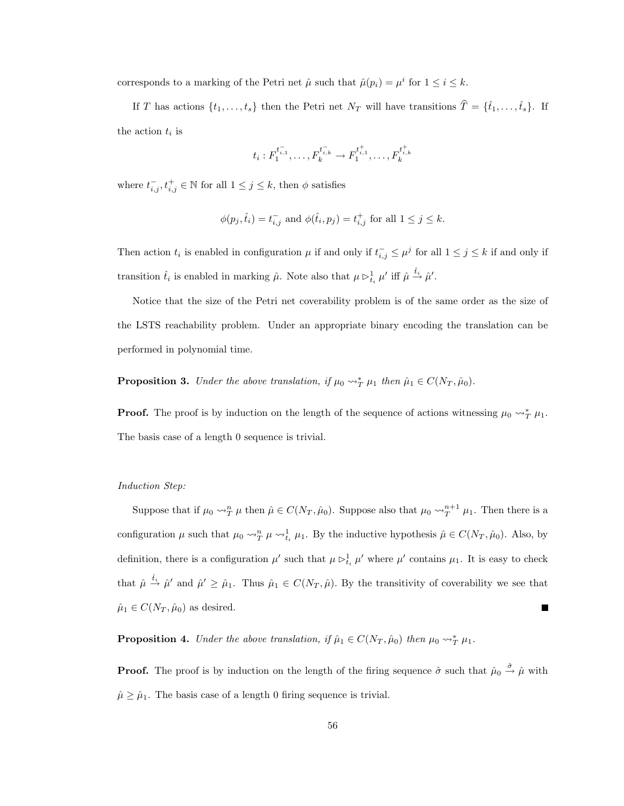corresponds to a marking of the Petri net  $\hat{\mu}$  such that  $\hat{\mu}(p_i) = \mu^i$  for  $1 \leq i \leq k$ .

If T has actions  $\{t_1, \ldots, t_s\}$  then the Petri net  $N_T$  will have transitions  $\hat{T} = {\hat{t}_1, \ldots, \hat{t}_s}$ . If the action  $t_i$  is

$$
t_i: F_1^{t_{i,1}^-}, \ldots, F_k^{t_{i,k}^-} \to F_1^{t_{i,1}^+}, \ldots, F_k^{t_{i,k}^+}
$$

where  $t_{i,j}^-, t_{i,j}^+ \in \mathbb{N}$  for all  $1 \leq j \leq k$ , then  $\phi$  satisfies

$$
\phi(p_j, \hat{t}_i) = t_{i,j}^- \text{ and } \phi(\hat{t}_i, p_j) = t_{i,j}^+ \text{ for all } 1 \leq j \leq k.
$$

Then action  $t_i$  is enabled in configuration  $\mu$  if and only if  $t_{i,j} \leq \mu^j$  for all  $1 \leq j \leq k$  if and only if transition  $\hat{t}_i$  is enabled in marking  $\hat{\mu}$ . Note also that  $\mu \triangleright_{t_i}^1 \mu'$  iff  $\hat{\mu} \stackrel{\hat{t}_i}{\rightarrow} \hat{\mu}'$ .

Notice that the size of the Petri net coverability problem is of the same order as the size of the LSTS reachability problem. Under an appropriate binary encoding the translation can be performed in polynomial time.

**Proposition 3.** Under the above translation, if  $\mu_0 \rightarrow_{\mathcal{T}}^* \mu_1$  then  $\hat{\mu}_1 \in C(N_T, \hat{\mu}_0)$ .

**Proof.** The proof is by induction on the length of the sequence of actions witnessing  $\mu_0 \leadsto^*_{T} \mu_1$ . The basis case of a length 0 sequence is trivial.

### Induction Step:

Suppose that if  $\mu_0 \leadsto^n_T \mu$  then  $\hat{\mu} \in C(N_T, \hat{\mu}_0)$ . Suppose also that  $\mu_0 \leadsto^{n+1}_T \mu_1$ . Then there is a configuration  $\mu$  such that  $\mu_0 \leadsto_{T}^n \mu \leadsto_{t_i}^1 \mu_1$ . By the inductive hypothesis  $\hat{\mu} \in C(N_T, \hat{\mu}_0)$ . Also, by definition, there is a configuration  $\mu'$  such that  $\mu \triangleright_{t_i}^1 \mu'$  where  $\mu'$  contains  $\mu_1$ . It is easy to check that  $\hat{\mu} \stackrel{\hat{t}_i}{\rightarrow} \hat{\mu}'$  and  $\hat{\mu}' \geq \hat{\mu}_1$ . Thus  $\hat{\mu}_1 \in C(N_T, \hat{\mu})$ . By the transitivity of coverability we see that  $\hat{\mu}_1 \in C(N_T, \hat{\mu}_0)$  as desired. Ξ

**Proposition 4.** Under the above translation, if  $\hat{\mu}_1 \in C(N_T, \hat{\mu}_0)$  then  $\mu_0 \leadsto^*_{T} \mu_1$ .

**Proof.** The proof is by induction on the length of the firing sequence  $\hat{\sigma}$  such that  $\hat{\mu}_0 \stackrel{\hat{\sigma}}{\rightarrow} \hat{\mu}$  with  $\hat{\mu} \geq \hat{\mu}_1$ . The basis case of a length 0 firing sequence is trivial.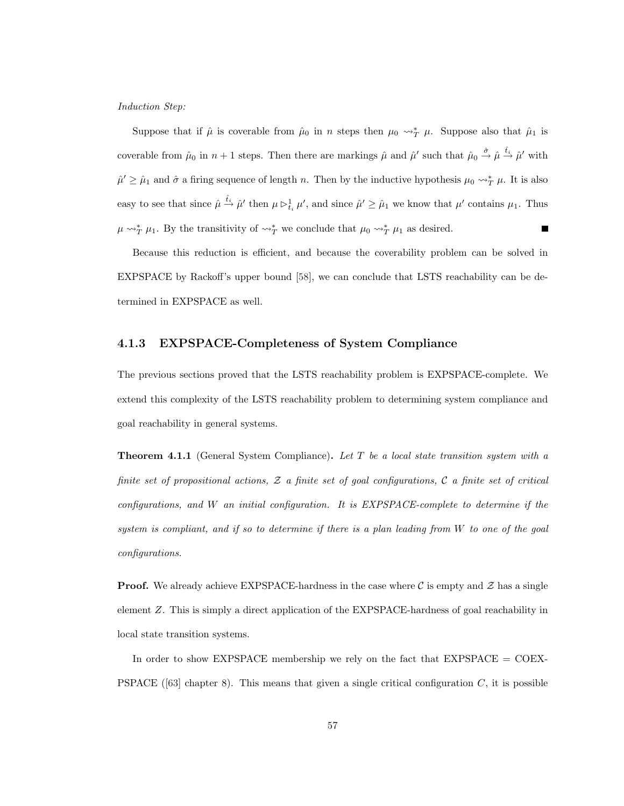Induction Step:

Suppose that if  $\hat{\mu}$  is coverable from  $\hat{\mu}_0$  in n steps then  $\mu_0 \leadsto_T^* \mu$ . Suppose also that  $\hat{\mu}_1$  is coverable from  $\hat{\mu}_0$  in  $n+1$  steps. Then there are markings  $\hat{\mu}$  and  $\hat{\mu}'$  such that  $\hat{\mu}_0 \stackrel{\hat{\sigma}}{\rightarrow} \hat{\mu}' \stackrel{\hat{\iota}_i}{\rightarrow} \hat{\mu}'$  with  $\hat{\mu}' \geq \hat{\mu}_1$  and  $\hat{\sigma}$  a firing sequence of length n. Then by the inductive hypothesis  $\mu_0 \leadsto_T^* \mu$ . It is also easy to see that since  $\hat{\mu} \stackrel{\hat{t}_i}{\rightarrow} \hat{\mu}'$  then  $\mu \triangleright_{t_i}^1 \mu'$ , and since  $\hat{\mu}' \geq \hat{\mu}_1$  we know that  $\mu'$  contains  $\mu_1$ . Thus  $\mu \leadsto_T^* \mu_1$ . By the transitivity of  $\leadsto_T^*$  we conclude that  $\mu_0 \leadsto_T^* \mu_1$  as desired.

Because this reduction is efficient, and because the coverability problem can be solved in EXPSPACE by Rackoff's upper bound [\[58\]](#page-98-1), we can conclude that LSTS reachability can be determined in EXPSPACE as well.

### 4.1.3 EXPSPACE-Completeness of System Compliance

The previous sections proved that the LSTS reachability problem is EXPSPACE-complete. We extend this complexity of the LSTS reachability problem to determining system compliance and goal reachability in general systems.

<span id="page-64-0"></span>**Theorem 4.1.1** (General System Compliance). Let T be a local state transition system with a finite set of propositional actions,  $Z$  a finite set of goal configurations,  $C$  a finite set of critical configurations, and W an initial configuration. It is EXPSPACE-complete to determine if the system is compliant, and if so to determine if there is a plan leading from W to one of the goal configurations.

**Proof.** We already achieve EXPSPACE-hardness in the case where  $\mathcal{C}$  is empty and  $\mathcal{Z}$  has a single element Z. This is simply a direct application of the EXPSPACE-hardness of goal reachability in local state transition systems.

In order to show EXPSPACE membership we rely on the fact that EXPSPACE = COEX-PSPACE([\[63\]](#page-99-1) chapter 8). This means that given a single critical configuration  $C$ , it is possible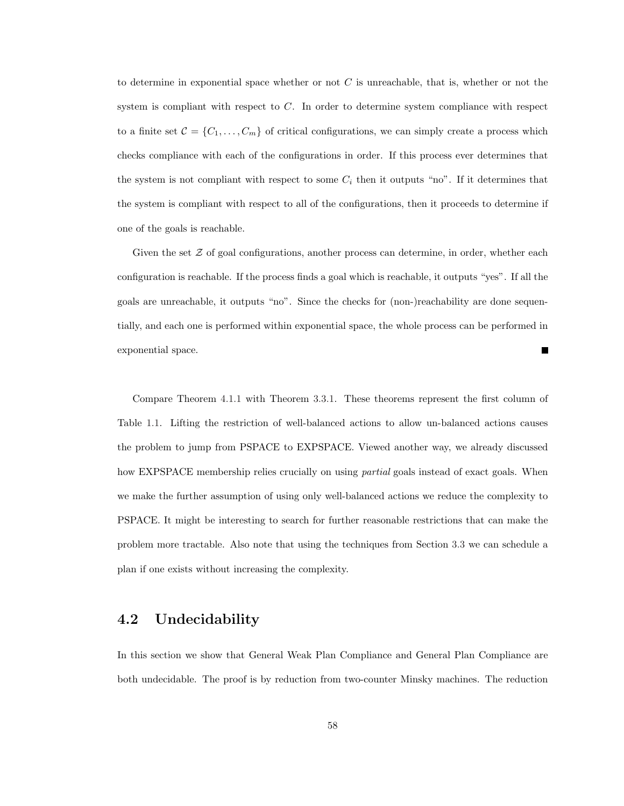to determine in exponential space whether or not  $C$  is unreachable, that is, whether or not the system is compliant with respect to C. In order to determine system compliance with respect to a finite set  $\mathcal{C} = \{C_1, \ldots, C_m\}$  of critical configurations, we can simply create a process which checks compliance with each of the configurations in order. If this process ever determines that the system is not compliant with respect to some  $C_i$  then it outputs "no". If it determines that the system is compliant with respect to all of the configurations, then it proceeds to determine if one of the goals is reachable.

Given the set  $\mathcal Z$  of goal configurations, another process can determine, in order, whether each configuration is reachable. If the process finds a goal which is reachable, it outputs "yes". If all the goals are unreachable, it outputs "no". Since the checks for (non-)reachability are done sequentially, and each one is performed within exponential space, the whole process can be performed in exponential space.

Compare Theorem [4.1.1](#page-64-0) with Theorem [3.3.1.](#page-47-2) These theorems represent the first column of Table [1.1.](#page-13-0) Lifting the restriction of well-balanced actions to allow un-balanced actions causes the problem to jump from PSPACE to EXPSPACE. Viewed another way, we already discussed how EXPSPACE membership relies crucially on using *partial* goals instead of exact goals. When we make the further assumption of using only well-balanced actions we reduce the complexity to PSPACE. It might be interesting to search for further reasonable restrictions that can make the problem more tractable. Also note that using the techniques from Section [3.3](#page-47-0) we can schedule a plan if one exists without increasing the complexity.

# <span id="page-65-0"></span>4.2 Undecidability

In this section we show that General Weak Plan Compliance and General Plan Compliance are both undecidable. The proof is by reduction from two-counter Minsky machines. The reduction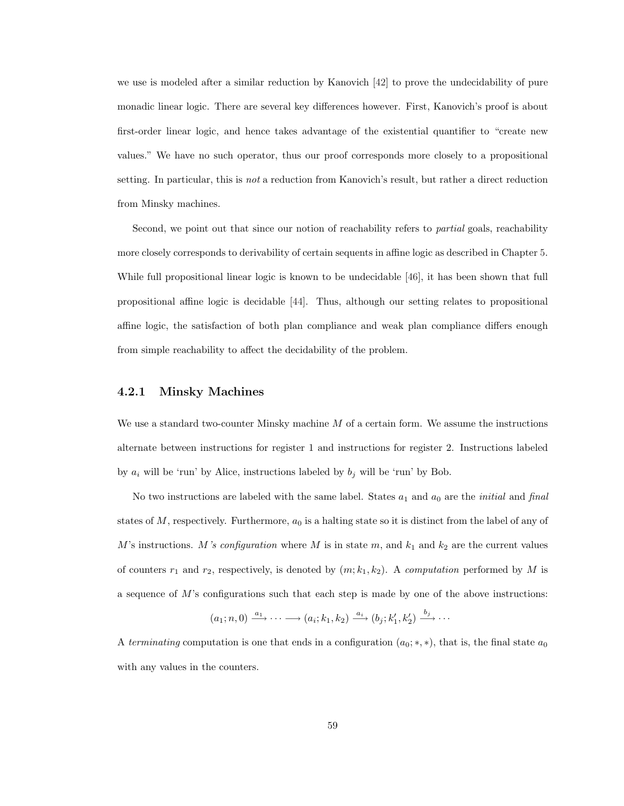we use is modeled after a similar reduction by Kanovich [\[42\]](#page-97-3) to prove the undecidability of pure monadic linear logic. There are several key differences however. First, Kanovich's proof is about first-order linear logic, and hence takes advantage of the existential quantifier to "create new values." We have no such operator, thus our proof corresponds more closely to a propositional setting. In particular, this is not a reduction from Kanovich's result, but rather a direct reduction from Minsky machines.

Second, we point out that since our notion of reachability refers to partial goals, reachability more closely corresponds to derivability of certain sequents in affine logic as described in Chapter [5.](#page-81-0) While full propositional linear logic is known to be undecidable [\[46\]](#page-97-4), it has been shown that full propositional affine logic is decidable [\[44\]](#page-97-5). Thus, although our setting relates to propositional affine logic, the satisfaction of both plan compliance and weak plan compliance differs enough from simple reachability to affect the decidability of the problem.

### 4.2.1 Minsky Machines

We use a standard two-counter Minsky machine  $M$  of a certain form. We assume the instructions alternate between instructions for register 1 and instructions for register 2. Instructions labeled by  $a_i$  will be 'run' by Alice, instructions labeled by  $b_j$  will be 'run' by Bob.

No two instructions are labeled with the same label. States  $a_1$  and  $a_0$  are the *initial* and final states of  $M$ , respectively. Furthermore,  $a_0$  is a halting state so it is distinct from the label of any of M's instructions. M's configuration where M is in state m, and  $k_1$  and  $k_2$  are the current values of counters  $r_1$  and  $r_2$ , respectively, is denoted by  $(m; k_1, k_2)$ . A *computation* performed by M is a sequence of  $M$ 's configurations such that each step is made by one of the above instructions:

$$
(a_1; n, 0) \xrightarrow{a_1} \cdots \longrightarrow (a_i; k_1, k_2) \xrightarrow{a_i} (b_j; k'_1, k'_2) \xrightarrow{b_j} \cdots
$$

A terminating computation is one that ends in a configuration  $(a_0; *, *),$  that is, the final state  $a_0$ with any values in the counters.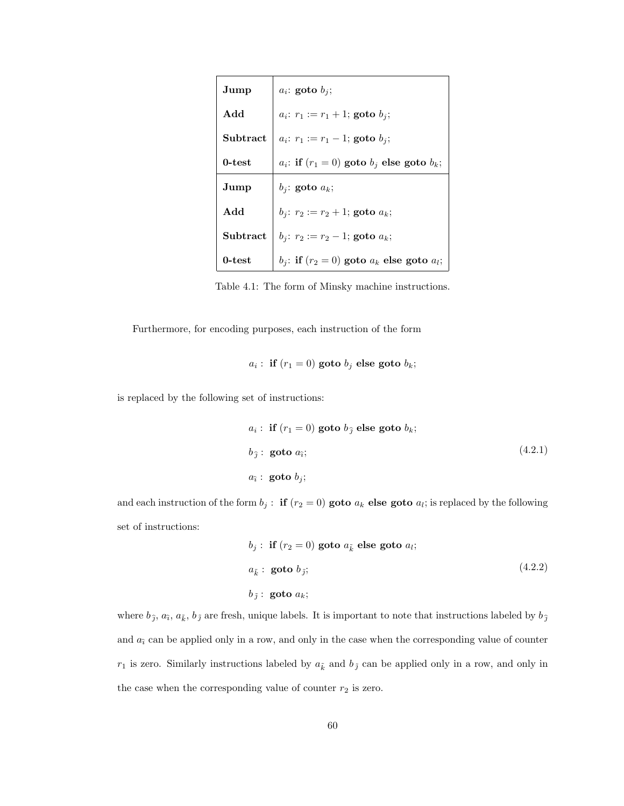| Jump      | $a_i$ : goto $b_i$ ;                                |
|-----------|-----------------------------------------------------|
| Add       | $a_i: r_1 := r_1 + 1$ ; goto $b_i$ ;                |
| Subtract  | $a_i: r_1 := r_1 - 1$ ; goto $b_i$ ;                |
| 0-test    | $a_i$ : if $(r_1 = 0)$ goto $b_i$ else goto $b_k$ ; |
| Jump      | $b_i$ : goto $a_k$ ;                                |
| Add       | $b_i: r_2 := r_2 + 1$ ; goto $a_k$ ;                |
| Subtract  | $b_i: r_2 := r_2 - 1$ ; goto $a_k$ ;                |
| $0$ -test | $b_i$ : if $(r_2 = 0)$ goto $a_k$ else goto $a_l$ ; |

Table 4.1: The form of Minsky machine instructions.

Furthermore, for encoding purposes, each instruction of the form

 $a_i:$  if  $(r_1 = 0)$  goto  $b_j$  else goto  $b_k;$ 

is replaced by the following set of instructions:

<span id="page-67-0"></span>
$$
a_i: \text{ if } (r_1 = 0) \text{ goto } b_{\hat{\jmath}} \text{ else goto } b_k; b_{\hat{\jmath}}: \text{ goto } a_{\hat{\imath}}; a_{\hat{\imath}}: \text{ goto } b_j; (4.2.1)
$$

and each instruction of the form  $b_j$ : if  $(r_2 = 0)$  goto  $a_k$  else goto  $a_l$ ; is replaced by the following set of instructions:

<span id="page-67-1"></span>
$$
b_j: \text{ if } (r_2 = 0) \text{ goto } a_{\tilde{k}} \text{ else goto } a_l; a_{\tilde{k}}: \text{ goto } b_{\tilde{j}}; b_{\tilde{j}}: \text{ goto } a_k;
$$
\n
$$
(4.2.2)
$$

where  $b_{\hat{j}}, a_{\hat{i}}, a_{\tilde{k}}, b_{\tilde{j}}$  are fresh, unique labels. It is important to note that instructions labeled by  $b_{\hat{j}}$ and  $a_{\hat{i}}$  can be applied only in a row, and only in the case when the corresponding value of counter  $r_1$  is zero. Similarly instructions labeled by  $a_{\tilde{k}}$  and  $b_{\tilde{j}}$  can be applied only in a row, and only in the case when the corresponding value of counter  $r_2$  is zero.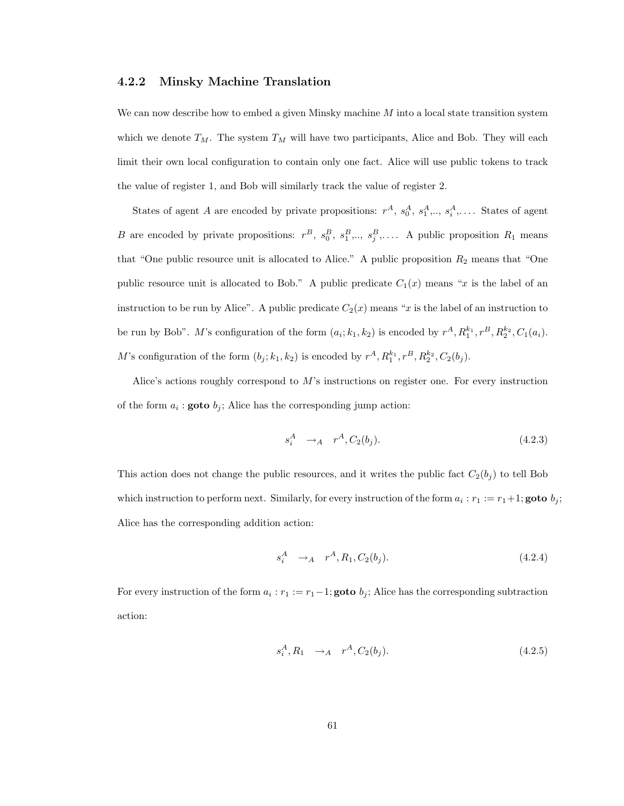### 4.2.2 Minsky Machine Translation

We can now describe how to embed a given Minsky machine  $M$  into a local state transition system which we denote  $T_M$ . The system  $T_M$  will have two participants, Alice and Bob. They will each limit their own local configuration to contain only one fact. Alice will use public tokens to track the value of register 1, and Bob will similarly track the value of register 2.

States of agent A are encoded by private propositions:  $r^A$ ,  $s_0^A$ ,  $s_1^A$ ,...,  $s_i^A$ ,.... States of agent B are encoded by private propositions:  $r^B$ ,  $s_0^B$ ,  $s_1^B$ ,...,  $s_j^B$ ,.... A public proposition  $R_1$  means that "One public resource unit is allocated to Alice." A public proposition  $R_2$  means that "One public resource unit is allocated to Bob." A public predicate  $C_1(x)$  means "x is the label of an instruction to be run by Alice". A public predicate  $C_2(x)$  means "x is the label of an instruction to be run by Bob". M's configuration of the form  $(a_i; k_1, k_2)$  is encoded by  $r^A, R_1^{k_1}, r^B, R_2^{k_2}, C_1(a_i)$ . M's configuration of the form  $(b_j; k_1, k_2)$  is encoded by  $r^A, R_1^{k_1}, r^B, R_2^{k_2}, C_2(b_j)$ .

Alice's actions roughly correspond to  $M$ 's instructions on register one. For every instruction of the form  $a_i$ : **goto**  $b_j$ ; Alice has the corresponding jump action:

<span id="page-68-0"></span>
$$
s_i^A \rightarrow_A r^A, C_2(b_j). \tag{4.2.3}
$$

This action does not change the public resources, and it writes the public fact  $C_2(b_j)$  to tell Bob which instruction to perform next. Similarly, for every instruction of the form  $a_i : r_1 := r_1 + 1$ ; goto  $b_j$ ; Alice has the corresponding addition action:

$$
s_i^A \to_A r^A, R_1, C_2(b_j). \tag{4.2.4}
$$

For every instruction of the form  $a_i : r_1 := r_1 - 1$ ; goto  $b_j$ ; Alice has the corresponding subtraction action:

$$
s_i^A, R_1 \to_A r^A, C_2(b_j). \tag{4.2.5}
$$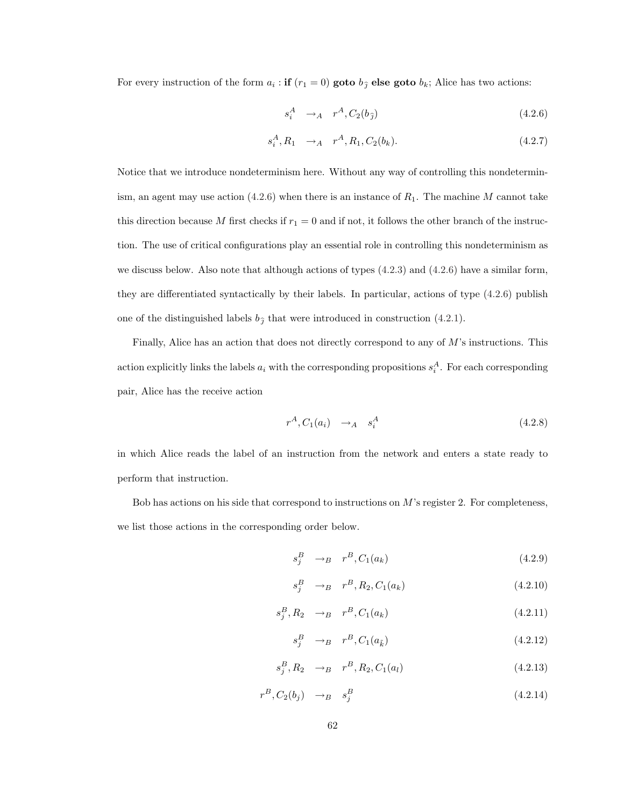For every instruction of the form  $a_i$ : **if**  $(r_1 = 0)$  **goto**  $b_j$  **else goto**  $b_k$ ; Alice has two actions:

<span id="page-69-0"></span>
$$
s_i^A \longrightarrow_A r^A, C_2(b_j) \tag{4.2.6}
$$

$$
s_i^A, R_1 \to_A r^A, R_1, C_2(b_k). \tag{4.2.7}
$$

Notice that we introduce nondeterminism here. Without any way of controlling this nondetermin-ism, an agent may use action [\(4.2.6\)](#page-69-0) when there is an instance of  $R_1$ . The machine M cannot take this direction because  $M$  first checks if  $r_1 = 0$  and if not, it follows the other branch of the instruction. The use of critical configurations play an essential role in controlling this nondeterminism as we discuss below. Also note that although actions of types [\(4.2.3\)](#page-68-0) and [\(4.2.6\)](#page-69-0) have a similar form, they are differentiated syntactically by their labels. In particular, actions of type [\(4.2.6\)](#page-69-0) publish one of the distinguished labels  $b_{\hat{\jmath}}$  that were introduced in construction [\(4.2.1\)](#page-67-0).

Finally, Alice has an action that does not directly correspond to any of  $M$ 's instructions. This action explicitly links the labels  $a_i$  with the corresponding propositions  $s_i^A$ . For each corresponding pair, Alice has the receive action

<span id="page-69-2"></span>
$$
r^A, C_1(a_i) \rightarrow_A s_i^A \tag{4.2.8}
$$

in which Alice reads the label of an instruction from the network and enters a state ready to perform that instruction.

Bob has actions on his side that correspond to instructions on  $M$ 's register 2. For completeness, we list those actions in the corresponding order below.

<span id="page-69-1"></span>
$$
s_j^B \longrightarrow_B r^B, C_1(a_k) \tag{4.2.9}
$$

$$
s_j^B \to_B r^B, R_2, C_1(a_k) \tag{4.2.10}
$$

$$
s_j^B, R_2 \to_B r^B, C_1(a_k) \tag{4.2.11}
$$

$$
s_j^B \quad \to_B \quad r^B, C_1(a_{\vec{k}}) \tag{4.2.12}
$$

$$
s_j^B, R_2 \to_B r^B, R_2, C_1(a_l) \tag{4.2.13}
$$

$$
r^B, C_2(b_j) \rightarrow_B s_j^B \tag{4.2.14}
$$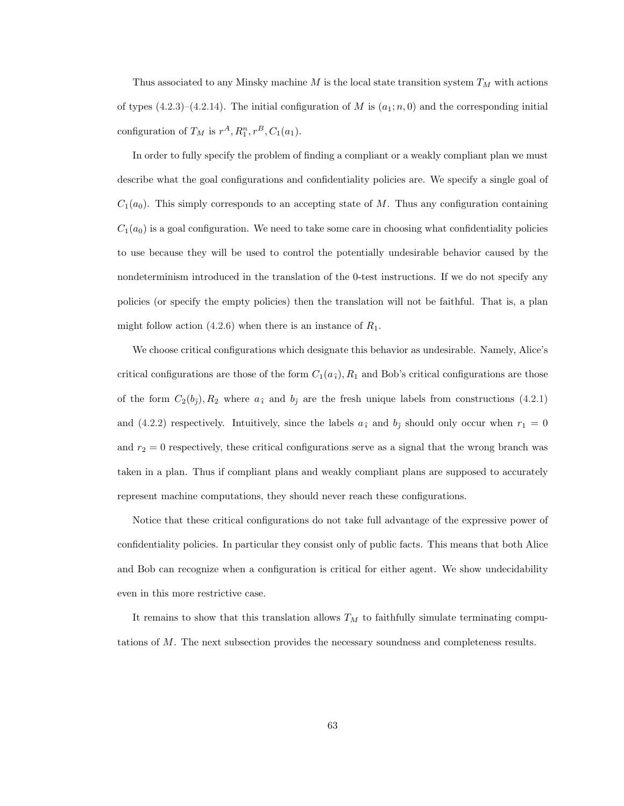Thus associated to any Minsky machine  $M$  is the local state transition system  $T_M$  with actions of types  $(4.2.3)$ – $(4.2.14)$ . The initial configuration of M is  $(a_1; n, 0)$  and the corresponding initial configuration of  $T_M$  is  $r^A, R_1^n, r^B, C_1(a_1)$ .

In order to fully specify the problem of finding a compliant or a weakly compliant plan we must describe what the goal configurations and confidentiality policies are. We specify a single goal of  $C_1(a_0)$ . This simply corresponds to an accepting state of M. Thus any configuration containing  $C_1(a_0)$  is a goal configuration. We need to take some care in choosing what confidentiality policies to use because they will be used to control the potentially undesirable behavior caused by the nondeterminism introduced in the translation of the 0-test instructions. If we do not specify any policies (or specify the empty policies) then the translation will not be faithful. That is, a plan might follow action  $(4.2.6)$  when there is an instance of  $R_1$ .

We choose critical configurations which designate this behavior as undesirable. Namely, Alice's critical configurations are those of the form  $C_1(a_i)$ ,  $R_1$  and Bob's critical configurations are those of the form  $C_2(b_{\tilde{j}}), R_2$  where  $a_{\tilde{\tau}}$  and  $b_{\tilde{j}}$  are the fresh unique labels from constructions [\(4.2.1\)](#page-67-0) and [\(4.2.2\)](#page-67-1) respectively. Intuitively, since the labels  $a_{\hat{\tau}}$  and  $b_{\hat{\jmath}}$  should only occur when  $r_1 = 0$ and  $r_2 = 0$  respectively, these critical configurations serve as a signal that the wrong branch was taken in a plan. Thus if compliant plans and weakly compliant plans are supposed to accurately represent machine computations, they should never reach these configurations.

Notice that these critical configurations do not take full advantage of the expressive power of confidentiality policies. In particular they consist only of public facts. This means that both Alice and Bob can recognize when a configuration is critical for either agent. We show undecidability even in this more restrictive case.

It remains to show that this translation allows  $T_M$  to faithfully simulate terminating computations of M. The next subsection provides the necessary soundness and completeness results.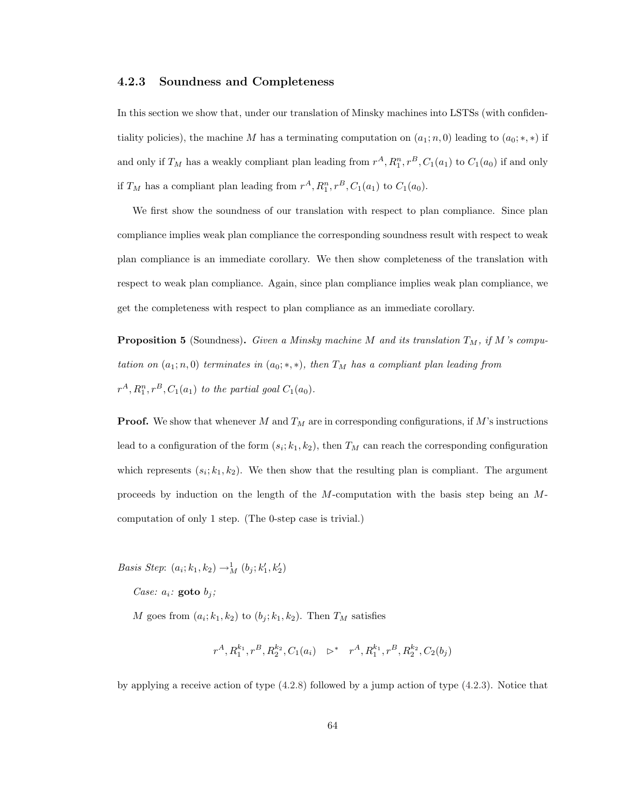### 4.2.3 Soundness and Completeness

In this section we show that, under our translation of Minsky machines into LSTSs (with confidentiality policies), the machine M has a terminating computation on  $(a_1; n, 0)$  leading to  $(a_0; *, *)$  if and only if  $T_M$  has a weakly compliant plan leading from  $r^A, R_1^n, r^B, C_1(a_1)$  to  $C_1(a_0)$  if and only if  $T_M$  has a compliant plan leading from  $r^A$ ,  $R_1^n$ ,  $r^B$ ,  $C_1(a_1)$  to  $C_1(a_0)$ .

We first show the soundness of our translation with respect to plan compliance. Since plan compliance implies weak plan compliance the corresponding soundness result with respect to weak plan compliance is an immediate corollary. We then show completeness of the translation with respect to weak plan compliance. Again, since plan compliance implies weak plan compliance, we get the completeness with respect to plan compliance as an immediate corollary.

**Proposition 5** (Soundness). Given a Minsky machine M and its translation  $T_M$ , if M's computation on  $(a_1; n, 0)$  terminates in  $(a_0; *, *),$  then  $T_M$  has a compliant plan leading from  $r^A, R_1^n, r^B, C_1(a_1)$  to the partial goal  $C_1(a_0)$ .

**Proof.** We show that whenever M and  $T_M$  are in corresponding configurations, if M's instructions lead to a configuration of the form  $(s_i; k_1, k_2)$ , then  $T_M$  can reach the corresponding configuration which represents  $(s_i; k_1, k_2)$ . We then show that the resulting plan is compliant. The argument proceeds by induction on the length of the M-computation with the basis step being an  $M$ computation of only 1 step. (The 0-step case is trivial.)

*Basis Step*:  $(a_i; k_1, k_2) \rightarrow_M^1 (b_j; k'_1, k'_2)$ 

Case:  $a_i$ : goto  $b_j$ ;

M goes from  $(a_i; k_1, k_2)$  to  $(b_j; k_1, k_2)$ . Then  $T_M$  satisfies

$$
r^A, R_1^{k_1}, r^B, R_2^{k_2}, C_1(a_i) \Rightarrow r^A, R_1^{k_1}, r^B, R_2^{k_2}, C_2(b_j)
$$

by applying a receive action of type [\(4.2.8\)](#page-69-2) followed by a jump action of type [\(4.2.3\)](#page-68-0). Notice that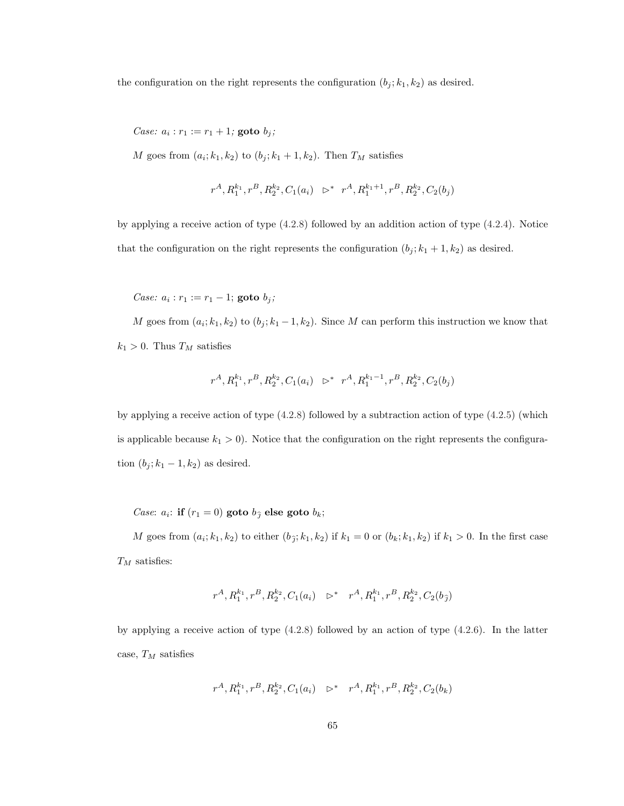the configuration on the right represents the configuration  $(b_j; k_1, k_2)$  as desired.

Case:  $a_i : r_1 := r_1 + 1$ ; goto  $b_j$ ;

M goes from  $(a_i; k_1, k_2)$  to  $(b_j; k_1 + 1, k_2)$ . Then  $T_M$  satisfies

$$
r^A, R_1^{k_1}, r^B, R_2^{k_2}, C_1(a_i) \Rightarrow^* r^A, R_1^{k_1+1}, r^B, R_2^{k_2}, C_2(b_j)
$$

by applying a receive action of type [\(4.2.8\)](#page-69-0) followed by an addition action of type [\(4.2.4\)](#page-68-0). Notice that the configuration on the right represents the configuration  $(b_j; k_1 + 1, k_2)$  as desired.

*Case:*  $a_i : r_1 := r_1 - 1$ ; **goto**  $b_j$ ;

M goes from  $(a_i; k_1, k_2)$  to  $(b_j; k_1 - 1, k_2)$ . Since M can perform this instruction we know that  $k_1 > 0$ . Thus  $T_M$  satisfies

$$
r^A, R_1^{k_1}, r^B, R_2^{k_2}, C_1(a_i) \Rightarrow^* r^A, R_1^{k_1-1}, r^B, R_2^{k_2}, C_2(b_j)
$$

by applying a receive action of type [\(4.2.8\)](#page-69-0) followed by a subtraction action of type [\(4.2.5\)](#page-68-1) (which is applicable because  $k_1 > 0$ ). Notice that the configuration on the right represents the configuration  $(b_j; k_1 - 1, k_2)$  as desired.

Case:  $a_i$ : if  $(r_1 = 0)$  goto  $b_j$  else goto  $b_k$ ;

M goes from  $(a_i; k_1, k_2)$  to either  $(b_j; k_1, k_2)$  if  $k_1 = 0$  or  $(b_k; k_1, k_2)$  if  $k_1 > 0$ . In the first case  $T_M$  satisfies:

$$
r^A, R_1^{k_1}, r^B, R_2^{k_2}, C_1(a_i) \Rightarrow r^A, R_1^{k_1}, r^B, R_2^{k_2}, C_2(b_j)
$$

by applying a receive action of type [\(4.2.8\)](#page-69-0) followed by an action of type [\(4.2.6\)](#page-69-1). In the latter case,  $T_M$  satisfies

$$
r^A, R_1^{k_1}, r^B, R_2^{k_2}, C_1(a_i) \Rightarrow r^A, R_1^{k_1}, r^B, R_2^{k_2}, C_2(b_k)
$$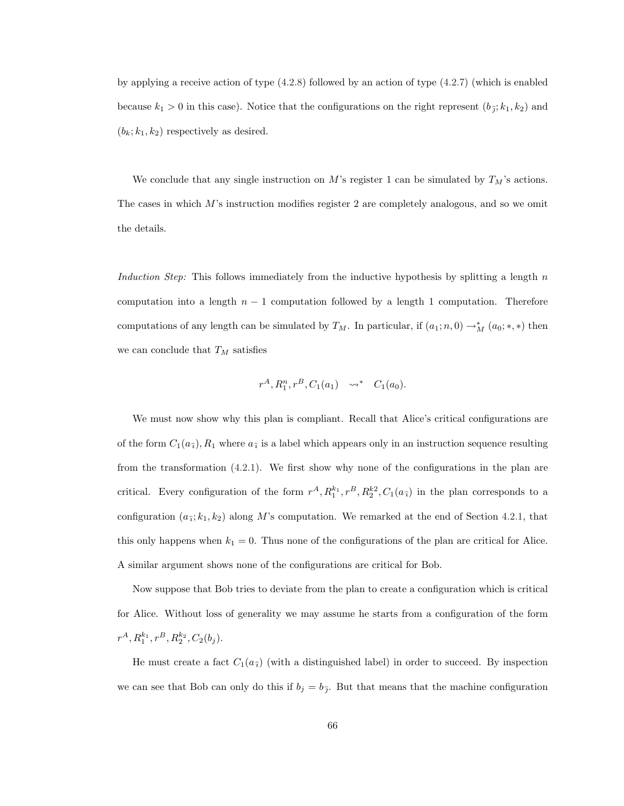by applying a receive action of type [\(4.2.8\)](#page-69-0) followed by an action of type [\(4.2.7\)](#page-69-1) (which is enabled because  $k_1 > 0$  in this case). Notice that the configurations on the right represent  $(b_{\hat{j}}; k_1, k_2)$  and  $(b_k; k_1, k_2)$  respectively as desired.

We conclude that any single instruction on M's register 1 can be simulated by  $T_M$ 's actions. The cases in which M's instruction modifies register 2 are completely analogous, and so we omit the details.

Induction Step: This follows immediately from the inductive hypothesis by splitting a length  $n$ computation into a length  $n - 1$  computation followed by a length 1 computation. Therefore computations of any length can be simulated by  $T_M$ . In particular, if  $(a_1; n, 0) \rightarrow_M^* (a_0; *, *)$  then we can conclude that  $T_M$  satisfies

$$
r^A, R_1^n, r^B, C_1(a_1) \quad \leadsto^* \quad C_1(a_0).
$$

We must now show why this plan is compliant. Recall that Alice's critical configurations are of the form  $C_1(a_{\hat{\imath}})$ ,  $R_1$  where  $a_{\hat{\imath}}$  is a label which appears only in an instruction sequence resulting from the transformation [\(4.2.1\)](#page-67-0). We first show why none of the configurations in the plan are critical. Every configuration of the form  $r^A$ ,  $R_1^{k_1}$ ,  $r^B$ ,  $R_2^{k_2}$ ,  $C_1(a_i)$  in the plan corresponds to a configuration  $(a_7; k_1, k_2)$  along M's computation. We remarked at the end of Section [4.2.1,](#page-66-0) that this only happens when  $k_1 = 0$ . Thus none of the configurations of the plan are critical for Alice. A similar argument shows none of the configurations are critical for Bob.

Now suppose that Bob tries to deviate from the plan to create a configuration which is critical for Alice. Without loss of generality we may assume he starts from a configuration of the form  $r^A, R_1^{k_1}, r^B, R_2^{k_2}, C_2(b_j).$ 

He must create a fact  $C_1(a_i)$  (with a distinguished label) in order to succeed. By inspection we can see that Bob can only do this if  $b_j = b_{\hat{j}}$ . But that means that the machine configuration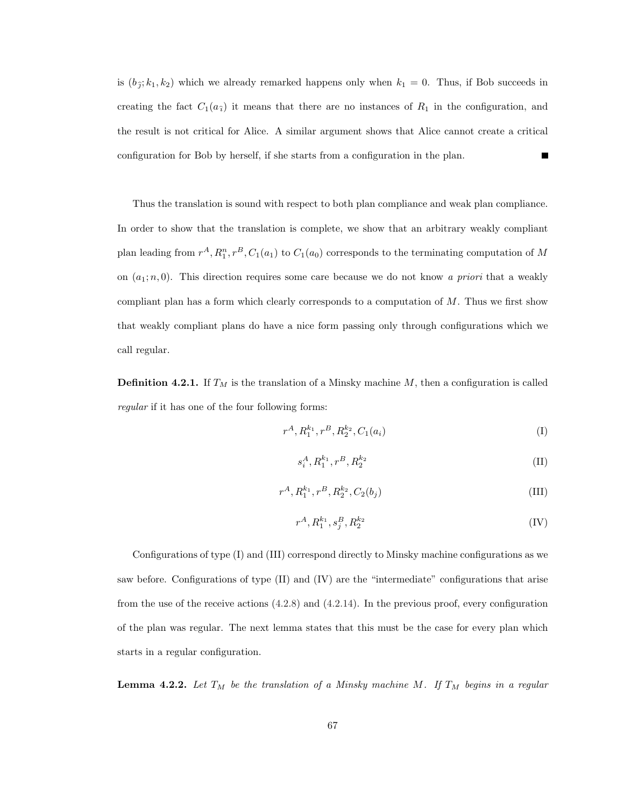is  $(b_2; k_1, k_2)$  which we already remarked happens only when  $k_1 = 0$ . Thus, if Bob succeeds in creating the fact  $C_1(a_{\hat{\tau}})$  it means that there are no instances of  $R_1$  in the configuration, and the result is not critical for Alice. A similar argument shows that Alice cannot create a critical configuration for Bob by herself, if she starts from a configuration in the plan.

Thus the translation is sound with respect to both plan compliance and weak plan compliance. In order to show that the translation is complete, we show that an arbitrary weakly compliant plan leading from  $r^A, R_1^n, r^B, C_1(a_1)$  to  $C_1(a_0)$  corresponds to the terminating computation of M on  $(a_1; n, 0)$ . This direction requires some care because we do not know a priori that a weakly compliant plan has a form which clearly corresponds to a computation of M. Thus we first show that weakly compliant plans do have a nice form passing only through configurations which we call regular.

**Definition 4.2.1.** If  $T_M$  is the translation of a Minsky machine M, then a configuration is called regular if it has one of the four following forms:

$$
r^A, R_1^{k_1}, r^B, R_2^{k_2}, C_1(a_i)
$$
 (I)

$$
s_i^A, R_1^{k_1}, r^B, R_2^{k_2} \tag{II}
$$

$$
r^A, R_1^{k_1}, r^B, R_2^{k_2}, C_2(b_j)
$$
 (III)

$$
r^A, R_1^{k_1}, s_j^B, R_2^{k_2} \tag{IV}
$$

Configurations of type (I) and (III) correspond directly to Minsky machine configurations as we saw before. Configurations of type (II) and (IV) are the "intermediate" configurations that arise from the use of the receive actions [\(4.2.8\)](#page-69-0) and [\(4.2.14\)](#page-69-2). In the previous proof, every configuration of the plan was regular. The next lemma states that this must be the case for every plan which starts in a regular configuration.

<span id="page-74-0"></span>**Lemma 4.2.2.** Let  $T_M$  be the translation of a Minsky machine M. If  $T_M$  begins in a regular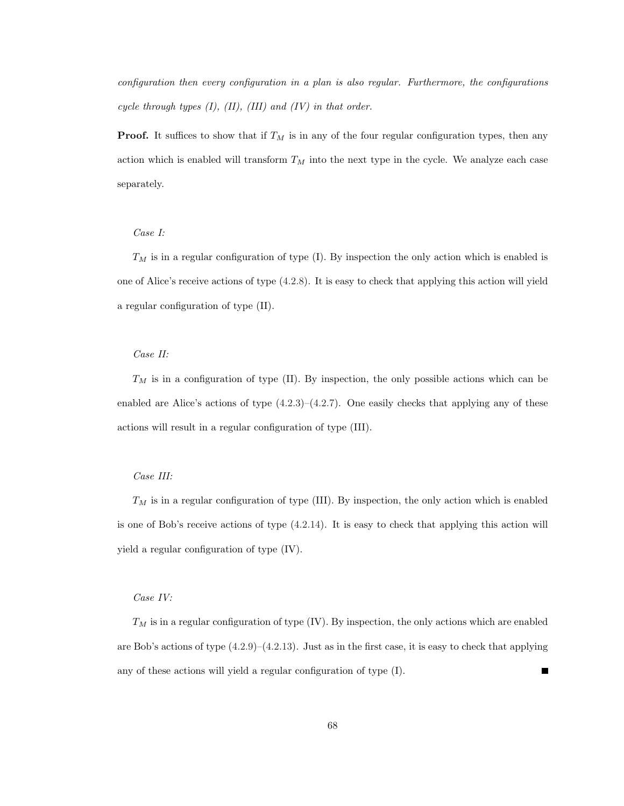configuration then every configuration in a plan is also regular. Furthermore, the configurations cycle through types  $(I)$ ,  $(II)$ ,  $(III)$  and  $(IV)$  in that order.

**Proof.** It suffices to show that if  $T_M$  is in any of the four regular configuration types, then any action which is enabled will transform  $T_M$  into the next type in the cycle. We analyze each case separately.

### Case I:

 $T_M$  is in a regular configuration of type (I). By inspection the only action which is enabled is one of Alice's receive actions of type [\(4.2.8\)](#page-69-0). It is easy to check that applying this action will yield a regular configuration of type (II).

### Case II:

 $T_M$  is in a configuration of type (II). By inspection, the only possible actions which can be enabled are Alice's actions of type  $(4.2.3)$ – $(4.2.7)$ . One easily checks that applying any of these actions will result in a regular configuration of type (III).

### Case III:

 $T_M$  is in a regular configuration of type (III). By inspection, the only action which is enabled is one of Bob's receive actions of type [\(4.2.14\)](#page-69-2). It is easy to check that applying this action will yield a regular configuration of type (IV).

### Case IV:

 $T_M$  is in a regular configuration of type (IV). By inspection, the only actions which are enabled are Bob's actions of type  $(4.2.9)$ – $(4.2.13)$ . Just as in the first case, it is easy to check that applying any of these actions will yield a regular configuration of type (I). ٠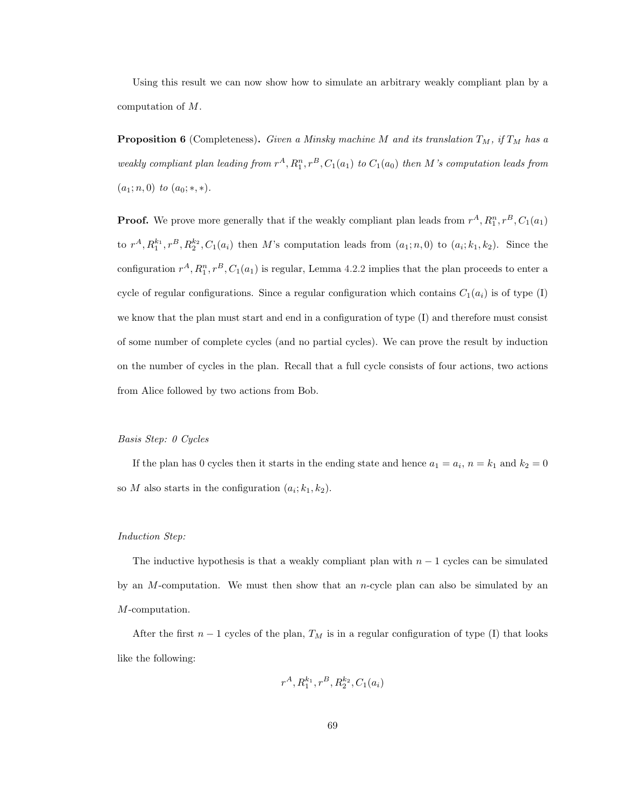Using this result we can now show how to simulate an arbitrary weakly compliant plan by a computation of M.

**Proposition 6** (Completeness). Given a Minsky machine M and its translation  $T_M$ , if  $T_M$  has a weakly compliant plan leading from  $r^A$ ,  $R_1^n$ ,  $r^B$ ,  $C_1(a_1)$  to  $C_1(a_0)$  then M's computation leads from  $(a_1; n, 0)$  to  $(a_0; *, *).$ 

**Proof.** We prove more generally that if the weakly compliant plan leads from  $r^A, R_1^n, r^B, C_1(a_1)$ to  $r^A, R_1^{k_1}, r^B, R_2^{k_2}, C_1(a_i)$  then M's computation leads from  $(a_1; n, 0)$  to  $(a_i; k_1, k_2)$ . Since the configuration  $r^A, R_1^n, r^B, C_1(a_1)$  is regular, Lemma [4.2.2](#page-74-0) implies that the plan proceeds to enter a cycle of regular configurations. Since a regular configuration which contains  $C_1(a_i)$  is of type (I) we know that the plan must start and end in a configuration of type (I) and therefore must consist of some number of complete cycles (and no partial cycles). We can prove the result by induction on the number of cycles in the plan. Recall that a full cycle consists of four actions, two actions from Alice followed by two actions from Bob.

#### Basis Step: 0 Cycles

If the plan has 0 cycles then it starts in the ending state and hence  $a_1 = a_i$ ,  $n = k_1$  and  $k_2 = 0$ so M also starts in the configuration  $(a_i; k_1, k_2)$ .

### Induction Step:

The inductive hypothesis is that a weakly compliant plan with  $n-1$  cycles can be simulated by an M-computation. We must then show that an n-cycle plan can also be simulated by an M-computation.

After the first  $n-1$  cycles of the plan,  $T_M$  is in a regular configuration of type (I) that looks like the following:

$$
r^A, R_1^{k_1}, r^B, R_2^{k_2}, C_1(a_i)
$$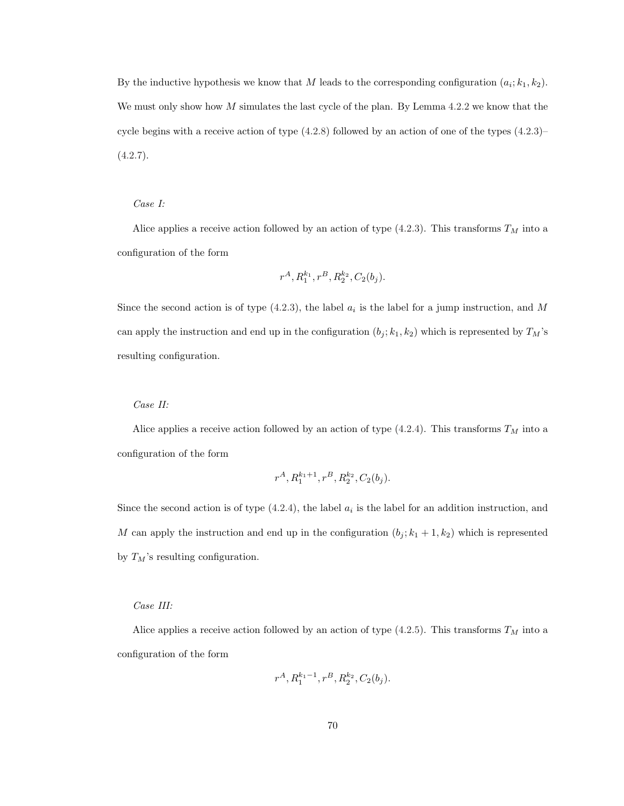By the inductive hypothesis we know that M leads to the corresponding configuration  $(a_i; k_1, k_2)$ . We must only show how  $M$  simulates the last cycle of the plan. By Lemma [4.2.2](#page-74-0) we know that the cycle begins with a receive action of type  $(4.2.8)$  followed by an action of one of the types  $(4.2.3)$ –  $(4.2.7).$  $(4.2.7).$ 

### Case I:

Alice applies a receive action followed by an action of type [\(4.2.3\)](#page-68-2). This transforms  $T_M$  into a configuration of the form

$$
r^A, R_1^{k_1}, r^B, R_2^{k_2}, C_2(b_j).
$$

Since the second action is of type  $(4.2.3)$ , the label  $a_i$  is the label for a jump instruction, and M can apply the instruction and end up in the configuration  $(b_j; k_1, k_2)$  which is represented by  $T_M$ 's resulting configuration.

#### Case II:

Alice applies a receive action followed by an action of type [\(4.2.4\)](#page-68-0). This transforms  $T_M$  into a configuration of the form

$$
r^A, R_1^{k_1+1}, r^B, R_2^{k_2}, C_2(b_j).
$$

Since the second action is of type  $(4.2.4)$ , the label  $a_i$  is the label for an addition instruction, and M can apply the instruction and end up in the configuration  $(b_j; k_1 + 1, k_2)$  which is represented by  $T_M$ 's resulting configuration.

### Case III:

Alice applies a receive action followed by an action of type [\(4.2.5\)](#page-68-1). This transforms  $T_M$  into a configuration of the form

$$
r^A, R_1^{k_1-1}, r^B, R_2^{k_2}, C_2(b_j).
$$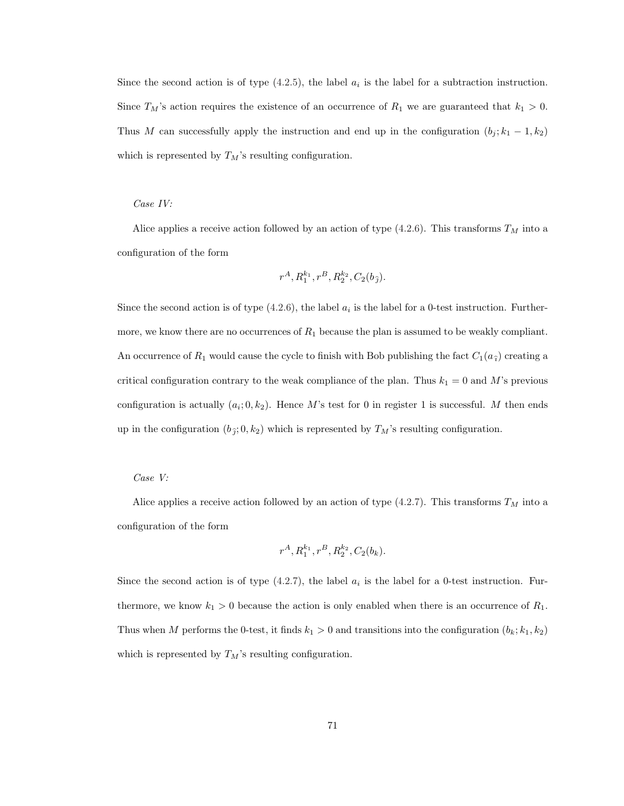Since the second action is of type  $(4.2.5)$ , the label  $a_i$  is the label for a subtraction instruction. Since  $T_M$ 's action requires the existence of an occurrence of  $R_1$  we are guaranteed that  $k_1 > 0$ . Thus M can successfully apply the instruction and end up in the configuration  $(b_j; k_1 - 1, k_2)$ which is represented by  $T_M$ 's resulting configuration.

### Case IV:

Alice applies a receive action followed by an action of type  $(4.2.6)$ . This transforms  $T_M$  into a configuration of the form

$$
r^A, R_1^{k_1}, r^B, R_2^{k_2}, C_2(b_{\hat{j}}).
$$

Since the second action is of type  $(4.2.6)$ , the label  $a_i$  is the label for a 0-test instruction. Furthermore, we know there are no occurrences of  $R_1$  because the plan is assumed to be weakly compliant. An occurrence of  $R_1$  would cause the cycle to finish with Bob publishing the fact  $C_1(a_i)$  creating a critical configuration contrary to the weak compliance of the plan. Thus  $k_1 = 0$  and M's previous configuration is actually  $(a_i; 0, k_2)$ . Hence M's test for 0 in register 1 is successful. M then ends up in the configuration  $(b_j; 0, k_2)$  which is represented by  $T_M$ 's resulting configuration.

### Case V:

Alice applies a receive action followed by an action of type  $(4.2.7)$ . This transforms  $T_M$  into a configuration of the form

$$
r^A, R_1^{k_1}, r^B, R_2^{k_2}, C_2(b_k).
$$

Since the second action is of type  $(4.2.7)$ , the label  $a_i$  is the label for a 0-test instruction. Furthermore, we know  $k_1 > 0$  because the action is only enabled when there is an occurrence of  $R_1$ . Thus when M performs the 0-test, it finds  $k_1 > 0$  and transitions into the configuration  $(b_k; k_1, k_2)$ which is represented by  $T_M$ 's resulting configuration.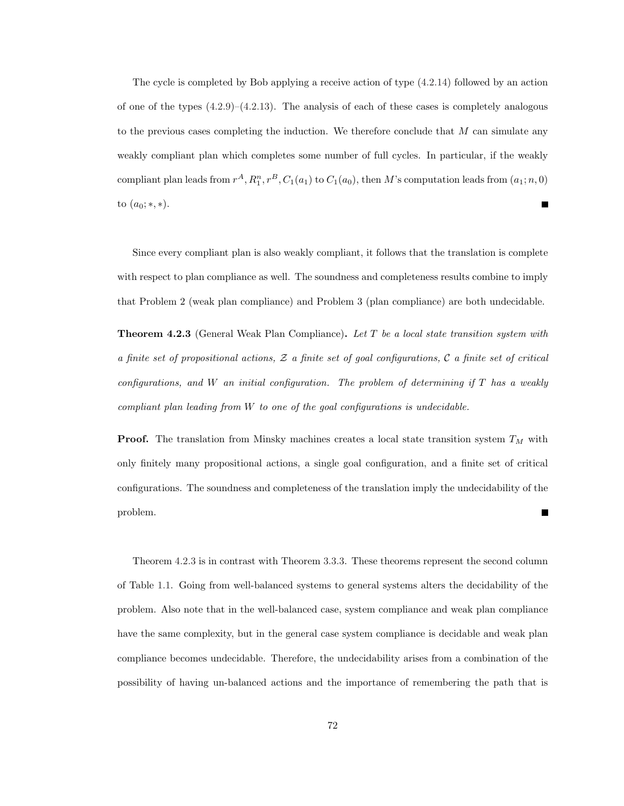The cycle is completed by Bob applying a receive action of type [\(4.2.14\)](#page-69-2) followed by an action of one of the types  $(4.2.9)$ – $(4.2.13)$ . The analysis of each of these cases is completely analogous to the previous cases completing the induction. We therefore conclude that  $M$  can simulate any weakly compliant plan which completes some number of full cycles. In particular, if the weakly compliant plan leads from  $r^A$ ,  $R_1^n$ ,  $r^B$ ,  $C_1(a_1)$  to  $C_1(a_0)$ , then M's computation leads from  $(a_1; n, 0)$ to  $(a_0; *, *).$  $\blacksquare$ 

Since every compliant plan is also weakly compliant, it follows that the translation is complete with respect to plan compliance as well. The soundness and completeness results combine to imply that Problem 2 (weak plan compliance) and Problem 3 (plan compliance) are both undecidable.

<span id="page-79-0"></span>**Theorem 4.2.3** (General Weak Plan Compliance). Let T be a local state transition system with a finite set of propositional actions,  $\mathcal Z$  a finite set of goal configurations,  $\mathcal C$  a finite set of critical configurations, and W an initial configuration. The problem of determining if  $T$  has a weakly compliant plan leading from W to one of the goal configurations is undecidable.

**Proof.** The translation from Minsky machines creates a local state transition system  $T_M$  with only finitely many propositional actions, a single goal configuration, and a finite set of critical configurations. The soundness and completeness of the translation imply the undecidability of the problem.

Theorem [4.2.3](#page-79-0) is in contrast with Theorem [3.3.3.](#page-51-0) These theorems represent the second column of Table [1.1.](#page-13-0) Going from well-balanced systems to general systems alters the decidability of the problem. Also note that in the well-balanced case, system compliance and weak plan compliance have the same complexity, but in the general case system compliance is decidable and weak plan compliance becomes undecidable. Therefore, the undecidability arises from a combination of the possibility of having un-balanced actions and the importance of remembering the path that is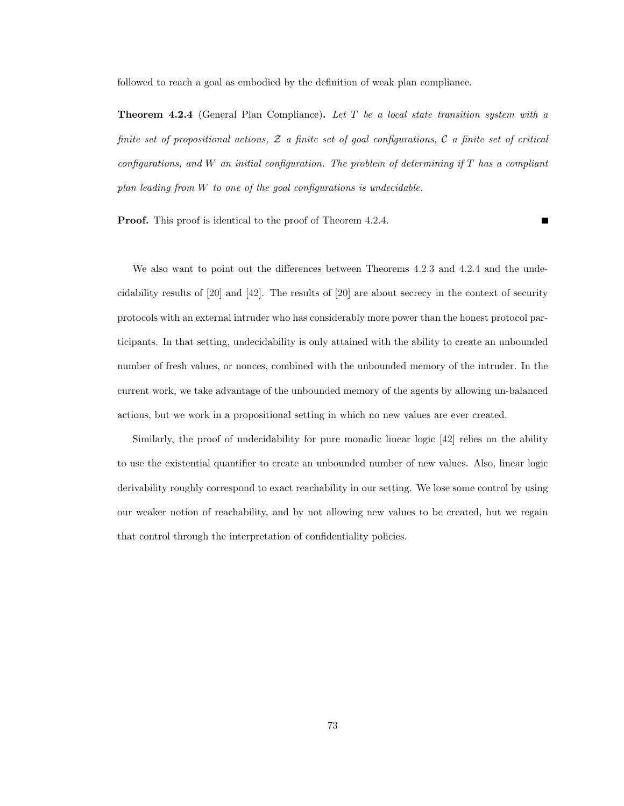<span id="page-80-0"></span>followed to reach a goal as embodied by the definition of weak plan compliance.

**Theorem 4.2.4** (General Plan Compliance). Let  $T$  be a local state transition system with a finite set of propositional actions,  $\mathcal Z$  a finite set of goal configurations,  $\mathcal C$  a finite set of critical configurations, and W an initial configuration. The problem of determining if  $T$  has a compliant plan leading from W to one of the goal configurations is undecidable.

П

Proof. This proof is identical to the proof of Theorem [4.2.4.](#page-80-0)

We also want to point out the differences between Theorems [4.2.3](#page-79-0) and [4.2.4](#page-80-0) and the undecidability results of [\[20\]](#page-95-0) and [\[42\]](#page-97-0). The results of [\[20\]](#page-95-0) are about secrecy in the context of security protocols with an external intruder who has considerably more power than the honest protocol participants. In that setting, undecidability is only attained with the ability to create an unbounded number of fresh values, or nonces, combined with the unbounded memory of the intruder. In the current work, we take advantage of the unbounded memory of the agents by allowing un-balanced actions, but we work in a propositional setting in which no new values are ever created.

Similarly, the proof of undecidability for pure monadic linear logic [\[42\]](#page-97-0) relies on the ability to use the existential quantifier to create an unbounded number of new values. Also, linear logic derivability roughly correspond to exact reachability in our setting. We lose some control by using our weaker notion of reachability, and by not allowing new values to be created, but we regain that control through the interpretation of confidentiality policies.

73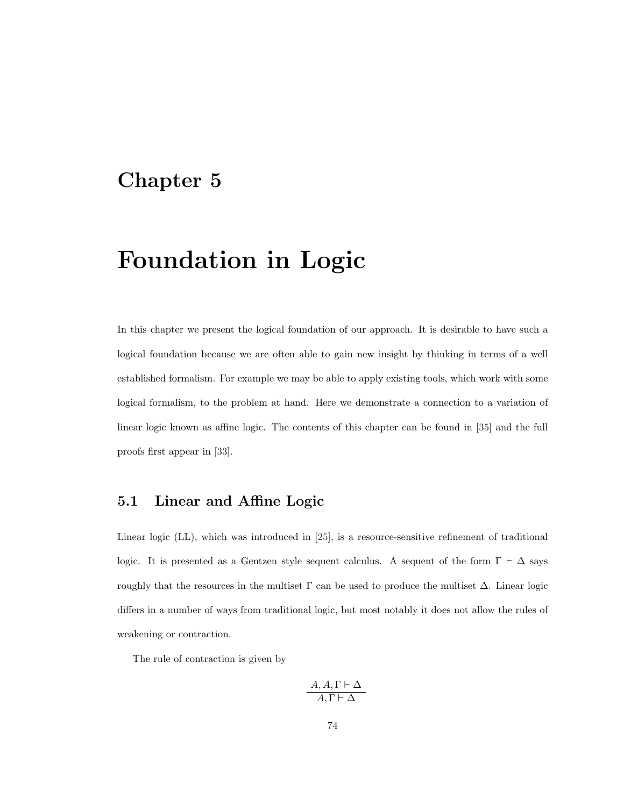# Chapter 5

# Foundation in Logic

In this chapter we present the logical foundation of our approach. It is desirable to have such a logical foundation because we are often able to gain new insight by thinking in terms of a well established formalism. For example we may be able to apply existing tools, which work with some logical formalism, to the problem at hand. Here we demonstrate a connection to a variation of linear logic known as affine logic. The contents of this chapter can be found in [\[35\]](#page-96-0) and the full proofs first appear in [\[33\]](#page-96-1).

## 5.1 Linear and Affine Logic

Linear logic (LL), which was introduced in [\[25\]](#page-96-2), is a resource-sensitive refinement of traditional logic. It is presented as a Gentzen style sequent calculus. A sequent of the form  $\Gamma \vdash \Delta$  says roughly that the resources in the multiset  $Γ$  can be used to produce the multiset  $Δ$ . Linear logic differs in a number of ways from traditional logic, but most notably it does not allow the rules of weakening or contraction.

The rule of contraction is given by

$$
\frac{A,A,\Gamma\vdash\Delta}{A,\Gamma\vdash\Delta}
$$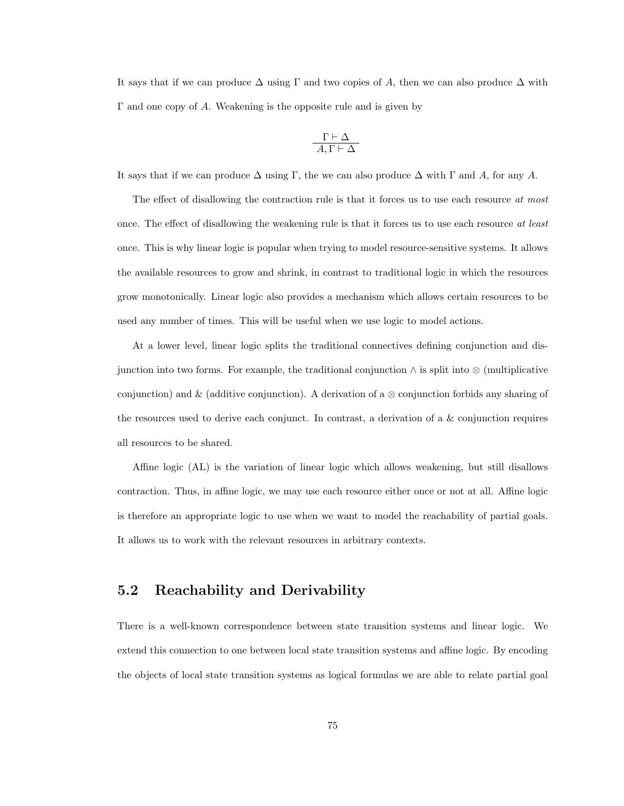It says that if we can produce  $\Delta$  using  $\Gamma$  and two copies of A, then we can also produce  $\Delta$  with Γ and one copy of A. Weakening is the opposite rule and is given by

$$
\frac{\Gamma\vdash\Delta}{A,\Gamma\vdash\Delta}
$$

It says that if we can produce  $\Delta$  using Γ, the we can also produce  $\Delta$  with Γ and A, for any A.

The effect of disallowing the contraction rule is that it forces us to use each resource at most once. The effect of disallowing the weakening rule is that it forces us to use each resource at least once. This is why linear logic is popular when trying to model resource-sensitive systems. It allows the available resources to grow and shrink, in contrast to traditional logic in which the resources grow monotonically. Linear logic also provides a mechanism which allows certain resources to be used any number of times. This will be useful when we use logic to model actions.

At a lower level, linear logic splits the traditional connectives defining conjunction and disjunction into two forms. For example, the traditional conjunction ∧ is split into ⊗ (multiplicative conjunction) and & (additive conjunction). A derivation of a  $\otimes$  conjunction forbids any sharing of the resources used to derive each conjunct. In contrast, a derivation of a & conjunction requires all resources to be shared.

Affine logic (AL) is the variation of linear logic which allows weakening, but still disallows contraction. Thus, in affine logic, we may use each resource either once or not at all. Affine logic is therefore an appropriate logic to use when we want to model the reachability of partial goals. It allows us to work with the relevant resources in arbitrary contexts.

## 5.2 Reachability and Derivability

There is a well-known correspondence between state transition systems and linear logic. We extend this connection to one between local state transition systems and affine logic. By encoding the objects of local state transition systems as logical formulas we are able to relate partial goal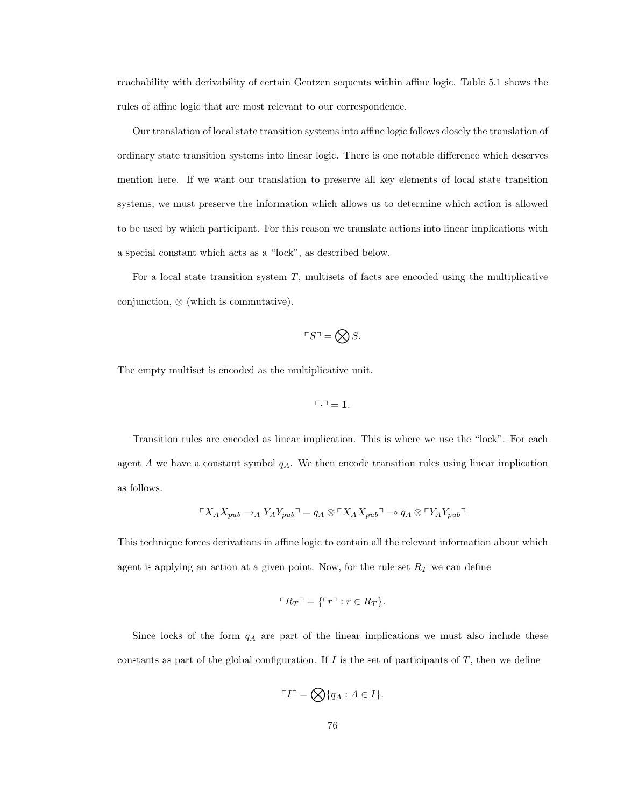reachability with derivability of certain Gentzen sequents within affine logic. Table [5.1](#page-84-0) shows the rules of affine logic that are most relevant to our correspondence.

Our translation of local state transition systems into affine logic follows closely the translation of ordinary state transition systems into linear logic. There is one notable difference which deserves mention here. If we want our translation to preserve all key elements of local state transition systems, we must preserve the information which allows us to determine which action is allowed to be used by which participant. For this reason we translate actions into linear implications with a special constant which acts as a "lock", as described below.

For a local state transition system  $T$ , multisets of facts are encoded using the multiplicative conjunction,  $\otimes$  (which is commutative).

$$
\ulcorner S \urcorner = \bigotimes S.
$$

The empty multiset is encoded as the multiplicative unit.

$$
^{\sqcap ,\sqcap }=1.
$$

Transition rules are encoded as linear implication. This is where we use the "lock". For each agent  $A$  we have a constant symbol  $q_A$ . We then encode transition rules using linear implication as follows.

$$
\ulcorner X_A X_{pub} \rightarrow_A Y_A Y_{pub} \urcorner = q_A \otimes \ulcorner X_A X_{pub} \urcorner \rightarrow q_A \otimes \ulcorner Y_A Y_{pub} \urcorner
$$

This technique forces derivations in affine logic to contain all the relevant information about which agent is applying an action at a given point. Now, for the rule set  $R_T$  we can define

$$
\ulcorner R_T \urcorner = \{ \ulcorner r \urcorner : r \in R_T \}.
$$

Since locks of the form  $q_A$  are part of the linear implications we must also include these constants as part of the global configuration. If  $I$  is the set of participants of  $T$ , then we define

$$
\ulcorner I \urcorner = \bigotimes \{ q_A : A \in I \}.
$$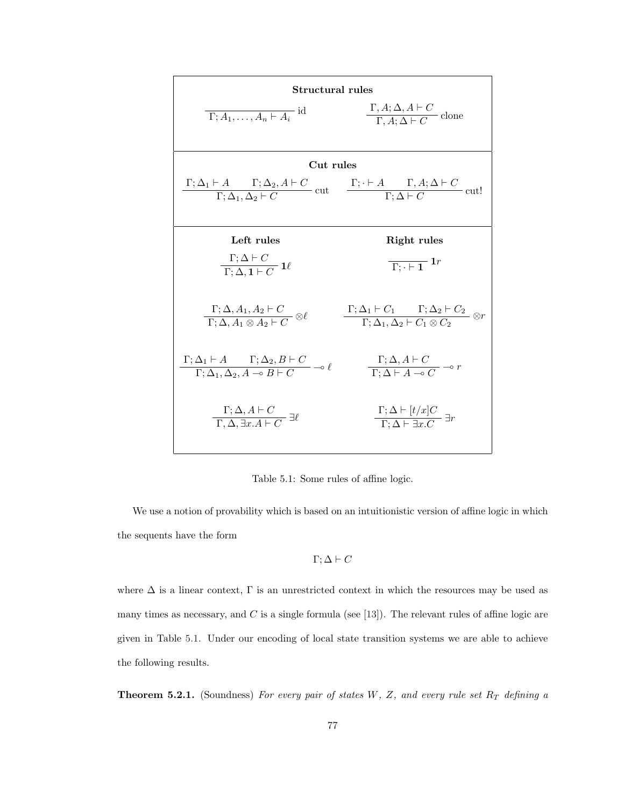| Structural rules                                                                                                                                                                                             |                                                                                                                                      |
|--------------------------------------------------------------------------------------------------------------------------------------------------------------------------------------------------------------|--------------------------------------------------------------------------------------------------------------------------------------|
| $\overline{\Gamma; A_1,\ldots,A_n\vdash A_i}$ id                                                                                                                                                             | $\frac{\Gamma, A; \Delta, A \vdash C}{\Gamma, A; \Delta \vdash C}$ clone                                                             |
| Cut rules                                                                                                                                                                                                    |                                                                                                                                      |
| $\frac{\Gamma;\Delta_1\vdash A\qquad \Gamma;\Delta_2,A\vdash C}{\Gamma;\Delta_1,\Delta_2\vdash C}\,\text{cut}\quad \frac{\Gamma;\vdash A\qquad \Gamma,A;\Delta\vdash C}{\Gamma;\Delta\vdash C}\,\text{cut!}$ |                                                                                                                                      |
| Left rules                                                                                                                                                                                                   | Right rules                                                                                                                          |
| $\frac{\Gamma;\Delta\vdash C}{\Gamma;\Delta,1\vdash C}\,\mathbf{1}\ell$                                                                                                                                      | $\frac{1}{\Gamma: \cdot \vdash 1}$ 1r                                                                                                |
| $\frac{\Gamma; \Delta, A_1, A_2 \vdash C}{\Gamma; \Delta, A_1 \otimes A_2 \vdash C} \otimes \ell$                                                                                                            | $\frac{\Gamma; \Delta_1 \vdash C_1 \qquad \Gamma; \Delta_2 \vdash C_2}{\Gamma; \Delta_1, \Delta_2 \vdash C_1 \otimes C_2} \otimes r$ |
| $\frac{\Gamma; \Delta_1 \vdash A \qquad \Gamma; \Delta_2, B \vdash C}{\Gamma; \Delta_1, \Delta_2, A \multimap B \vdash C} \multimap \ell$                                                                    | $\frac{\Gamma;\Delta,A\vdash C}{\Gamma;\Delta\vdash A\multimap C}\multimap r$                                                        |
| $\frac{\Gamma;\Delta,A\vdash C}{\Gamma,\Delta,\exists x.A\vdash C}\exists\ell$                                                                                                                               | $\frac{\Gamma;\Delta \vdash [t/x]C}{\Gamma;\Delta \vdash \exists x.C} \exists r$                                                     |

<span id="page-84-0"></span>Table 5.1: Some rules of affine logic.

We use a notion of provability which is based on an intuitionistic version of affine logic in which the sequents have the form

$$
\Gamma; \Delta \vdash C
$$

where  $\Delta$  is a linear context,  $\Gamma$  is an unrestricted context in which the resources may be used as many times as necessary, and  $C$  is a single formula (see [\[13\]](#page-95-1)). The relevant rules of affine logic are given in Table [5.1.](#page-84-0) Under our encoding of local state transition systems we are able to achieve the following results.

<span id="page-84-1"></span>**Theorem 5.2.1.** (Soundness) For every pair of states  $W$ ,  $Z$ , and every rule set  $R_T$  defining a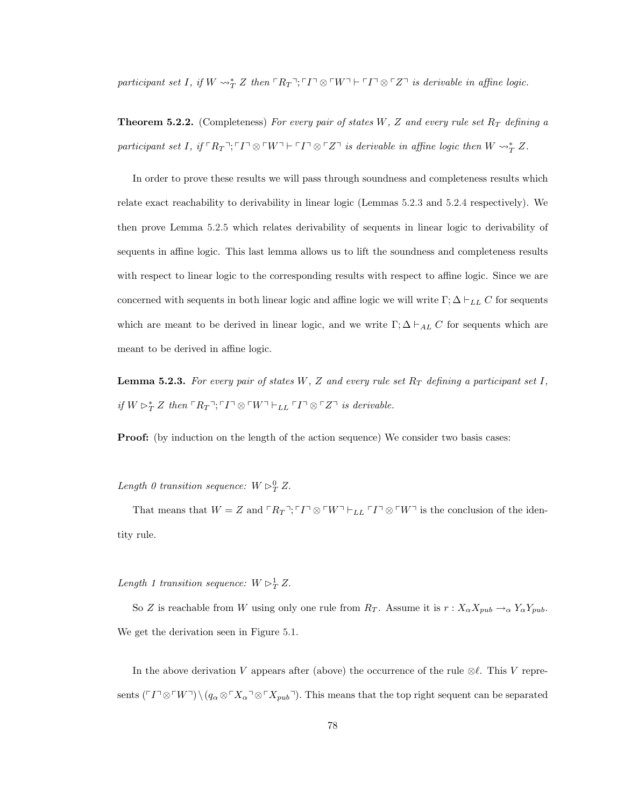<span id="page-85-1"></span>participant set I, if  $W \rightsquigarrow_T^* Z$  then  $\ulcorner R_T \urcorner ; \ulcorner I \urcorner \otimes \ulcorner W \urcorner \vdash \ulcorner I \urcorner \otimes \ulcorner Z \urcorner$  is derivable in affine logic.

**Theorem 5.2.2.** (Completeness) For every pair of states  $W$ ,  $Z$  and every rule set  $R_T$  defining a participant set I, if  $\ulcorner R_T \urcorner; \ulcorner I \urcorner \otimes \ulcorner W \urcorner \vdash \ulcorner I \urcorner \otimes \ulcorner Z \urcorner$  is derivable in affine logic then  $W \leadsto_T^* Z$ .

In order to prove these results we will pass through soundness and completeness results which relate exact reachability to derivability in linear logic (Lemmas [5.2.3](#page-85-0) and [5.2.4](#page-86-0) respectively). We then prove Lemma [5.2.5](#page-88-0) which relates derivability of sequents in linear logic to derivability of sequents in affine logic. This last lemma allows us to lift the soundness and completeness results with respect to linear logic to the corresponding results with respect to affine logic. Since we are concerned with sequents in both linear logic and affine logic we will write  $\Gamma$ ;  $\Delta \vdash_{LL} C$  for sequents which are meant to be derived in linear logic, and we write  $\Gamma$ ;  $\Delta \vdash_{AL} C$  for sequents which are meant to be derived in affine logic.

<span id="page-85-0"></span>**Lemma 5.2.3.** For every pair of states  $W$ ,  $Z$  and every rule set  $R_T$  defining a participant set  $I$ , if  $W \rhd_T^* Z$  then  $\ulcorner R_T \urcorner; \ulcorner I \urcorner \otimes \ulcorner W \urcorner \vdash_{LL} \ulcorner I \urcorner \otimes \ulcorner Z \urcorner$  is derivable.

**Proof:** (by induction on the length of the action sequence) We consider two basis cases:

Length 0 transition sequence:  $W \rhd_T^0 Z$ .

That means that  $W = Z$  and  $\ulcorner R_T \urcorner; \ulcorner I \urcorner \otimes \ulcorner W \urcorner \vdash_{LL} \ulcorner I \urcorner \otimes \ulcorner W \urcorner$  is the conclusion of the identity rule.

Length 1 transition sequence:  $W \rhd_T^1 Z$ .

So Z is reachable from W using only one rule from  $R_T$ . Assume it is  $r: X_\alpha X_{pub} \to_\alpha Y_\alpha Y_{pub}$ . We get the derivation seen in Figure [5.1.](#page-86-1)

In the above derivation V appears after (above) the occurrence of the rule  $\otimes \ell$ . This V represents  $(T\log W)\setminus (q_\alpha\otimes^rX_\alpha\log^rX_{pub}\log T)$ . This means that the top right sequent can be separated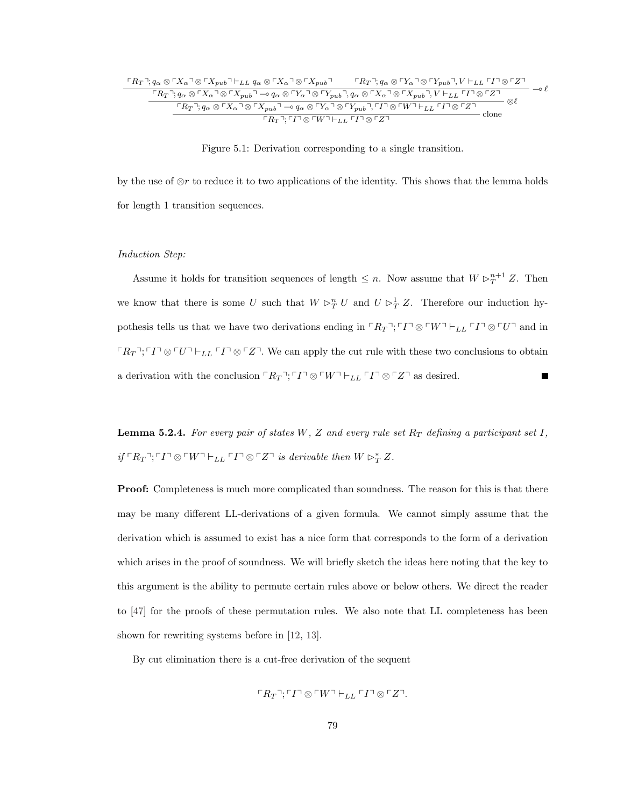$$
\frac{\ulcorner R_T \urcorner ;q_\alpha \otimes \ulcorner X_\alpha \urcorner \otimes \ulcorner X_{pub} \urcorner \vdash_{LL} q_\alpha \otimes \ulcorner X_\alpha \urcorner \otimes \ulcorner X_{pub} \urcorner \qquad \ulcorner R_T \urcorner ;q_\alpha \otimes \ulcorner Y_\alpha \urcorner \otimes \ulcorner Y_{pub} \urcorner, V \vdash_{LL} \ulcorner I \urcorner \otimes \ulcorner Z \urcorner \qquad \qquad \\ \hline \frac{\ulcorner R_T \urcorner ;q_\alpha \otimes \ulcorner X_\alpha \urcorner \otimes \ulcorner X_{pub} \urcorner \multimap q_\alpha \otimes \ulcorner Y_\alpha \urcorner \otimes \ulcorner Y_{pub} \urcorner ,q_\alpha \otimes \ulcorner X_\alpha \urcorner \otimes \ulcorner X_{pub} \urcorner, V \vdash_{LL} \ulcorner I \urcorner \otimes \ulcorner Z \urcorner \qquad \qquad \\ \hline \frac{\ulcorner R_T \urcorner ;q_\alpha \otimes \ulcorner X_\alpha \urcorner \otimes \ulcorner X_{pub} \urcorner \multimap q_\alpha \otimes \ulcorner Y_\alpha \urcorner \otimes \ulcorner Y_{pub} \urcorner ,\ulcorner I \urcorner \otimes \ulcorner Y \urcorner \urcorner L \ulcorner I \urcorner \otimes \ulcorner Z \urcorner \qquad \qquad }{\ulcorner R_T \urcorner ;\ulcorner I \urcorner \otimes \ulcorner Y \urcorner \ulcorner L \ulcorner I \urcorner \otimes \ulcorner Z \urcorner \qquad } \mathcal{O}\ell \\
$$

<span id="page-86-1"></span>Figure 5.1: Derivation corresponding to a single transition.

by the use of ⊗r to reduce it to two applications of the identity. This shows that the lemma holds for length 1 transition sequences.

### Induction Step:

Assume it holds for transition sequences of length  $\leq n$ . Now assume that  $W \triangleright_T^{n+1} Z$ . Then we know that there is some U such that  $W \rhd_T^n U$  and  $U \rhd_T^1 Z$ . Therefore our induction hypothesis tells us that we have two derivations ending in  $\ulcorner R_T \urcorner; \ulcorner I \urcorner \otimes \ulcorner W \urcorner \vdash_{LL} \ulcorner I \urcorner \otimes \ulcorner U \urcorner$  and in  $\ulcorner R_T \urcorner; \ulcorner I \urcorner \otimes \ulcorner U \urcorner \vdash_{LL} \ulcorner I \urcorner \otimes \ulcorner Z \urcorner$ . We can apply the cut rule with these two conclusions to obtain a derivation with the conclusion  $\ulcorner R_T \urcorner; \ulcorner I \urcorner \otimes \ulcorner W \urcorner \vdash_{LL} \ulcorner I \urcorner \otimes \ulcorner Z \urcorner$  as desired. Г

<span id="page-86-0"></span>**Lemma 5.2.4.** For every pair of states W, Z and every rule set  $R_T$  defining a participant set I, if  $\ulcorner R_T \urcorner; \ulcorner I \urcorner \otimes \ulcorner W \urcorner \vdash_{LL} \ulcorner I \urcorner \otimes \ulcorner Z \urcorner$  is derivable then  $W \rhd^*_T Z$ .

**Proof:** Completeness is much more complicated than soundness. The reason for this is that there may be many different LL-derivations of a given formula. We cannot simply assume that the derivation which is assumed to exist has a nice form that corresponds to the form of a derivation which arises in the proof of soundness. We will briefly sketch the ideas here noting that the key to this argument is the ability to permute certain rules above or below others. We direct the reader to [\[47\]](#page-97-1) for the proofs of these permutation rules. We also note that LL completeness has been shown for rewriting systems before in [\[12,](#page-95-2) [13\]](#page-95-1).

By cut elimination there is a cut-free derivation of the sequent

$$
\ulcorner R_T \urcorner ; \ulcorner I \urcorner \otimes \ulcorner W \urcorner \vdash_{LL} \ulcorner I \urcorner \otimes \ulcorner Z \urcorner.
$$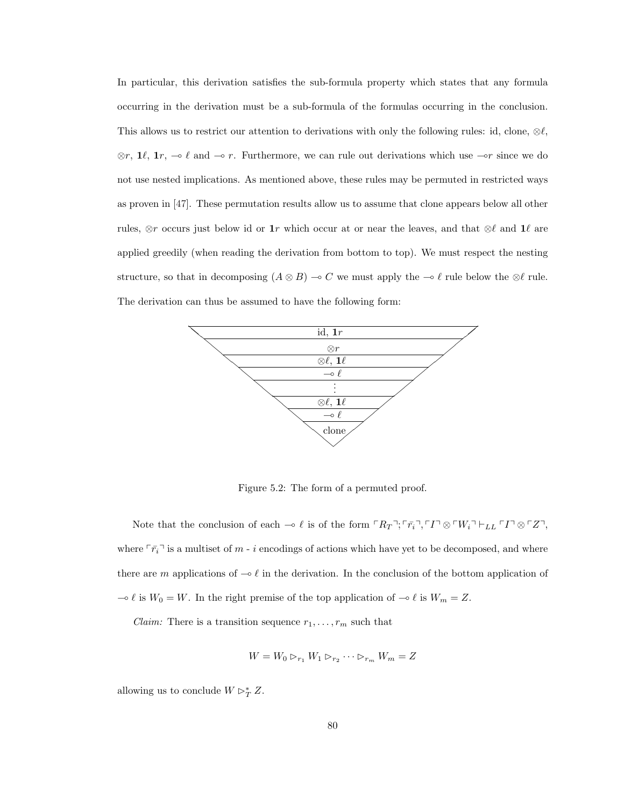In particular, this derivation satisfies the sub-formula property which states that any formula occurring in the derivation must be a sub-formula of the formulas occurring in the conclusion. This allows us to restrict our attention to derivations with only the following rules: id, clone,  $\otimes \ell$ , ⊗r, 1 $\ell$ , 1r,  $\sim$   $\ell$  and  $\sim$  r. Furthermore, we can rule out derivations which use  $\sim$ r since we do not use nested implications. As mentioned above, these rules may be permuted in restricted ways as proven in [\[47\]](#page-97-1). These permutation results allow us to assume that clone appears below all other rules,  $\otimes r$  occurs just below id or 1r which occur at or near the leaves, and that  $\otimes \ell$  and 1 $\ell$  are applied greedily (when reading the derivation from bottom to top). We must respect the nesting structure, so that in decomposing  $(A \otimes B) \multimap C$  we must apply the  $\multimap \ell$  rule below the  $\otimes \ell$  rule. The derivation can thus be assumed to have the following form:



Figure 5.2: The form of a permuted proof.

Note that the conclusion of each  $\multimap \ell$  is of the form  $\ulcorner R_T \urcorner; \ulcorner \tau_i \urcorner, \ulcorner I \urcorner \otimes \ulcorner W_i \urcorner \vdash_{LL} \ulcorner I \urcorner \otimes \ulcorner Z \urcorner,$ where  $\lceil \bar{r_i} \rceil$  is a multiset of  $m$  - i encodings of actions which have yet to be decomposed, and where there are m applications of  $\sim \ell$  in the derivation. In the conclusion of the bottom application of  $\multimap \ell$  is  $W_0 = W.$  In the right premise of the top application of  $\multimap \ell$  is  $W_m = Z.$ 

*Claim:* There is a transition sequence  $r_1, \ldots, r_m$  such that

$$
W = W_0 \rhd_{r_1} W_1 \rhd_{r_2} \cdots \rhd_{r_m} W_m = Z
$$

allowing us to conclude  $W \triangleright_T^* Z$ .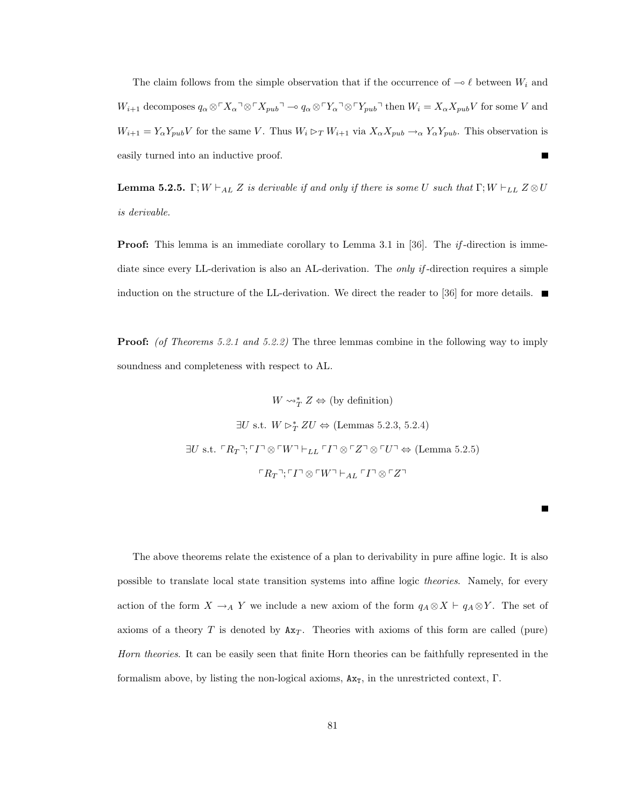The claim follows from the simple observation that if the occurrence of  $\sim \ell$  between  $W_i$  and  $W_{i+1}$  decomposes  $q_\alpha \otimes^{\lceil} X_\alpha \rceil \otimes^{\lceil} X_{pub} \rceil \multimap q_\alpha \otimes^{\lceil} Y_\alpha \rceil \otimes^{\lceil} Y_{pub} \rceil$  then  $W_i = X_\alpha X_{pub} V$  for some V and  $W_{i+1} = Y_{\alpha} Y_{pub} V$  for the same V. Thus  $W_i \rhd_T W_{i+1}$  via  $X_{\alpha} X_{pub} \to_{\alpha} Y_{\alpha} Y_{pub}$ . This observation is easily turned into an inductive proof. П

<span id="page-88-0"></span>**Lemma 5.2.5.** Γ;  $W \vdash_{AL} Z$  is derivable if and only if there is some U such that  $\Gamma; W \vdash_{LL} Z \otimes U$ is derivable.

**Proof:** This lemma is an immediate corollary to Lemma 3.1 in [\[36\]](#page-96-3). The *if*-direction is immediate since every LL-derivation is also an AL-derivation. The *only if*-direction requires a simple induction on the structure of the LL-derivation. We direct the reader to [\[36\]](#page-96-3) for more details.  $\blacksquare$ 

**Proof:** (of Theorems [5.2.1](#page-84-1) and [5.2.2\)](#page-85-1) The three lemmas combine in the following way to imply soundness and completeness with respect to AL.

$$
W \leadsto_T^* Z \Leftrightarrow \text{ (by definition)}
$$
  
\n
$$
\exists U \text{ s.t. } W \rhd_T^* ZU \Leftrightarrow \text{ (Lemma 5.2.3, 5.2.4)}
$$
  
\n
$$
\exists U \text{ s.t. } \ulcorner R_T \urcorner; \ulcorner I \urcorner \otimes \ulcorner W \urcorner \vdash_{LL} \ulcorner I \urcorner \otimes \ulcorner Z \urcorner \otimes \ulcorner U \urcorner \Leftrightarrow \text{ (Lemma 5.2.5)}
$$
  
\n
$$
\ulcorner R_T \urcorner; \ulcorner I \urcorner \otimes \ulcorner W \urcorner \vdash_{AL} \ulcorner I \urcorner \otimes \ulcorner Z \urcorner
$$

The above theorems relate the existence of a plan to derivability in pure affine logic. It is also possible to translate local state transition systems into affine logic theories. Namely, for every action of the form  $X \to_A Y$  we include a new axiom of the form  $q_A \otimes X \vdash q_A \otimes Y$ . The set of axioms of a theory T is denoted by  $Ax_T$ . Theories with axioms of this form are called (pure) Horn theories. It can be easily seen that finite Horn theories can be faithfully represented in the formalism above, by listing the non-logical axioms,  $Ax_T$ , in the unrestricted context, Γ.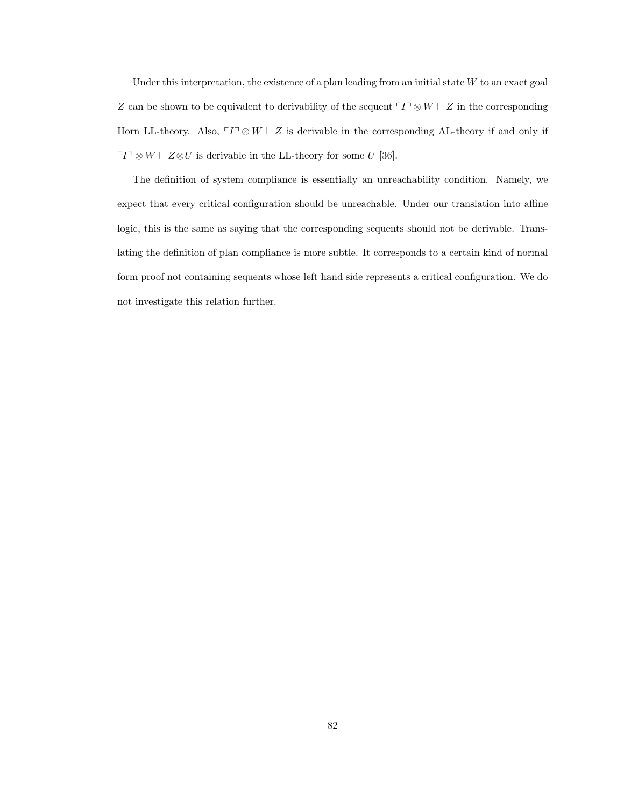Under this interpretation, the existence of a plan leading from an initial state  $W$  to an exact goal Z can be shown to be equivalent to derivability of the sequent  $\ulcorner I \urcorner \otimes W \vdash Z$  in the corresponding Horn LL-theory. Also,  $\ulcorner I\urcorner \otimes W \vdash Z$  is derivable in the corresponding AL-theory if and only if  $\ulcorner I\urcorner \otimes W \vdash Z \otimes U$  is derivable in the LL-theory for some  $U$  [\[36\]](#page-96-3).

The definition of system compliance is essentially an unreachability condition. Namely, we expect that every critical configuration should be unreachable. Under our translation into affine logic, this is the same as saying that the corresponding sequents should not be derivable. Translating the definition of plan compliance is more subtle. It corresponds to a certain kind of normal form proof not containing sequents whose left hand side represents a critical configuration. We do not investigate this relation further.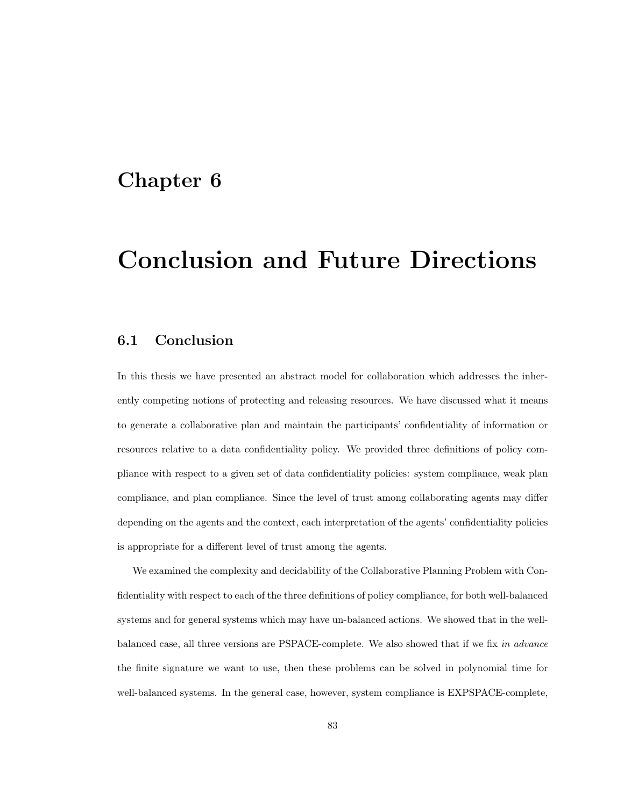## Chapter 6

# Conclusion and Future Directions

## 6.1 Conclusion

In this thesis we have presented an abstract model for collaboration which addresses the inherently competing notions of protecting and releasing resources. We have discussed what it means to generate a collaborative plan and maintain the participants' confidentiality of information or resources relative to a data confidentiality policy. We provided three definitions of policy compliance with respect to a given set of data confidentiality policies: system compliance, weak plan compliance, and plan compliance. Since the level of trust among collaborating agents may differ depending on the agents and the context, each interpretation of the agents' confidentiality policies is appropriate for a different level of trust among the agents.

We examined the complexity and decidability of the Collaborative Planning Problem with Confidentiality with respect to each of the three definitions of policy compliance, for both well-balanced systems and for general systems which may have un-balanced actions. We showed that in the wellbalanced case, all three versions are PSPACE-complete. We also showed that if we fix in advance the finite signature we want to use, then these problems can be solved in polynomial time for well-balanced systems. In the general case, however, system compliance is EXPSPACE-complete,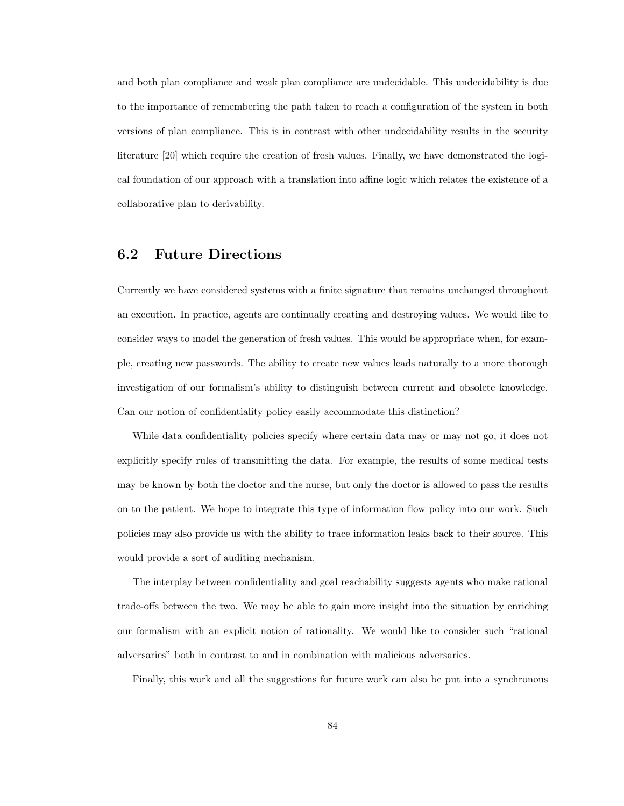and both plan compliance and weak plan compliance are undecidable. This undecidability is due to the importance of remembering the path taken to reach a configuration of the system in both versions of plan compliance. This is in contrast with other undecidability results in the security literature [\[20\]](#page-95-0) which require the creation of fresh values. Finally, we have demonstrated the logical foundation of our approach with a translation into affine logic which relates the existence of a collaborative plan to derivability.

### 6.2 Future Directions

Currently we have considered systems with a finite signature that remains unchanged throughout an execution. In practice, agents are continually creating and destroying values. We would like to consider ways to model the generation of fresh values. This would be appropriate when, for example, creating new passwords. The ability to create new values leads naturally to a more thorough investigation of our formalism's ability to distinguish between current and obsolete knowledge. Can our notion of confidentiality policy easily accommodate this distinction?

While data confidentiality policies specify where certain data may or may not go, it does not explicitly specify rules of transmitting the data. For example, the results of some medical tests may be known by both the doctor and the nurse, but only the doctor is allowed to pass the results on to the patient. We hope to integrate this type of information flow policy into our work. Such policies may also provide us with the ability to trace information leaks back to their source. This would provide a sort of auditing mechanism.

The interplay between confidentiality and goal reachability suggests agents who make rational trade-offs between the two. We may be able to gain more insight into the situation by enriching our formalism with an explicit notion of rationality. We would like to consider such "rational adversaries" both in contrast to and in combination with malicious adversaries.

Finally, this work and all the suggestions for future work can also be put into a synchronous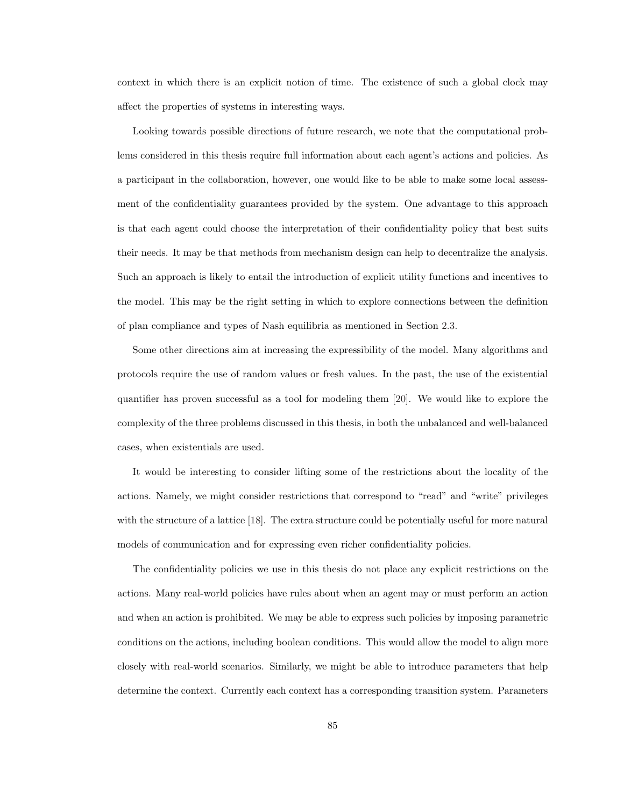context in which there is an explicit notion of time. The existence of such a global clock may affect the properties of systems in interesting ways.

Looking towards possible directions of future research, we note that the computational problems considered in this thesis require full information about each agent's actions and policies. As a participant in the collaboration, however, one would like to be able to make some local assessment of the confidentiality guarantees provided by the system. One advantage to this approach is that each agent could choose the interpretation of their confidentiality policy that best suits their needs. It may be that methods from mechanism design can help to decentralize the analysis. Such an approach is likely to entail the introduction of explicit utility functions and incentives to the model. This may be the right setting in which to explore connections between the definition of plan compliance and types of Nash equilibria as mentioned in Section [2.3.](#page-30-0)

Some other directions aim at increasing the expressibility of the model. Many algorithms and protocols require the use of random values or fresh values. In the past, the use of the existential quantifier has proven successful as a tool for modeling them [\[20\]](#page-95-0). We would like to explore the complexity of the three problems discussed in this thesis, in both the unbalanced and well-balanced cases, when existentials are used.

It would be interesting to consider lifting some of the restrictions about the locality of the actions. Namely, we might consider restrictions that correspond to "read" and "write" privileges with the structure of a lattice [\[18\]](#page-95-3). The extra structure could be potentially useful for more natural models of communication and for expressing even richer confidentiality policies.

The confidentiality policies we use in this thesis do not place any explicit restrictions on the actions. Many real-world policies have rules about when an agent may or must perform an action and when an action is prohibited. We may be able to express such policies by imposing parametric conditions on the actions, including boolean conditions. This would allow the model to align more closely with real-world scenarios. Similarly, we might be able to introduce parameters that help determine the context. Currently each context has a corresponding transition system. Parameters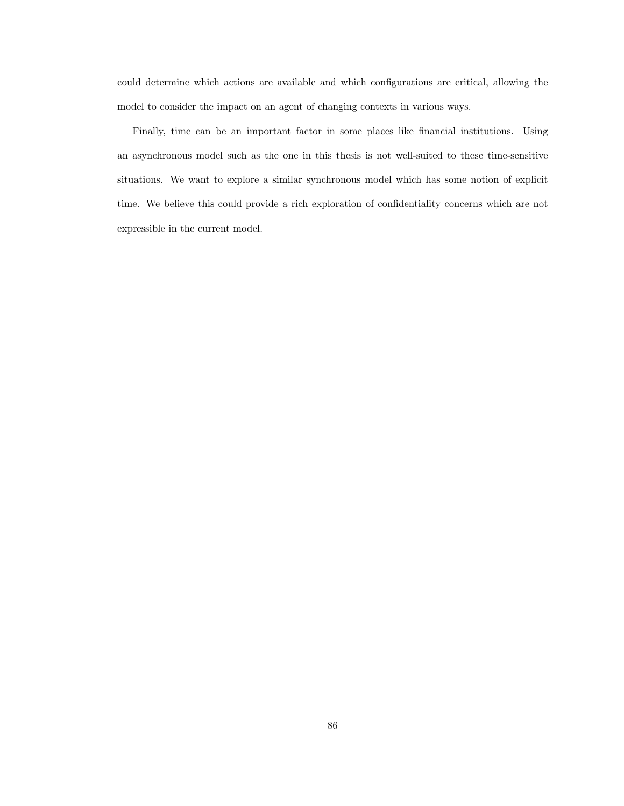could determine which actions are available and which configurations are critical, allowing the model to consider the impact on an agent of changing contexts in various ways.

Finally, time can be an important factor in some places like financial institutions. Using an asynchronous model such as the one in this thesis is not well-suited to these time-sensitive situations. We want to explore a similar synchronous model which has some notion of explicit time. We believe this could provide a rich exploration of confidentiality concerns which are not expressible in the current model.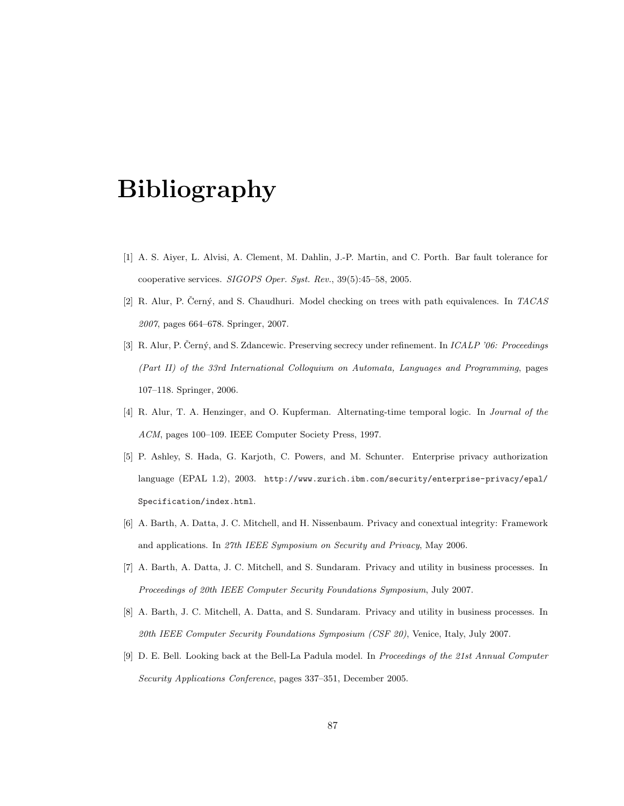# Bibliography

- [1] A. S. Aiyer, L. Alvisi, A. Clement, M. Dahlin, J.-P. Martin, and C. Porth. Bar fault tolerance for cooperative services. SIGOPS Oper. Syst. Rev., 39(5):45–58, 2005.
- [2] R. Alur, P. Černý, and S. Chaudhuri. Model checking on trees with path equivalences. In TACAS 2007, pages 664–678. Springer, 2007.
- [3] R. Alur, P. Černý, and S. Zdancewic. Preserving secrecy under refinement. In *ICALP '06: Proceedings* (Part II) of the 33rd International Colloquium on Automata, Languages and Programming, pages 107–118. Springer, 2006.
- [4] R. Alur, T. A. Henzinger, and O. Kupferman. Alternating-time temporal logic. In *Journal of the* ACM, pages 100–109. IEEE Computer Society Press, 1997.
- [5] P. Ashley, S. Hada, G. Karjoth, C. Powers, and M. Schunter. Enterprise privacy authorization language (EPAL 1.2), 2003. [http://www.zurich.ibm.com/security/enterprise-privacy/epal/](http://www.zurich.ibm.com/security/enterprise-privacy/epal/Specification/index.html) [Specification/index.html](http://www.zurich.ibm.com/security/enterprise-privacy/epal/Specification/index.html).
- [6] A. Barth, A. Datta, J. C. Mitchell, and H. Nissenbaum. Privacy and conextual integrity: Framework and applications. In 27th IEEE Symposium on Security and Privacy, May 2006.
- [7] A. Barth, A. Datta, J. C. Mitchell, and S. Sundaram. Privacy and utility in business processes. In Proceedings of 20th IEEE Computer Security Foundations Symposium, July 2007.
- [8] A. Barth, J. C. Mitchell, A. Datta, and S. Sundaram. Privacy and utility in business processes. In 20th IEEE Computer Security Foundations Symposium (CSF 20), Venice, Italy, July 2007.
- [9] D. E. Bell. Looking back at the Bell-La Padula model. In Proceedings of the 21st Annual Computer Security Applications Conference, pages 337–351, December 2005.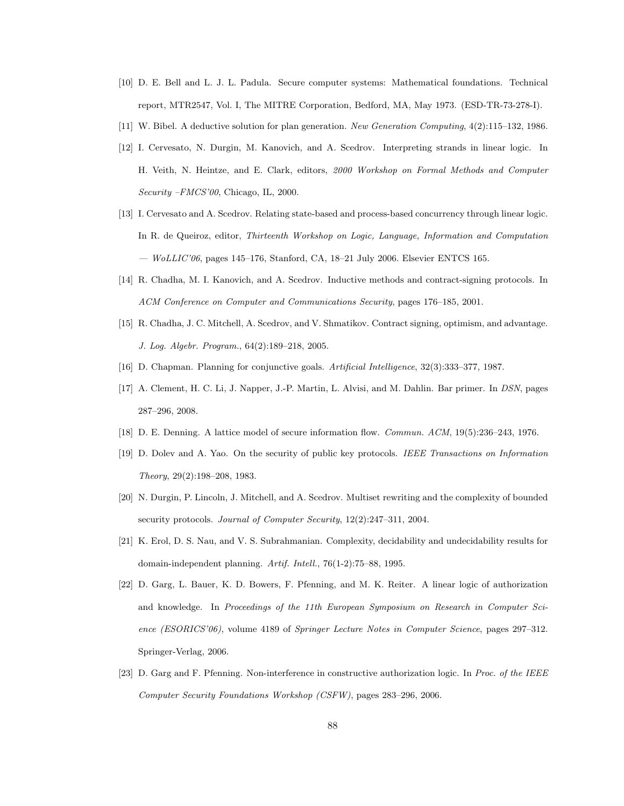- [10] D. E. Bell and L. J. L. Padula. Secure computer systems: Mathematical foundations. Technical report, MTR2547, Vol. I, The MITRE Corporation, Bedford, MA, May 1973. (ESD-TR-73-278-I).
- <span id="page-95-2"></span>[11] W. Bibel. A deductive solution for plan generation. New Generation Computing, 4(2):115–132, 1986.
- [12] I. Cervesato, N. Durgin, M. Kanovich, and A. Scedrov. Interpreting strands in linear logic. In H. Veith, N. Heintze, and E. Clark, editors, 2000 Workshop on Formal Methods and Computer Security –FMCS'00, Chicago, IL, 2000.
- <span id="page-95-1"></span>[13] I. Cervesato and A. Scedrov. Relating state-based and process-based concurrency through linear logic. In R. de Queiroz, editor, Thirteenth Workshop on Logic, Language, Information and Computation — WoLLIC'06, pages 145–176, Stanford, CA, 18–21 July 2006. Elsevier ENTCS 165.
- [14] R. Chadha, M. I. Kanovich, and A. Scedrov. Inductive methods and contract-signing protocols. In ACM Conference on Computer and Communications Security, pages 176–185, 2001.
- [15] R. Chadha, J. C. Mitchell, A. Scedrov, and V. Shmatikov. Contract signing, optimism, and advantage. J. Log. Algebr. Program., 64(2):189–218, 2005.
- [16] D. Chapman. Planning for conjunctive goals. Artificial Intelligence, 32(3):333–377, 1987.
- [17] A. Clement, H. C. Li, J. Napper, J.-P. Martin, L. Alvisi, and M. Dahlin. Bar primer. In DSN, pages 287–296, 2008.
- <span id="page-95-3"></span>[18] D. E. Denning. A lattice model of secure information flow. Commun. ACM, 19(5):236–243, 1976.
- [19] D. Dolev and A. Yao. On the security of public key protocols. IEEE Transactions on Information Theory, 29(2):198–208, 1983.
- <span id="page-95-0"></span>[20] N. Durgin, P. Lincoln, J. Mitchell, and A. Scedrov. Multiset rewriting and the complexity of bounded security protocols. Journal of Computer Security, 12(2):247-311, 2004.
- [21] K. Erol, D. S. Nau, and V. S. Subrahmanian. Complexity, decidability and undecidability results for domain-independent planning. Artif. Intell., 76(1-2):75–88, 1995.
- [22] D. Garg, L. Bauer, K. D. Bowers, F. Pfenning, and M. K. Reiter. A linear logic of authorization and knowledge. In Proceedings of the 11th European Symposium on Research in Computer Science (ESORICS'06), volume 4189 of Springer Lecture Notes in Computer Science, pages 297–312. Springer-Verlag, 2006.
- [23] D. Garg and F. Pfenning. Non-interference in constructive authorization logic. In Proc. of the IEEE Computer Security Foundations Workshop (CSFW), pages 283–296, 2006.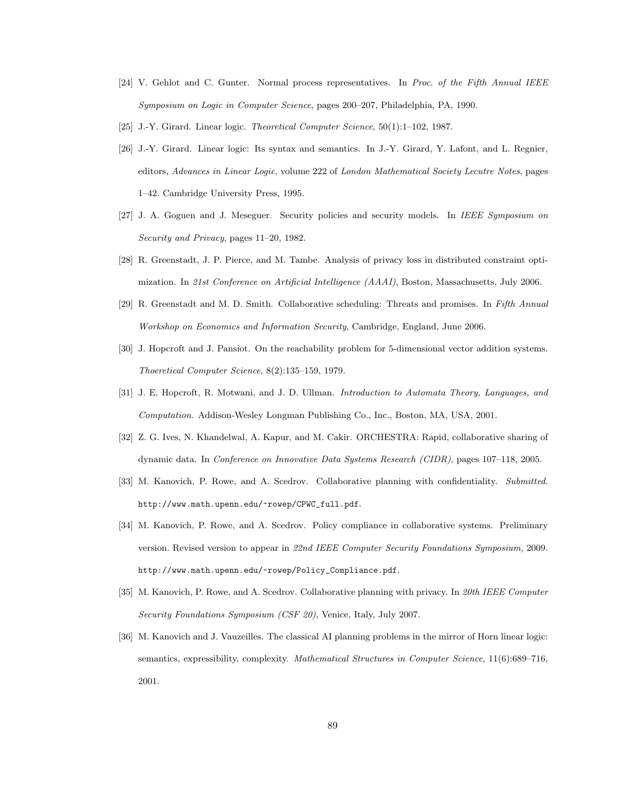- [24] V. Gehlot and C. Gunter. Normal process representatives. In Proc. of the Fifth Annual IEEE Symposium on Logic in Computer Science, pages 200–207, Philadelphia, PA, 1990.
- <span id="page-96-2"></span>[25] J.-Y. Girard. Linear logic. Theoretical Computer Science, 50(1):1–102, 1987.
- [26] J.-Y. Girard. Linear logic: Its syntax and semantics. In J.-Y. Girard, Y. Lafont, and L. Regnier, editors, Advances in Linear Logic, volume 222 of London Mathematical Society Lecutre Notes, pages 1–42. Cambridge University Press, 1995.
- [27] J. A. Goguen and J. Meseguer. Security policies and security models. In IEEE Symposium on Security and Privacy, pages 11–20, 1982.
- [28] R. Greenstadt, J. P. Pierce, and M. Tambe. Analysis of privacy loss in distributed constraint optimization. In 21st Conference on Artificial Intelligence (AAAI), Boston, Massachusetts, July 2006.
- [29] R. Greenstadt and M. D. Smith. Collaborative scheduling: Threats and promises. In Fifth Annual Workshop on Economics and Information Security, Cambridge, England, June 2006.
- [30] J. Hopcroft and J. Pansiot. On the reachability problem for 5-dimensional vector addition systems. Thoeretical Computer Science, 8(2):135–159, 1979.
- [31] J. E. Hopcroft, R. Motwani, and J. D. Ullman. Introduction to Automata Theory, Languages, and Computation. Addison-Wesley Longman Publishing Co., Inc., Boston, MA, USA, 2001.
- [32] Z. G. Ives, N. Khandelwal, A. Kapur, and M. Cakir. ORCHESTRA: Rapid, collaborative sharing of dynamic data. In Conference on Innovative Data Systems Research (CIDR), pages 107–118, 2005.
- <span id="page-96-1"></span>[33] M. Kanovich, P. Rowe, and A. Scedrov. Collaborative planning with confidentiality. Submitted. [http://www.math.upenn.edu/~rowep/CPWC\\_full.pdf](http://www.math.upenn.edu/~rowep/CPWC_full.pdf).
- [34] M. Kanovich, P. Rowe, and A. Scedrov. Policy compliance in collaborative systems. Preliminary version. Revised version to appear in 22nd IEEE Computer Security Foundations Symposium, 2009. [http://www.math.upenn.edu/~rowep/Policy\\_Compliance.pdf](http://www.math.upenn.edu/~rowep/Policy_Compliance.pdf).
- <span id="page-96-0"></span>[35] M. Kanovich, P. Rowe, and A. Scedrov. Collaborative planning with privacy. In 20th IEEE Computer Security Foundations Symposium (CSF 20), Venice, Italy, July 2007.
- <span id="page-96-3"></span>[36] M. Kanovich and J. Vauzeilles. The classical AI planning problems in the mirror of Horn linear logic: semantics, expressibility, complexity. Mathematical Structures in Computer Science, 11(6):689-716, 2001.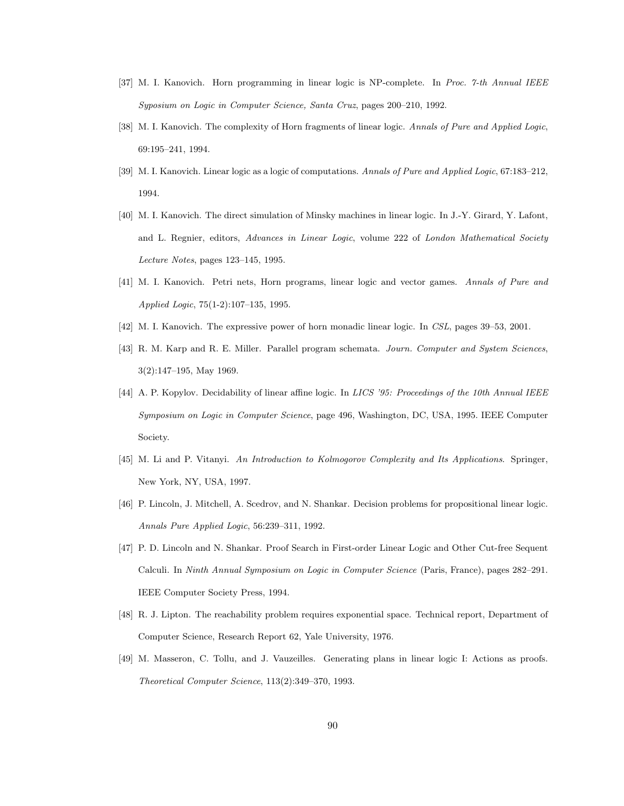- [37] M. I. Kanovich. Horn programming in linear logic is NP-complete. In Proc. 7-th Annual IEEE Syposium on Logic in Computer Science, Santa Cruz, pages 200–210, 1992.
- [38] M. I. Kanovich. The complexity of Horn fragments of linear logic. Annals of Pure and Applied Logic, 69:195–241, 1994.
- [39] M. I. Kanovich. Linear logic as a logic of computations. Annals of Pure and Applied Logic, 67:183-212, 1994.
- [40] M. I. Kanovich. The direct simulation of Minsky machines in linear logic. In J.-Y. Girard, Y. Lafont, and L. Regnier, editors, Advances in Linear Logic, volume 222 of London Mathematical Society Lecture Notes, pages 123–145, 1995.
- [41] M. I. Kanovich. Petri nets, Horn programs, linear logic and vector games. Annals of Pure and Applied Logic, 75(1-2):107–135, 1995.
- <span id="page-97-0"></span>[42] M. I. Kanovich. The expressive power of horn monadic linear logic. In CSL, pages 39–53, 2001.
- [43] R. M. Karp and R. E. Miller. Parallel program schemata. Journ. Computer and System Sciences, 3(2):147–195, May 1969.
- [44] A. P. Kopylov. Decidability of linear affine logic. In *LICS '95: Proceedings of the 10th Annual IEEE* Symposium on Logic in Computer Science, page 496, Washington, DC, USA, 1995. IEEE Computer Society.
- [45] M. Li and P. Vitanyi. An Introduction to Kolmogorov Complexity and Its Applications. Springer, New York, NY, USA, 1997.
- [46] P. Lincoln, J. Mitchell, A. Scedrov, and N. Shankar. Decision problems for propositional linear logic. Annals Pure Applied Logic, 56:239–311, 1992.
- <span id="page-97-1"></span>[47] P. D. Lincoln and N. Shankar. Proof Search in First-order Linear Logic and Other Cut-free Sequent Calculi. In Ninth Annual Symposium on Logic in Computer Science (Paris, France), pages 282–291. IEEE Computer Society Press, 1994.
- [48] R. J. Lipton. The reachability problem requires exponential space. Technical report, Department of Computer Science, Research Report 62, Yale University, 1976.
- [49] M. Masseron, C. Tollu, and J. Vauzeilles. Generating plans in linear logic I: Actions as proofs. Theoretical Computer Science, 113(2):349–370, 1993.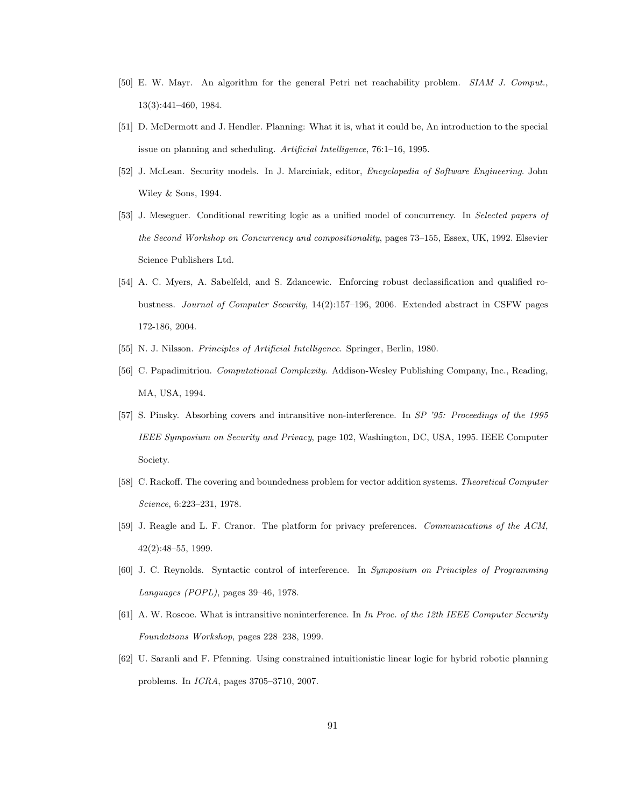- [50] E. W. Mayr. An algorithm for the general Petri net reachability problem. SIAM J. Comput., 13(3):441–460, 1984.
- [51] D. McDermott and J. Hendler. Planning: What it is, what it could be, An introduction to the special issue on planning and scheduling. Artificial Intelligence, 76:1–16, 1995.
- [52] J. McLean. Security models. In J. Marciniak, editor, Encyclopedia of Software Engineering. John Wiley & Sons, 1994.
- [53] J. Meseguer. Conditional rewriting logic as a unified model of concurrency. In Selected papers of the Second Workshop on Concurrency and compositionality, pages 73–155, Essex, UK, 1992. Elsevier Science Publishers Ltd.
- [54] A. C. Myers, A. Sabelfeld, and S. Zdancewic. Enforcing robust declassification and qualified robustness. Journal of Computer Security, 14(2):157–196, 2006. Extended abstract in CSFW pages 172-186, 2004.
- [55] N. J. Nilsson. Principles of Artificial Intelligence. Springer, Berlin, 1980.
- [56] C. Papadimitriou. *Computational Complexity*. Addison-Wesley Publishing Company, Inc., Reading, MA, USA, 1994.
- [57] S. Pinsky. Absorbing covers and intransitive non-interference. In SP '95: Proceedings of the 1995 IEEE Symposium on Security and Privacy, page 102, Washington, DC, USA, 1995. IEEE Computer Society.
- [58] C. Rackoff. The covering and boundedness problem for vector addition systems. Theoretical Computer Science, 6:223–231, 1978.
- [59] J. Reagle and L. F. Cranor. The platform for privacy preferences. Communications of the ACM, 42(2):48–55, 1999.
- [60] J. C. Reynolds. Syntactic control of interference. In Symposium on Principles of Programming Languages (POPL), pages 39–46, 1978.
- [61] A. W. Roscoe. What is intransitive noninterference. In In Proc. of the 12th IEEE Computer Security Foundations Workshop, pages 228–238, 1999.
- [62] U. Saranli and F. Pfenning. Using constrained intuitionistic linear logic for hybrid robotic planning problems. In ICRA, pages 3705–3710, 2007.